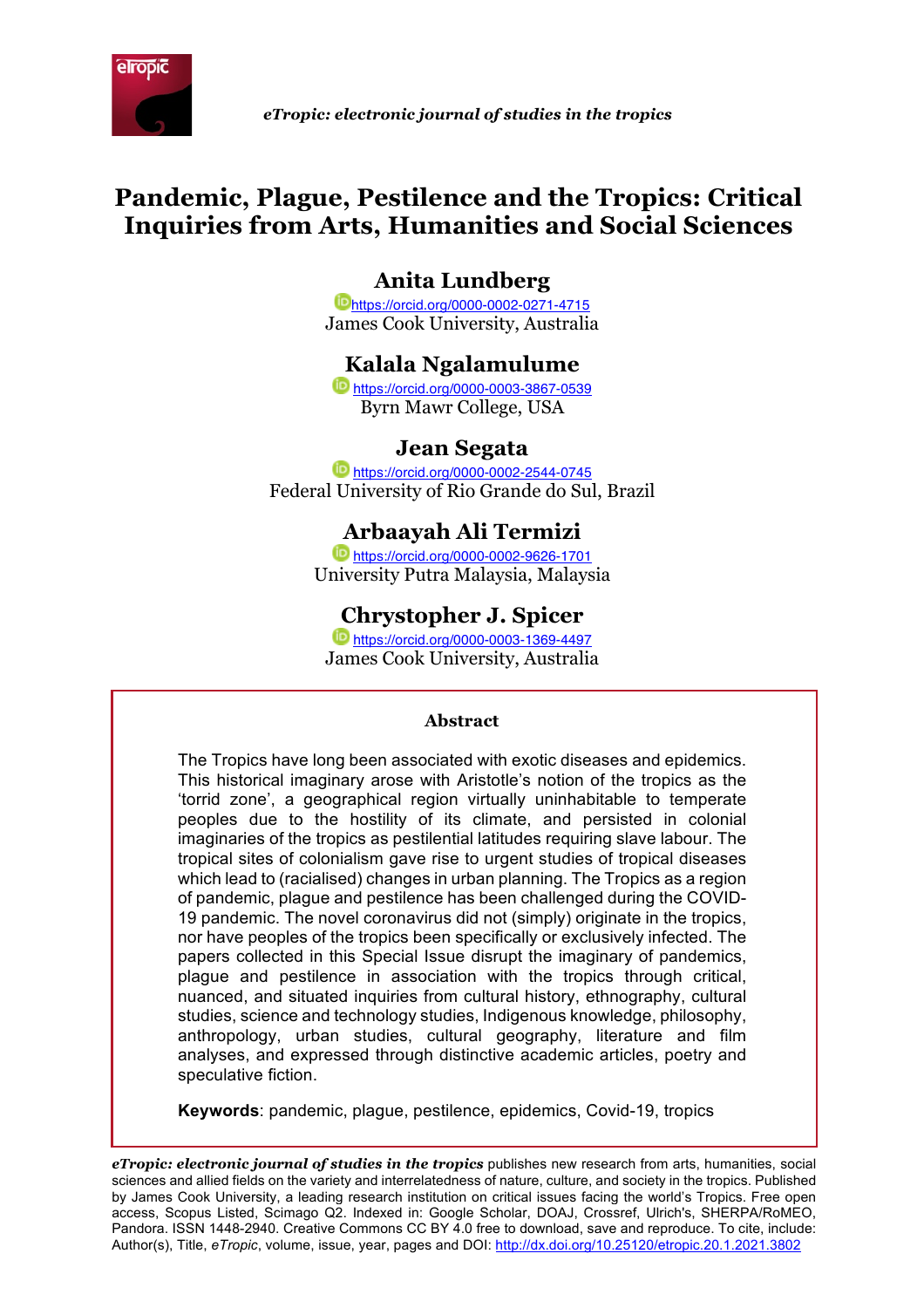

 *eTropic: electronic journal of studies in the tropics*

# **Pandemic, Plague, Pestilence and the Tropics: Critical Inquiries from Arts, Humanities and Social Sciences**

# **Anita Lundberg**

https://orcid.org/0000-0002-0271-4715 James Cook University, Australia

# **Kalala Ngalamulume**

https://orcid.org/0000-0003-3867-0539 Byrn Mawr College, USA

# **Jean Segata**

https://orcid.org/0000-0002-2544-0745 Federal University of Rio Grande do Sul, Brazil

# **Arbaayah Ali Termizi**

https://orcid.org/0000-0002-9626-1701 University Putra Malaysia, Malaysia

# **Chrystopher J. Spicer**

https://orcid.org/0000-0003-1369-4497 James Cook University, Australia

#### **Abstract**

The Tropics have long been associated with exotic diseases and epidemics. This historical imaginary arose with Aristotle's notion of the tropics as the 'torrid zone', a geographical region virtually uninhabitable to temperate peoples due to the hostility of its climate, and persisted in colonial imaginaries of the tropics as pestilential latitudes requiring slave labour. The tropical sites of colonialism gave rise to urgent studies of tropical diseases which lead to (racialised) changes in urban planning. The Tropics as a region of pandemic, plague and pestilence has been challenged during the COVID-19 pandemic. The novel coronavirus did not (simply) originate in the tropics, nor have peoples of the tropics been specifically or exclusively infected. The papers collected in this Special Issue disrupt the imaginary of pandemics, plague and pestilence in association with the tropics through critical, nuanced, and situated inquiries from cultural history, ethnography, cultural studies, science and technology studies, Indigenous knowledge, philosophy, anthropology, urban studies, cultural geography, literature and film analyses, and expressed through distinctive academic articles, poetry and speculative fiction.

**Keywords**: pandemic, plague, pestilence, epidemics, Covid-19, tropics

*eTropic: electronic journal of studies in the tropics* publishes new research from arts, humanities, social sciences and allied fields on the variety and interrelatedness of nature, culture, and society in the tropics. Published by James Cook University, a leading research institution on critical issues facing the world's Tropics. Free open access, Scopus Listed, Scimago Q2. Indexed in: Google Scholar, DOAJ, Crossref, Ulrich's, SHERPA/RoMEO, Pandora. ISSN 1448-2940. Creative Commons CC BY 4.0 free to download, save and reproduce. To cite, include: Author(s), Title, *eTropic*, volume, issue, year, pages and DOI: http://dx.doi.org/10.25120/etropic.20.1.2021.3802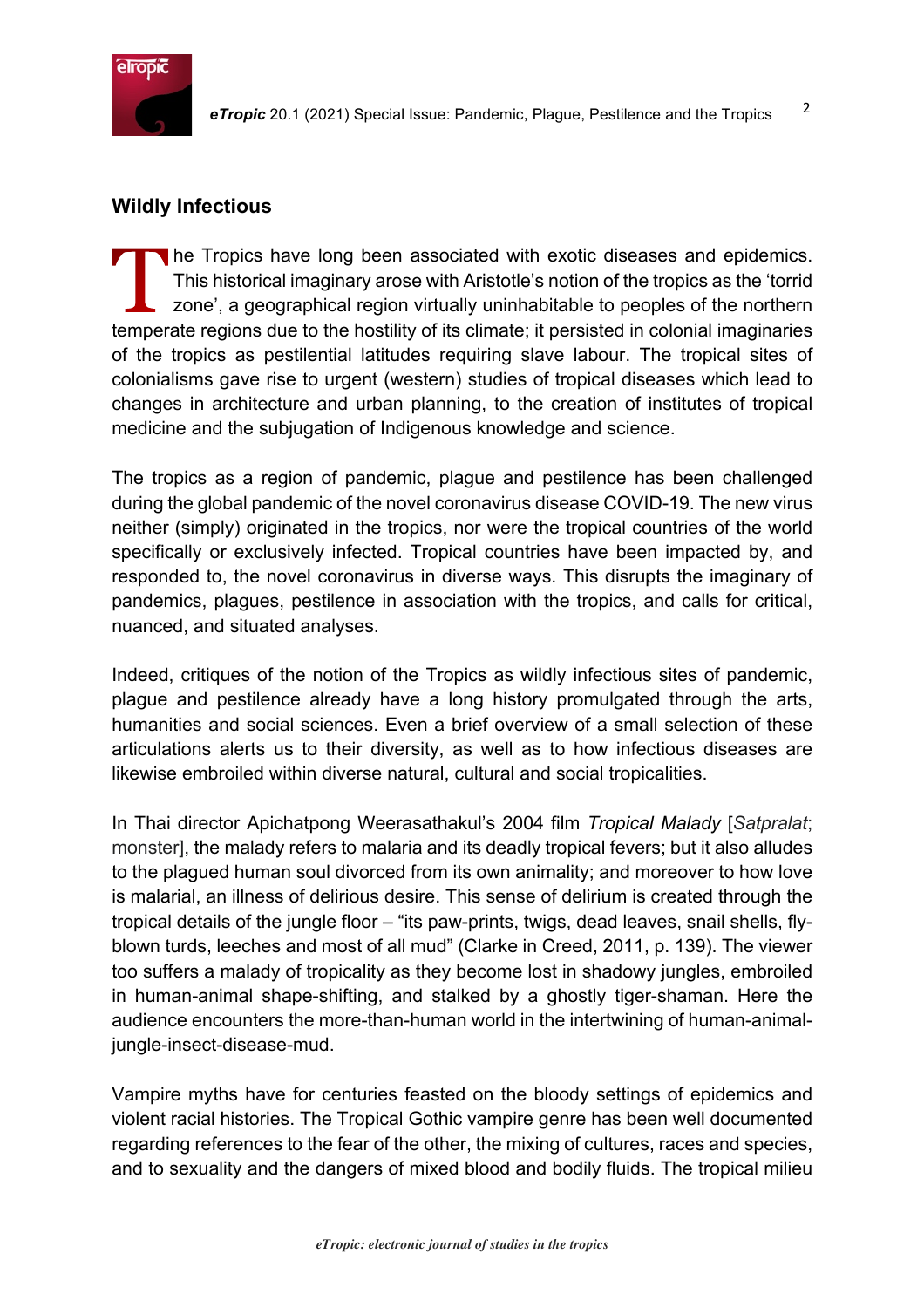

# **Wildly Infectious**

he Tropics have long been associated with exotic diseases and epidemics. This historical imaginary arose with Aristotle's notion of the tropics as the 'torrid zone', a geographical region virtually uninhabitable to peoples of the northern temperate regions due to the hostility of its climate; it persisted in colonial imaginaries of the tropics as pestilential latitudes requiring slave labour. The tropical sites of colonialisms gave rise to urgent (western) studies of tropical diseases which lead to changes in architecture and urban planning, to the creation of institutes of tropical medicine and the subjugation of Indigenous knowledge and science.

The tropics as a region of pandemic, plague and pestilence has been challenged during the global pandemic of the novel coronavirus disease COVID-19. The new virus neither (simply) originated in the tropics, nor were the tropical countries of the world specifically or exclusively infected. Tropical countries have been impacted by, and responded to, the novel coronavirus in diverse ways. This disrupts the imaginary of pandemics, plagues, pestilence in association with the tropics, and calls for critical, nuanced, and situated analyses.

Indeed, critiques of the notion of the Tropics as wildly infectious sites of pandemic, plague and pestilence already have a long history promulgated through the arts, humanities and social sciences. Even a brief overview of a small selection of these articulations alerts us to their diversity, as well as to how infectious diseases are likewise embroiled within diverse natural, cultural and social tropicalities.

In Thai director Apichatpong Weerasathakul's 2004 film *Tropical Malady* [*Satpralat*; monster], the malady refers to malaria and its deadly tropical fevers; but it also alludes to the plagued human soul divorced from its own animality; and moreover to how love is malarial, an illness of delirious desire. This sense of delirium is created through the tropical details of the jungle floor – "its paw-prints, twigs, dead leaves, snail shells, flyblown turds, leeches and most of all mud" (Clarke in Creed, 2011, p. 139). The viewer too suffers a malady of tropicality as they become lost in shadowy jungles, embroiled in human-animal shape-shifting, and stalked by a ghostly tiger-shaman. Here the audience encounters the more-than-human world in the intertwining of human-animaljungle-insect-disease-mud.

Vampire myths have for centuries feasted on the bloody settings of epidemics and violent racial histories. The Tropical Gothic vampire genre has been well documented regarding references to the fear of the other, the mixing of cultures, races and species, and to sexuality and the dangers of mixed blood and bodily fluids. The tropical milieu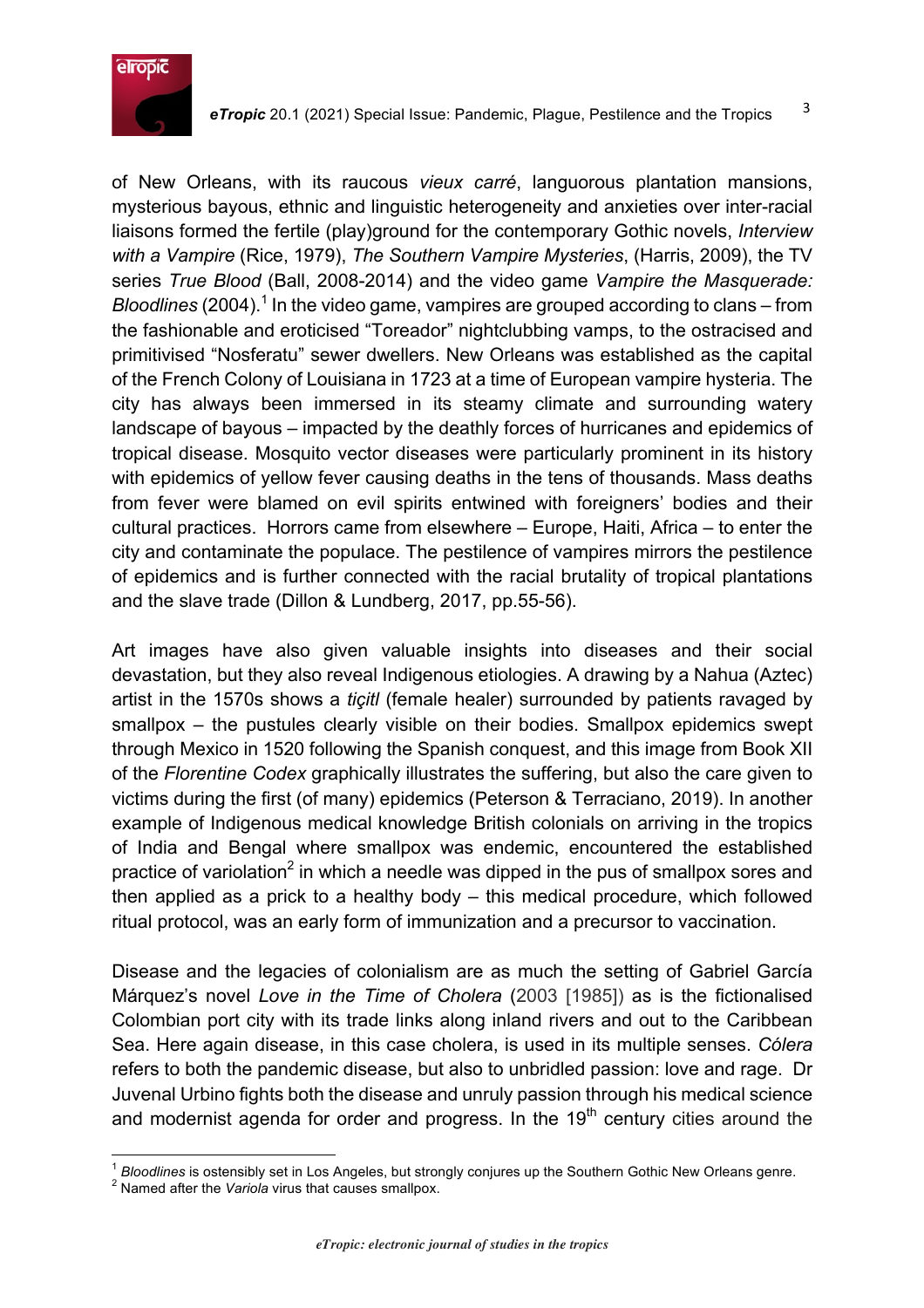

of New Orleans, with its raucous *vieux carré*, languorous plantation mansions, mysterious bayous, ethnic and linguistic heterogeneity and anxieties over inter-racial liaisons formed the fertile (play)ground for the contemporary Gothic novels, *Interview with a Vampire* (Rice, 1979), *The Southern Vampire Mysteries*, (Harris, 2009), the TV series *True Blood* (Ball, 2008-2014) and the video game *Vampire the Masquerade: Bloodlines* (2004). <sup>1</sup> In the video game, vampires are grouped according to clans – from the fashionable and eroticised "Toreador" nightclubbing vamps, to the ostracised and primitivised "Nosferatu" sewer dwellers. New Orleans was established as the capital of the French Colony of Louisiana in 1723 at a time of European vampire hysteria. The city has always been immersed in its steamy climate and surrounding watery landscape of bayous – impacted by the deathly forces of hurricanes and epidemics of tropical disease. Mosquito vector diseases were particularly prominent in its history with epidemics of yellow fever causing deaths in the tens of thousands. Mass deaths from fever were blamed on evil spirits entwined with foreigners' bodies and their cultural practices. Horrors came from elsewhere – Europe, Haiti, Africa – to enter the city and contaminate the populace. The pestilence of vampires mirrors the pestilence of epidemics and is further connected with the racial brutality of tropical plantations and the slave trade (Dillon & Lundberg, 2017, pp.55-56).

Art images have also given valuable insights into diseases and their social devastation, but they also reveal Indigenous etiologies. A drawing by a Nahua (Aztec) artist in the 1570s shows a *tiçitl* (female healer) surrounded by patients ravaged by smallpox – the pustules clearly visible on their bodies. Smallpox epidemics swept through Mexico in 1520 following the Spanish conquest, and this image from Book XII of the *Florentine Codex* graphically illustrates the suffering, but also the care given to victims during the first (of many) epidemics (Peterson & Terraciano, 2019). In another example of Indigenous medical knowledge British colonials on arriving in the tropics of India and Bengal where smallpox was endemic, encountered the established practice of variolation<sup>2</sup> in which a needle was dipped in the pus of smallpox sores and then applied as a prick to a healthy body – this medical procedure, which followed ritual protocol, was an early form of immunization and a precursor to vaccination.

Disease and the legacies of colonialism are as much the setting of Gabriel García Márquez's novel *Love in the Time of Cholera* (2003 [1985]) as is the fictionalised Colombian port city with its trade links along inland rivers and out to the Caribbean Sea. Here again disease, in this case cholera, is used in its multiple senses. *Cólera* refers to both the pandemic disease, but also to unbridled passion: love and rage. Dr Juvenal Urbino fights both the disease and unruly passion through his medical science and modernist agenda for order and progress. In the  $19<sup>th</sup>$  century cities around the

<sup>&</sup>lt;sup>1</sup> Bloodlines is ostensibly set in Los Angeles, but strongly conjures up the Southern Gothic New Orleans genre.<br><sup>2</sup> Named after the *Variola* virus that causes smallpox.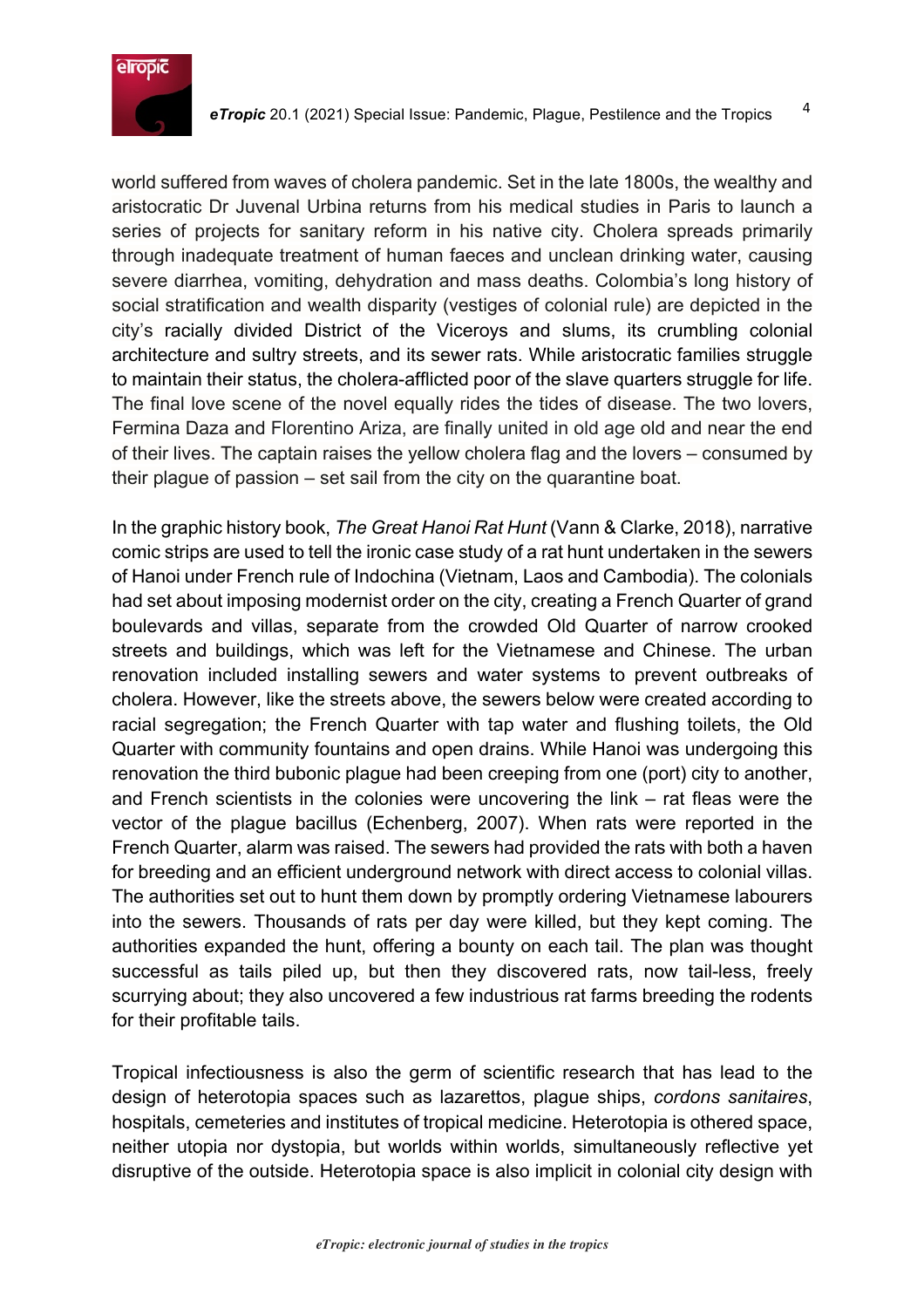

world suffered from waves of cholera pandemic. Set in the late 1800s, the wealthy and aristocratic Dr Juvenal Urbina returns from his medical studies in Paris to launch a series of projects for sanitary reform in his native city. Cholera spreads primarily through inadequate treatment of human faeces and unclean drinking water, causing severe diarrhea, vomiting, dehydration and mass deaths. Colombia's long history of social stratification and wealth disparity (vestiges of colonial rule) are depicted in the city's racially divided District of the Viceroys and slums, its crumbling colonial architecture and sultry streets, and its sewer rats. While aristocratic families struggle to maintain their status, the cholera-afflicted poor of the slave quarters struggle for life. The final love scene of the novel equally rides the tides of disease. The two lovers, Fermina Daza and Florentino Ariza, are finally united in old age old and near the end of their lives. The captain raises the yellow cholera flag and the lovers – consumed by their plague of passion – set sail from the city on the quarantine boat.

In the graphic history book, *The Great Hanoi Rat Hunt* (Vann & Clarke, 2018), narrative comic strips are used to tell the ironic case study of a rat hunt undertaken in the sewers of Hanoi under French rule of Indochina (Vietnam, Laos and Cambodia). The colonials had set about imposing modernist order on the city, creating a French Quarter of grand boulevards and villas, separate from the crowded Old Quarter of narrow crooked streets and buildings, which was left for the Vietnamese and Chinese. The urban renovation included installing sewers and water systems to prevent outbreaks of cholera. However, like the streets above, the sewers below were created according to racial segregation; the French Quarter with tap water and flushing toilets, the Old Quarter with community fountains and open drains. While Hanoi was undergoing this renovation the third bubonic plague had been creeping from one (port) city to another, and French scientists in the colonies were uncovering the link – rat fleas were the vector of the plague bacillus (Echenberg, 2007). When rats were reported in the French Quarter, alarm was raised. The sewers had provided the rats with both a haven for breeding and an efficient underground network with direct access to colonial villas. The authorities set out to hunt them down by promptly ordering Vietnamese labourers into the sewers. Thousands of rats per day were killed, but they kept coming. The authorities expanded the hunt, offering a bounty on each tail. The plan was thought successful as tails piled up, but then they discovered rats, now tail-less, freely scurrying about; they also uncovered a few industrious rat farms breeding the rodents for their profitable tails.

Tropical infectiousness is also the germ of scientific research that has lead to the design of heterotopia spaces such as lazarettos, plague ships, *cordons sanitaires*, hospitals, cemeteries and institutes of tropical medicine. Heterotopia is othered space, neither utopia nor dystopia, but worlds within worlds, simultaneously reflective yet disruptive of the outside. Heterotopia space is also implicit in colonial city design with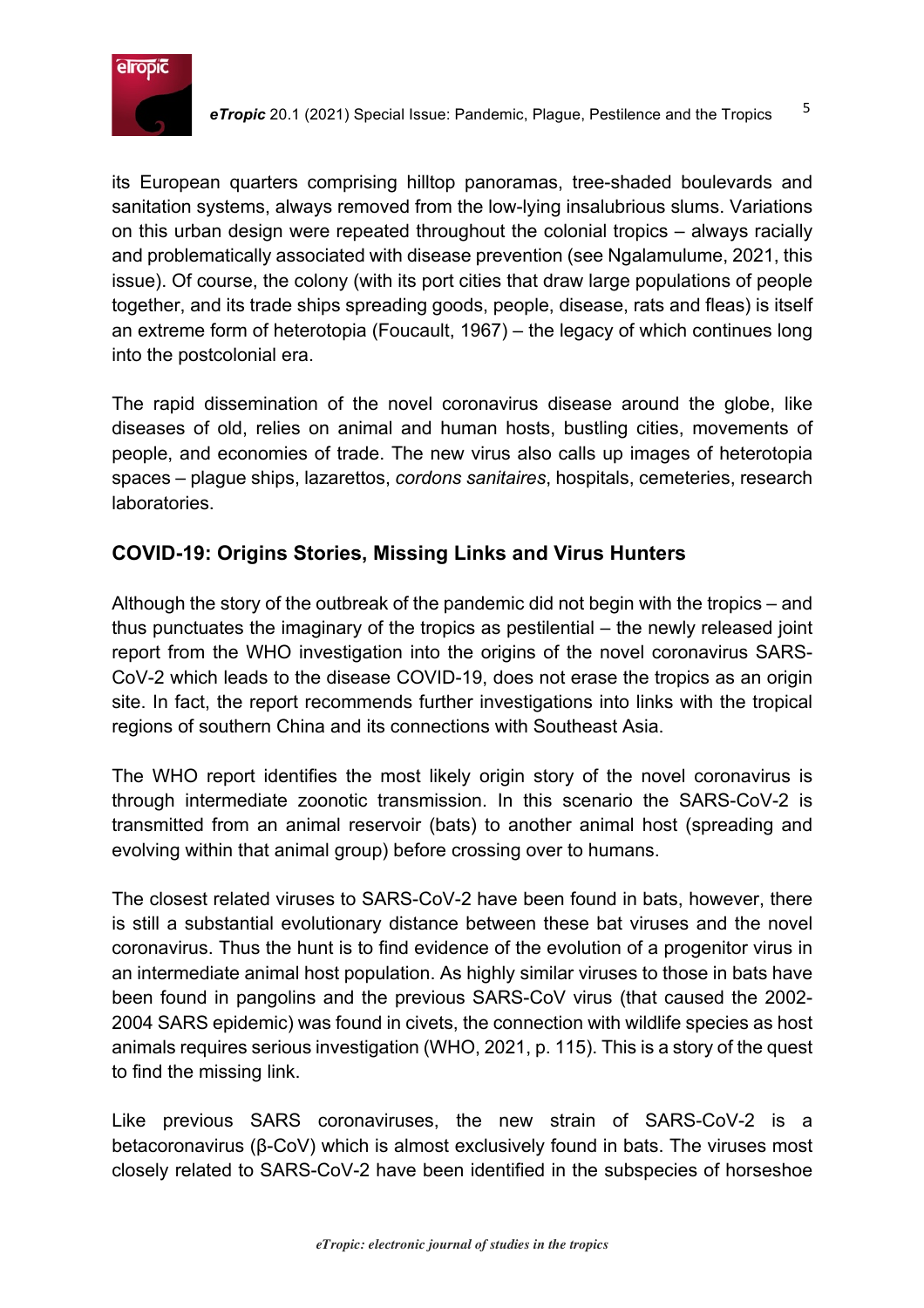

its European quarters comprising hilltop panoramas, tree-shaded boulevards and sanitation systems, always removed from the low-lying insalubrious slums. Variations on this urban design were repeated throughout the colonial tropics – always racially and problematically associated with disease prevention (see Ngalamulume, 2021, this issue). Of course, the colony (with its port cities that draw large populations of people together, and its trade ships spreading goods, people, disease, rats and fleas) is itself an extreme form of heterotopia (Foucault, 1967) – the legacy of which continues long into the postcolonial era.

The rapid dissemination of the novel coronavirus disease around the globe, like diseases of old, relies on animal and human hosts, bustling cities, movements of people, and economies of trade. The new virus also calls up images of heterotopia spaces – plague ships, lazarettos, *cordons sanitaires*, hospitals, cemeteries, research laboratories.

# **COVID-19: Origins Stories, Missing Links and Virus Hunters**

Although the story of the outbreak of the pandemic did not begin with the tropics – and thus punctuates the imaginary of the tropics as pestilential – the newly released joint report from the WHO investigation into the origins of the novel coronavirus SARS-CoV-2 which leads to the disease COVID-19, does not erase the tropics as an origin site. In fact, the report recommends further investigations into links with the tropical regions of southern China and its connections with Southeast Asia.

The WHO report identifies the most likely origin story of the novel coronavirus is through intermediate zoonotic transmission. In this scenario the SARS-CoV-2 is transmitted from an animal reservoir (bats) to another animal host (spreading and evolving within that animal group) before crossing over to humans.

The closest related viruses to SARS-CoV-2 have been found in bats, however, there is still a substantial evolutionary distance between these bat viruses and the novel coronavirus. Thus the hunt is to find evidence of the evolution of a progenitor virus in an intermediate animal host population. As highly similar viruses to those in bats have been found in pangolins and the previous SARS-CoV virus (that caused the 2002- 2004 SARS epidemic) was found in civets, the connection with wildlife species as host animals requires serious investigation (WHO, 2021, p. 115). This is a story of the quest to find the missing link.

Like previous SARS coronaviruses, the new strain of SARS-CoV-2 is a betacoronavirus (β-CoV) which is almost exclusively found in bats. The viruses most closely related to SARS-CoV-2 have been identified in the subspecies of horseshoe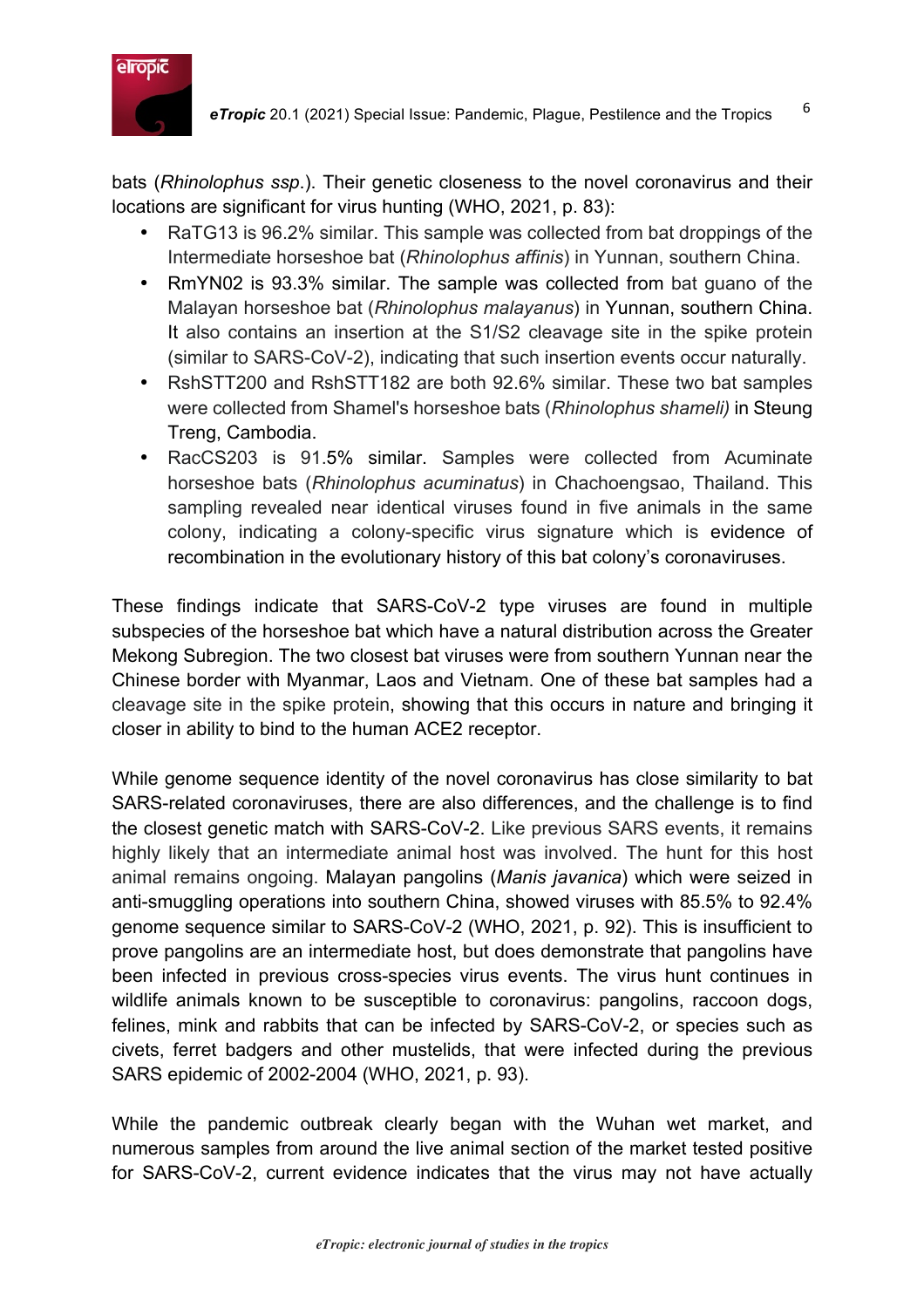

bats (*Rhinolophus ssp*.). Their genetic closeness to the novel coronavirus and their locations are significant for virus hunting (WHO, 2021, p. 83):

- RaTG13 is 96.2% similar. This sample was collected from bat droppings of the Intermediate horseshoe bat (*Rhinolophus affinis*) in Yunnan, southern China.
- RmYN02 is 93.3% similar. The sample was collected from bat guano of the Malayan horseshoe bat (*Rhinolophus malayanus*) in Yunnan, southern China. It also contains an insertion at the S1/S2 cleavage site in the spike protein (similar to SARS-CoV-2), indicating that such insertion events occur naturally.
- RshSTT200 and RshSTT182 are both 92.6% similar. These two bat samples were collected from Shamel's horseshoe bats (*Rhinolophus shameli)* in Steung Treng, Cambodia.
- RacCS203 is 91.5% similar. Samples were collected from Acuminate horseshoe bats (*Rhinolophus acuminatus*) in Chachoengsao, Thailand. This sampling revealed near identical viruses found in five animals in the same colony, indicating a colony-specific virus signature which is evidence of recombination in the evolutionary history of this bat colony's coronaviruses.

These findings indicate that SARS-CoV-2 type viruses are found in multiple subspecies of the horseshoe bat which have a natural distribution across the Greater Mekong Subregion. The two closest bat viruses were from southern Yunnan near the Chinese border with Myanmar, Laos and Vietnam. One of these bat samples had a cleavage site in the spike protein, showing that this occurs in nature and bringing it closer in ability to bind to the human ACE2 receptor.

While genome sequence identity of the novel coronavirus has close similarity to bat SARS-related coronaviruses, there are also differences, and the challenge is to find the closest genetic match with SARS-CoV-2. Like previous SARS events, it remains highly likely that an intermediate animal host was involved. The hunt for this host animal remains ongoing. Malayan pangolins (*Manis javanica*) which were seized in anti-smuggling operations into southern China, showed viruses with 85.5% to 92.4% genome sequence similar to SARS-CoV-2 (WHO, 2021, p. 92). This is insufficient to prove pangolins are an intermediate host, but does demonstrate that pangolins have been infected in previous cross-species virus events. The virus hunt continues in wildlife animals known to be susceptible to coronavirus: pangolins, raccoon dogs, felines, mink and rabbits that can be infected by SARS-CoV-2, or species such as civets, ferret badgers and other mustelids, that were infected during the previous SARS epidemic of 2002-2004 (WHO, 2021, p. 93).

While the pandemic outbreak clearly began with the Wuhan wet market, and numerous samples from around the live animal section of the market tested positive for SARS-CoV-2, current evidence indicates that the virus may not have actually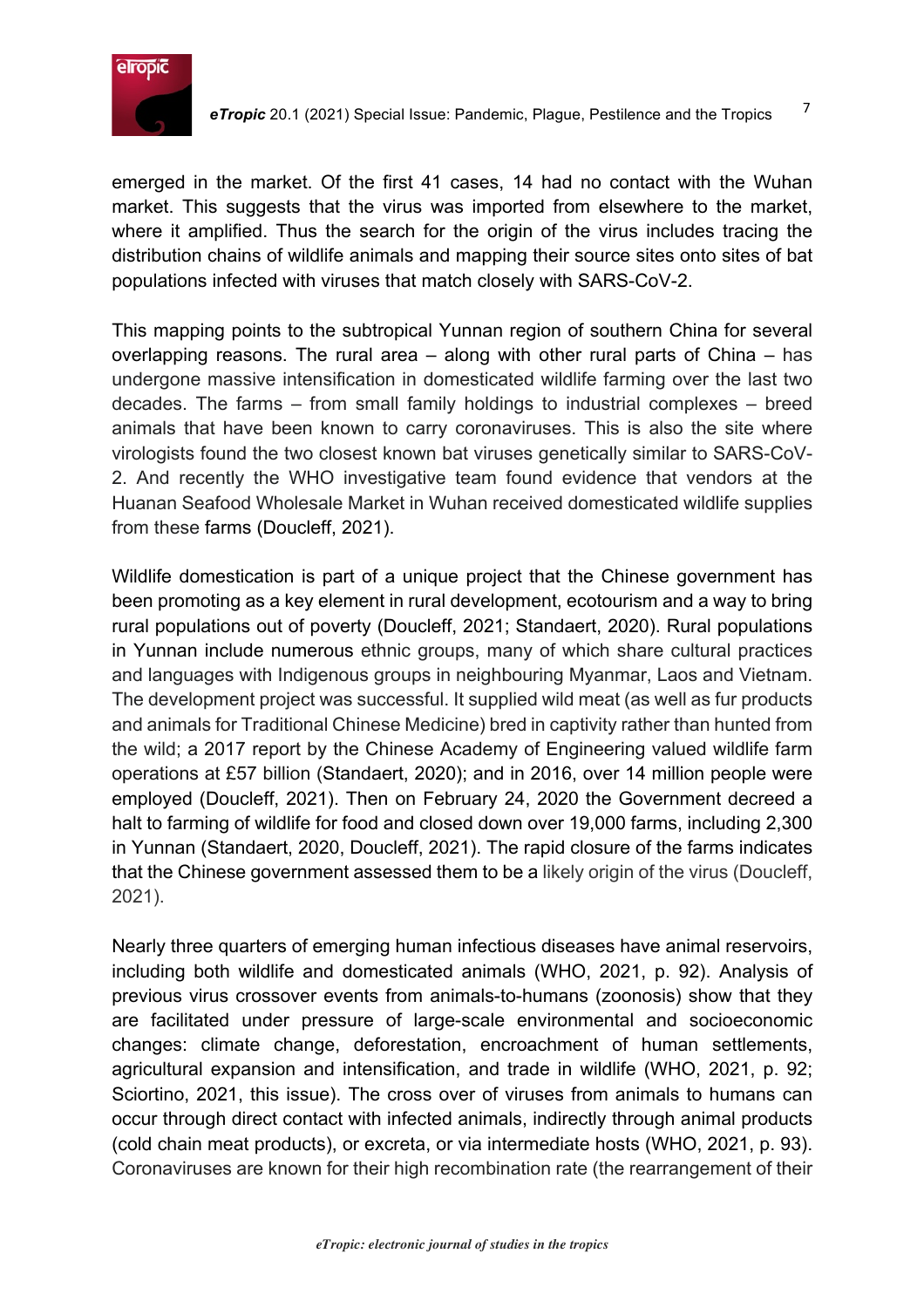

emerged in the market. Of the first 41 cases, 14 had no contact with the Wuhan market. This suggests that the virus was imported from elsewhere to the market, where it amplified. Thus the search for the origin of the virus includes tracing the distribution chains of wildlife animals and mapping their source sites onto sites of bat populations infected with viruses that match closely with SARS-CoV-2.

This mapping points to the subtropical Yunnan region of southern China for several overlapping reasons. The rural area – along with other rural parts of China – has undergone massive intensification in domesticated wildlife farming over the last two decades. The farms – from small family holdings to industrial complexes – breed animals that have been known to carry coronaviruses. This is also the site where virologists found the two closest known bat viruses genetically similar to SARS-CoV-2. And recently the WHO investigative team found evidence that vendors at the Huanan Seafood Wholesale Market in Wuhan received domesticated wildlife supplies from these farms (Doucleff, 2021).

Wildlife domestication is part of a unique project that the Chinese government has been promoting as a key element in rural development, ecotourism and a way to bring rural populations out of poverty (Doucleff, 2021; Standaert, 2020). Rural populations in Yunnan include numerous ethnic groups, many of which share cultural practices and languages with Indigenous groups in neighbouring Myanmar, Laos and Vietnam. The development project was successful. It supplied wild meat (as well as fur products and animals for Traditional Chinese Medicine) bred in captivity rather than hunted from the wild; a 2017 report by the Chinese Academy of Engineering valued wildlife farm operations at £57 billion (Standaert, 2020); and in 2016, over 14 million people were employed (Doucleff, 2021). Then on February 24, 2020 the Government decreed a halt to farming of wildlife for food and closed down over 19,000 farms, including 2,300 in Yunnan (Standaert, 2020, Doucleff, 2021). The rapid closure of the farms indicates that the Chinese government assessed them to be a likely origin of the virus (Doucleff, 2021).

Nearly three quarters of emerging human infectious diseases have animal reservoirs, including both wildlife and domesticated animals (WHO, 2021, p. 92). Analysis of previous virus crossover events from animals-to-humans (zoonosis) show that they are facilitated under pressure of large-scale environmental and socioeconomic changes: climate change, deforestation, encroachment of human settlements, agricultural expansion and intensification, and trade in wildlife (WHO, 2021, p. 92; Sciortino, 2021, this issue). The cross over of viruses from animals to humans can occur through direct contact with infected animals, indirectly through animal products (cold chain meat products), or excreta, or via intermediate hosts (WHO, 2021, p. 93). Coronaviruses are known for their high recombination rate (the rearrangement of their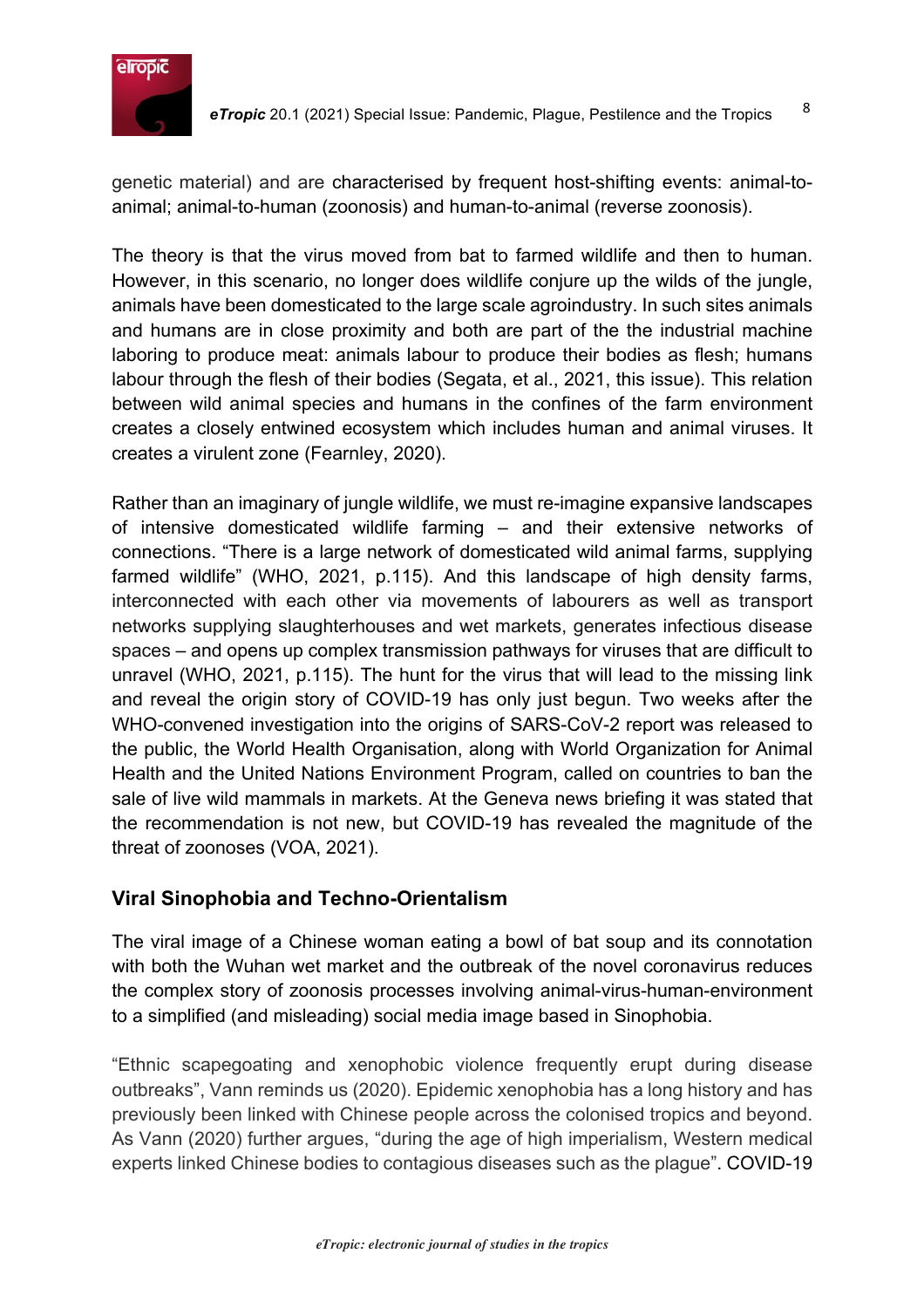

genetic material) and are characterised by frequent host-shifting events: animal-toanimal; animal-to-human (zoonosis) and human-to-animal (reverse zoonosis).

The theory is that the virus moved from bat to farmed wildlife and then to human. However, in this scenario, no longer does wildlife conjure up the wilds of the jungle, animals have been domesticated to the large scale agroindustry. In such sites animals and humans are in close proximity and both are part of the the industrial machine laboring to produce meat: animals labour to produce their bodies as flesh; humans labour through the flesh of their bodies (Segata, et al., 2021, this issue). This relation between wild animal species and humans in the confines of the farm environment creates a closely entwined ecosystem which includes human and animal viruses. It creates a virulent zone (Fearnley, 2020).

Rather than an imaginary of jungle wildlife, we must re-imagine expansive landscapes of intensive domesticated wildlife farming – and their extensive networks of connections. "There is a large network of domesticated wild animal farms, supplying farmed wildlife" (WHO, 2021, p.115). And this landscape of high density farms, interconnected with each other via movements of labourers as well as transport networks supplying slaughterhouses and wet markets, generates infectious disease spaces – and opens up complex transmission pathways for viruses that are difficult to unravel (WHO, 2021, p.115). The hunt for the virus that will lead to the missing link and reveal the origin story of COVID-19 has only just begun. Two weeks after the WHO-convened investigation into the origins of SARS-CoV-2 report was released to the public, the World Health Organisation, along with World Organization for Animal Health and the United Nations Environment Program, called on countries to ban the sale of live wild mammals in markets. At the Geneva news briefing it was stated that the recommendation is not new, but COVID-19 has revealed the magnitude of the threat of zoonoses (VOA, 2021).

# **Viral Sinophobia and Techno-Orientalism**

The viral image of a Chinese woman eating a bowl of bat soup and its connotation with both the Wuhan wet market and the outbreak of the novel coronavirus reduces the complex story of zoonosis processes involving animal-virus-human-environment to a simplified (and misleading) social media image based in Sinophobia.

"Ethnic scapegoating and xenophobic violence frequently erupt during disease outbreaks", Vann reminds us (2020). Epidemic xenophobia has a long history and has previously been linked with Chinese people across the colonised tropics and beyond. As Vann (2020) further argues, "during the age of high imperialism, Western medical experts linked Chinese bodies to contagious diseases such as the plague". COVID-19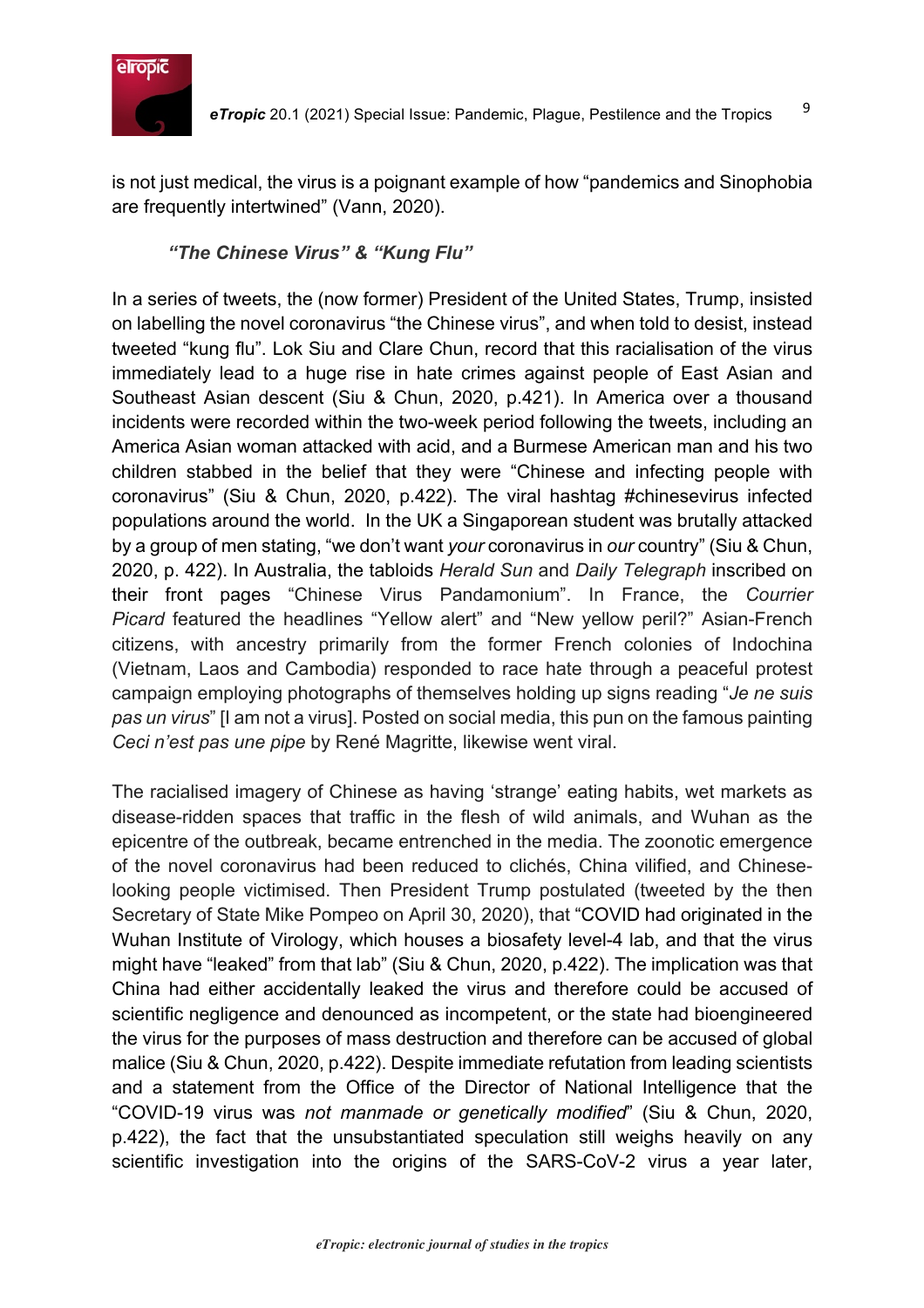

is not just medical, the virus is a poignant example of how "pandemics and Sinophobia are frequently intertwined" (Vann, 2020).

# *"The Chinese Virus" & "Kung Flu"*

In a series of tweets, the (now former) President of the United States, Trump, insisted on labelling the novel coronavirus "the Chinese virus", and when told to desist, instead tweeted "kung flu". Lok Siu and Clare Chun, record that this racialisation of the virus immediately lead to a huge rise in hate crimes against people of East Asian and Southeast Asian descent (Siu & Chun, 2020, p.421). In America over a thousand incidents were recorded within the two-week period following the tweets, including an America Asian woman attacked with acid, and a Burmese American man and his two children stabbed in the belief that they were "Chinese and infecting people with coronavirus" (Siu & Chun, 2020, p.422). The viral hashtag #chinesevirus infected populations around the world. In the UK a Singaporean student was brutally attacked by a group of men stating, "we don't want *your* coronavirus in *our* country" (Siu & Chun, 2020, p. 422). In Australia, the tabloids *Herald Sun* and *Daily Telegraph* inscribed on their front pages "Chinese Virus Pandamonium". In France, the *Courrier Picard* featured the headlines "Yellow alert" and "New yellow peril?" Asian-French citizens, with ancestry primarily from the former French colonies of Indochina (Vietnam, Laos and Cambodia) responded to race hate through a peaceful protest campaign employing photographs of themselves holding up signs reading "*Je ne suis pas un virus*" [I am not a virus]. Posted on social media, this pun on the famous painting *Ceci n'est pas une pipe* by René Magritte, likewise went viral.

The racialised imagery of Chinese as having 'strange' eating habits, wet markets as disease-ridden spaces that traffic in the flesh of wild animals, and Wuhan as the epicentre of the outbreak, became entrenched in the media. The zoonotic emergence of the novel coronavirus had been reduced to clichés, China vilified, and Chineselooking people victimised. Then President Trump postulated (tweeted by the then Secretary of State Mike Pompeo on April 30, 2020), that "COVID had originated in the Wuhan Institute of Virology, which houses a biosafety level-4 lab, and that the virus might have "leaked" from that lab" (Siu & Chun, 2020, p.422). The implication was that China had either accidentally leaked the virus and therefore could be accused of scientific negligence and denounced as incompetent, or the state had bioengineered the virus for the purposes of mass destruction and therefore can be accused of global malice (Siu & Chun, 2020, p.422). Despite immediate refutation from leading scientists and a statement from the Office of the Director of National Intelligence that the "COVID-19 virus was *not manmade or genetically modified*" (Siu & Chun, 2020, p.422), the fact that the unsubstantiated speculation still weighs heavily on any scientific investigation into the origins of the SARS-CoV-2 virus a year later,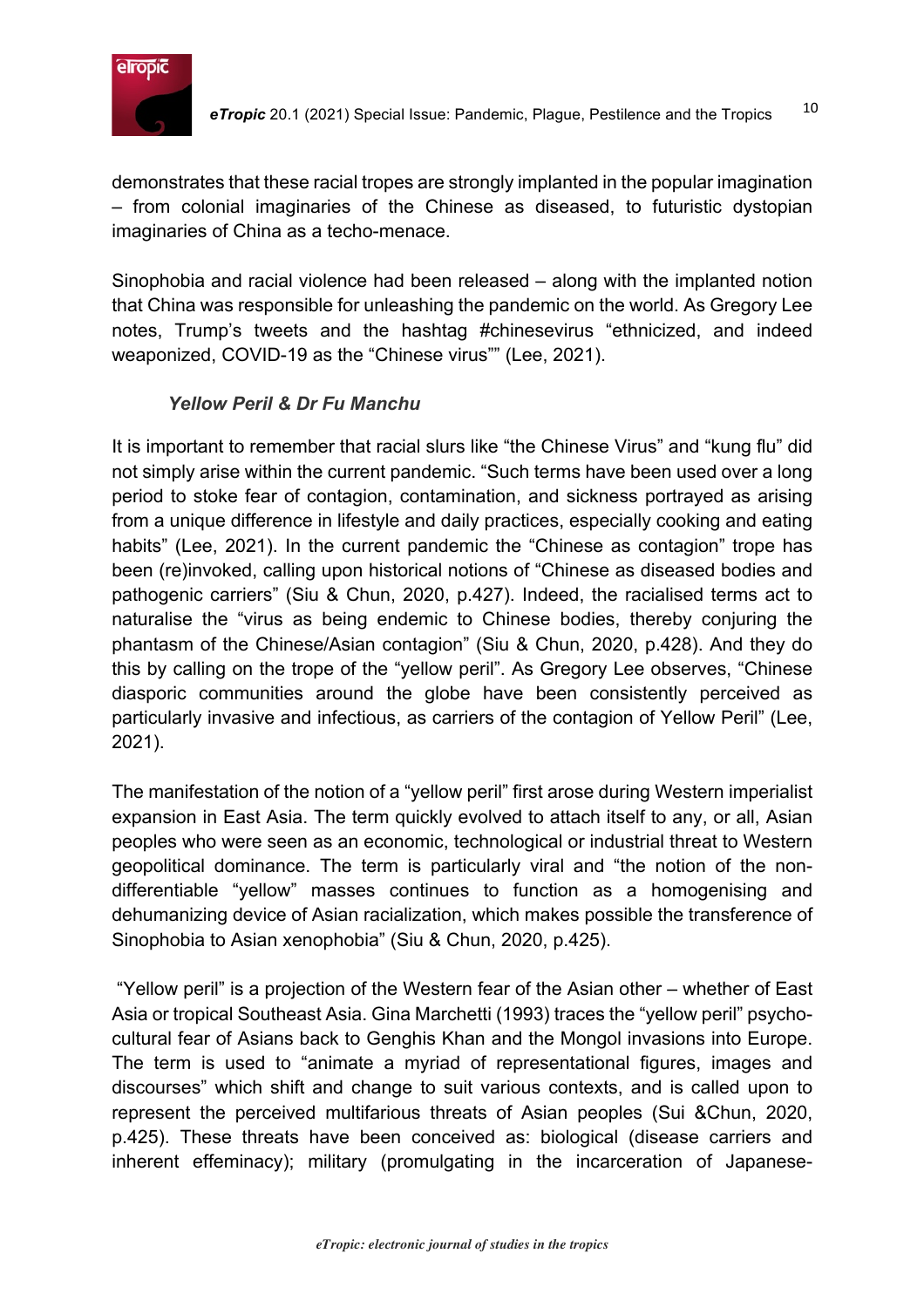

demonstrates that these racial tropes are strongly implanted in the popular imagination – from colonial imaginaries of the Chinese as diseased, to futuristic dystopian imaginaries of China as a techo-menace.

Sinophobia and racial violence had been released – along with the implanted notion that China was responsible for unleashing the pandemic on the world. As Gregory Lee notes, Trump's tweets and the hashtag #chinesevirus "ethnicized, and indeed weaponized, COVID-19 as the "Chinese virus"" (Lee, 2021).

# *Yellow Peril & Dr Fu Manchu*

It is important to remember that racial slurs like "the Chinese Virus" and "kung flu" did not simply arise within the current pandemic. "Such terms have been used over a long period to stoke fear of contagion, contamination, and sickness portrayed as arising from a unique difference in lifestyle and daily practices, especially cooking and eating habits" (Lee, 2021). In the current pandemic the "Chinese as contagion" trope has been (re)invoked, calling upon historical notions of "Chinese as diseased bodies and pathogenic carriers" (Siu & Chun, 2020, p.427). Indeed, the racialised terms act to naturalise the "virus as being endemic to Chinese bodies, thereby conjuring the phantasm of the Chinese/Asian contagion" (Siu & Chun, 2020, p.428). And they do this by calling on the trope of the "yellow peril". As Gregory Lee observes, "Chinese diasporic communities around the globe have been consistently perceived as particularly invasive and infectious, as carriers of the contagion of Yellow Peril" (Lee, 2021).

The manifestation of the notion of a "yellow peril" first arose during Western imperialist expansion in East Asia. The term quickly evolved to attach itself to any, or all, Asian peoples who were seen as an economic, technological or industrial threat to Western geopolitical dominance. The term is particularly viral and "the notion of the nondifferentiable "yellow" masses continues to function as a homogenising and dehumanizing device of Asian racialization, which makes possible the transference of Sinophobia to Asian xenophobia" (Siu & Chun, 2020, p.425).

"Yellow peril" is a projection of the Western fear of the Asian other – whether of East Asia or tropical Southeast Asia. Gina Marchetti (1993) traces the "yellow peril" psychocultural fear of Asians back to Genghis Khan and the Mongol invasions into Europe. The term is used to "animate a myriad of representational figures, images and discourses" which shift and change to suit various contexts, and is called upon to represent the perceived multifarious threats of Asian peoples (Sui &Chun, 2020, p.425). These threats have been conceived as: biological (disease carriers and inherent effeminacy); military (promulgating in the incarceration of Japanese-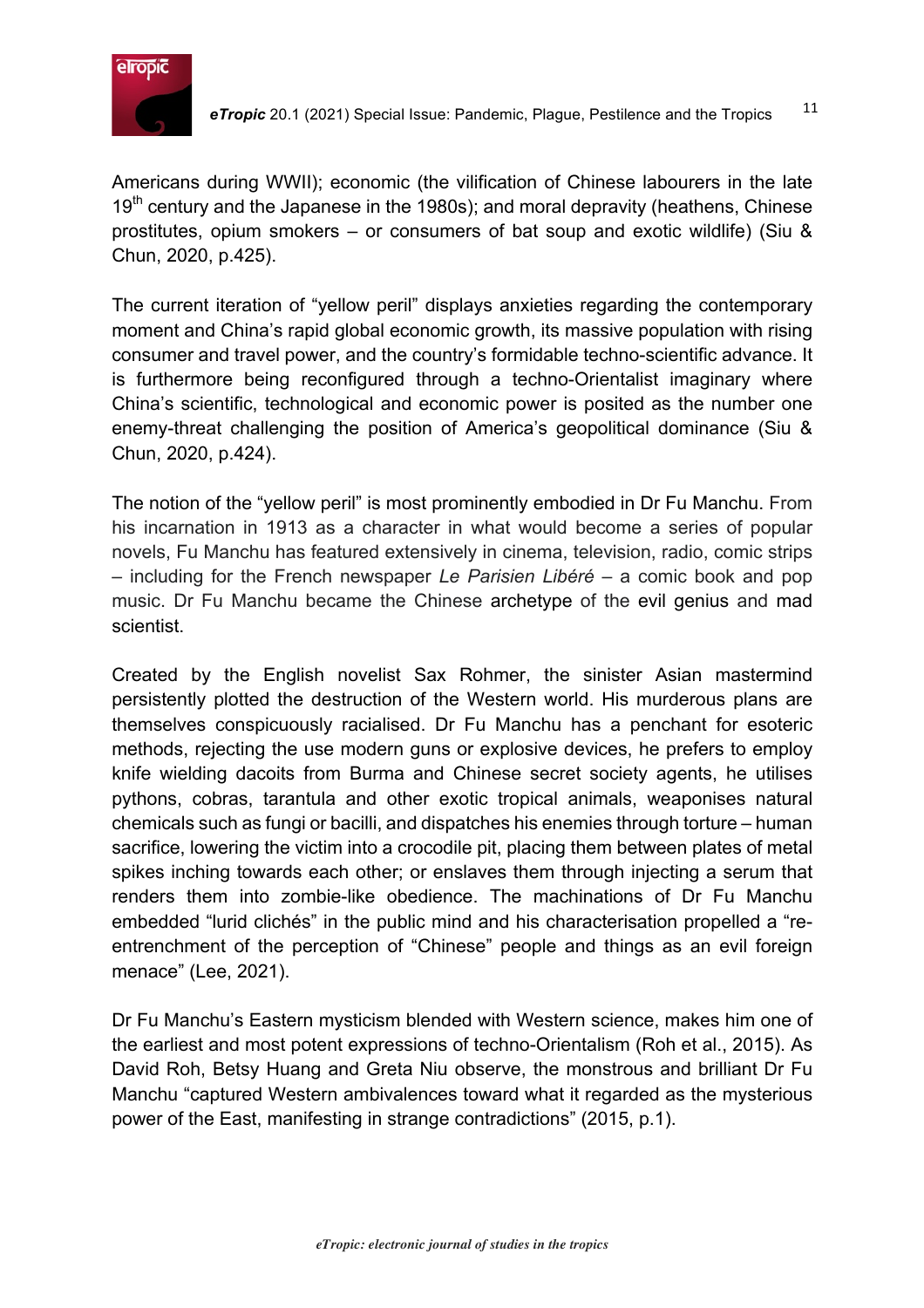

Americans during WWII); economic (the vilification of Chinese labourers in the late  $19<sup>th</sup>$  century and the Japanese in the 1980s); and moral depravity (heathens, Chinese prostitutes, opium smokers – or consumers of bat soup and exotic wildlife) (Siu & Chun, 2020, p.425).

The current iteration of "yellow peril" displays anxieties regarding the contemporary moment and China's rapid global economic growth, its massive population with rising consumer and travel power, and the country's formidable techno-scientific advance. It is furthermore being reconfigured through a techno-Orientalist imaginary where China's scientific, technological and economic power is posited as the number one enemy-threat challenging the position of America's geopolitical dominance (Siu & Chun, 2020, p.424).

The notion of the "yellow peril" is most prominently embodied in Dr Fu Manchu. From his incarnation in 1913 as a character in what would become a series of popular novels, Fu Manchu has featured extensively in cinema, television, radio, comic strips – including for the French newspaper *Le Parisien Libéré* – a comic book and pop music. Dr Fu Manchu became the Chinese archetype of the evil genius and mad scientist.

Created by the English novelist Sax Rohmer, the sinister Asian mastermind persistently plotted the destruction of the Western world. His murderous plans are themselves conspicuously racialised. Dr Fu Manchu has a penchant for esoteric methods, rejecting the use modern guns or explosive devices, he prefers to employ knife wielding dacoits from Burma and Chinese secret society agents, he utilises pythons, cobras, tarantula and other exotic tropical animals, weaponises natural chemicals such as fungi or bacilli, and dispatches his enemies through torture – human sacrifice, lowering the victim into a crocodile pit, placing them between plates of metal spikes inching towards each other; or enslaves them through injecting a serum that renders them into zombie-like obedience. The machinations of Dr Fu Manchu embedded "lurid clichés" in the public mind and his characterisation propelled a "reentrenchment of the perception of "Chinese" people and things as an evil foreign menace" (Lee, 2021).

Dr Fu Manchu's Eastern mysticism blended with Western science, makes him one of the earliest and most potent expressions of techno-Orientalism (Roh et al., 2015). As David Roh, Betsy Huang and Greta Niu observe, the monstrous and brilliant Dr Fu Manchu "captured Western ambivalences toward what it regarded as the mysterious power of the East, manifesting in strange contradictions" (2015, p.1).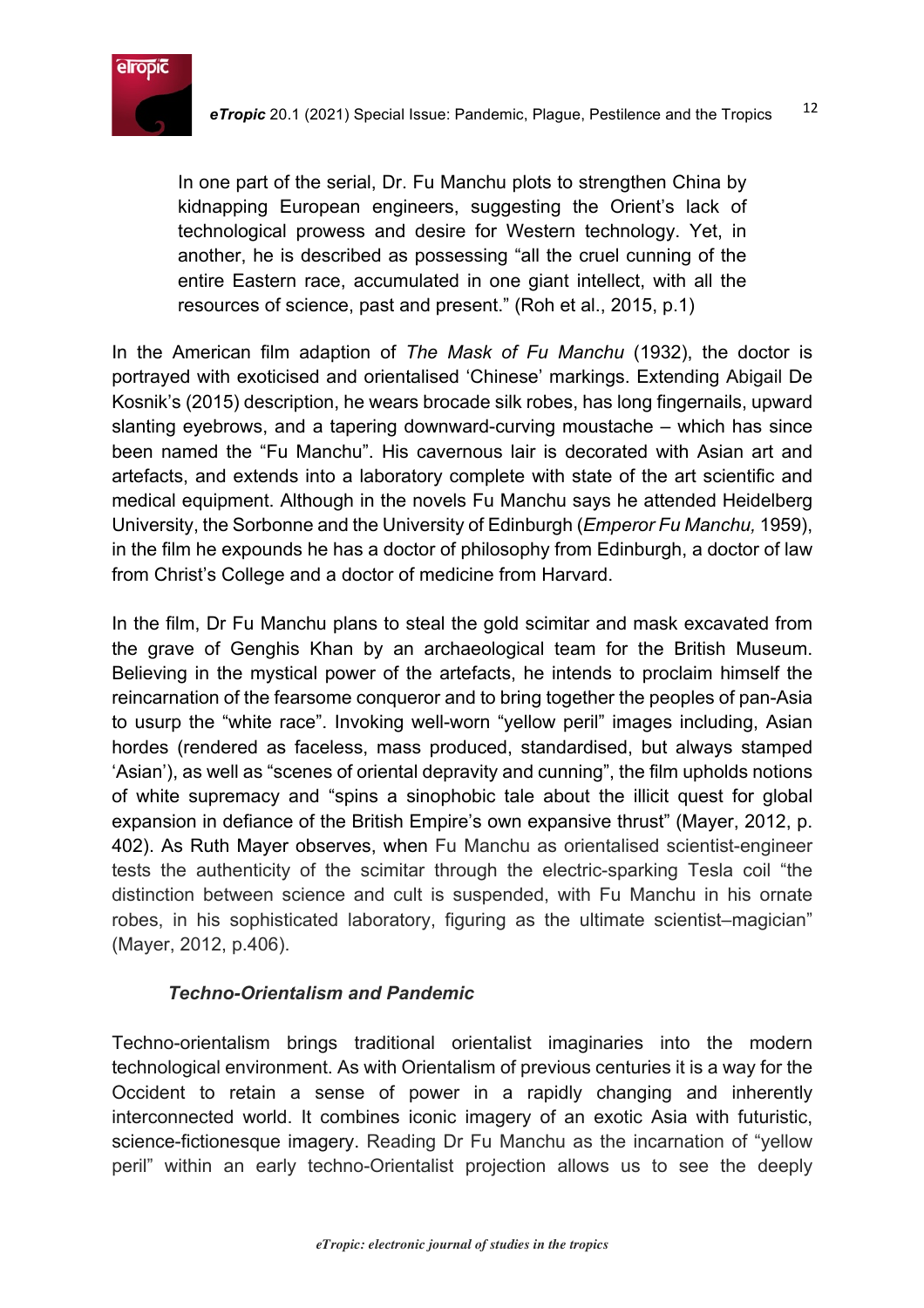

In one part of the serial, Dr. Fu Manchu plots to strengthen China by kidnapping European engineers, suggesting the Orient's lack of technological prowess and desire for Western technology. Yet, in another, he is described as possessing "all the cruel cunning of the entire Eastern race, accumulated in one giant intellect, with all the resources of science, past and present." (Roh et al., 2015, p.1)

In the American film adaption of *The Mask of Fu Manchu* (1932), the doctor is portrayed with exoticised and orientalised 'Chinese' markings. Extending Abigail De Kosnik's (2015) description, he wears brocade silk robes, has long fingernails, upward slanting eyebrows, and a tapering downward-curving moustache – which has since been named the "Fu Manchu". His cavernous lair is decorated with Asian art and artefacts, and extends into a laboratory complete with state of the art scientific and medical equipment. Although in the novels Fu Manchu says he attended Heidelberg University, the Sorbonne and the University of Edinburgh (*Emperor Fu Manchu,* 1959), in the film he expounds he has a doctor of philosophy from Edinburgh, a doctor of law from Christ's College and a doctor of medicine from Harvard.

In the film, Dr Fu Manchu plans to steal the gold scimitar and mask excavated from the grave of Genghis Khan by an archaeological team for the British Museum. Believing in the mystical power of the artefacts, he intends to proclaim himself the reincarnation of the fearsome conqueror and to bring together the peoples of pan-Asia to usurp the "white race". Invoking well-worn "yellow peril" images including, Asian hordes (rendered as faceless, mass produced, standardised, but always stamped 'Asian'), as well as "scenes of oriental depravity and cunning", the film upholds notions of white supremacy and "spins a sinophobic tale about the illicit quest for global expansion in defiance of the British Empire's own expansive thrust" (Mayer, 2012, p. 402). As Ruth Mayer observes, when Fu Manchu as orientalised scientist-engineer tests the authenticity of the scimitar through the electric-sparking Tesla coil "the distinction between science and cult is suspended, with Fu Manchu in his ornate robes, in his sophisticated laboratory, figuring as the ultimate scientist–magician" (Mayer, 2012, p.406).

# *Techno-Orientalism and Pandemic*

Techno-orientalism brings traditional orientalist imaginaries into the modern technological environment. As with Orientalism of previous centuries it is a way for the Occident to retain a sense of power in a rapidly changing and inherently interconnected world. It combines iconic imagery of an exotic Asia with futuristic, science-fictionesque imagery. Reading Dr Fu Manchu as the incarnation of "yellow peril" within an early techno-Orientalist projection allows us to see the deeply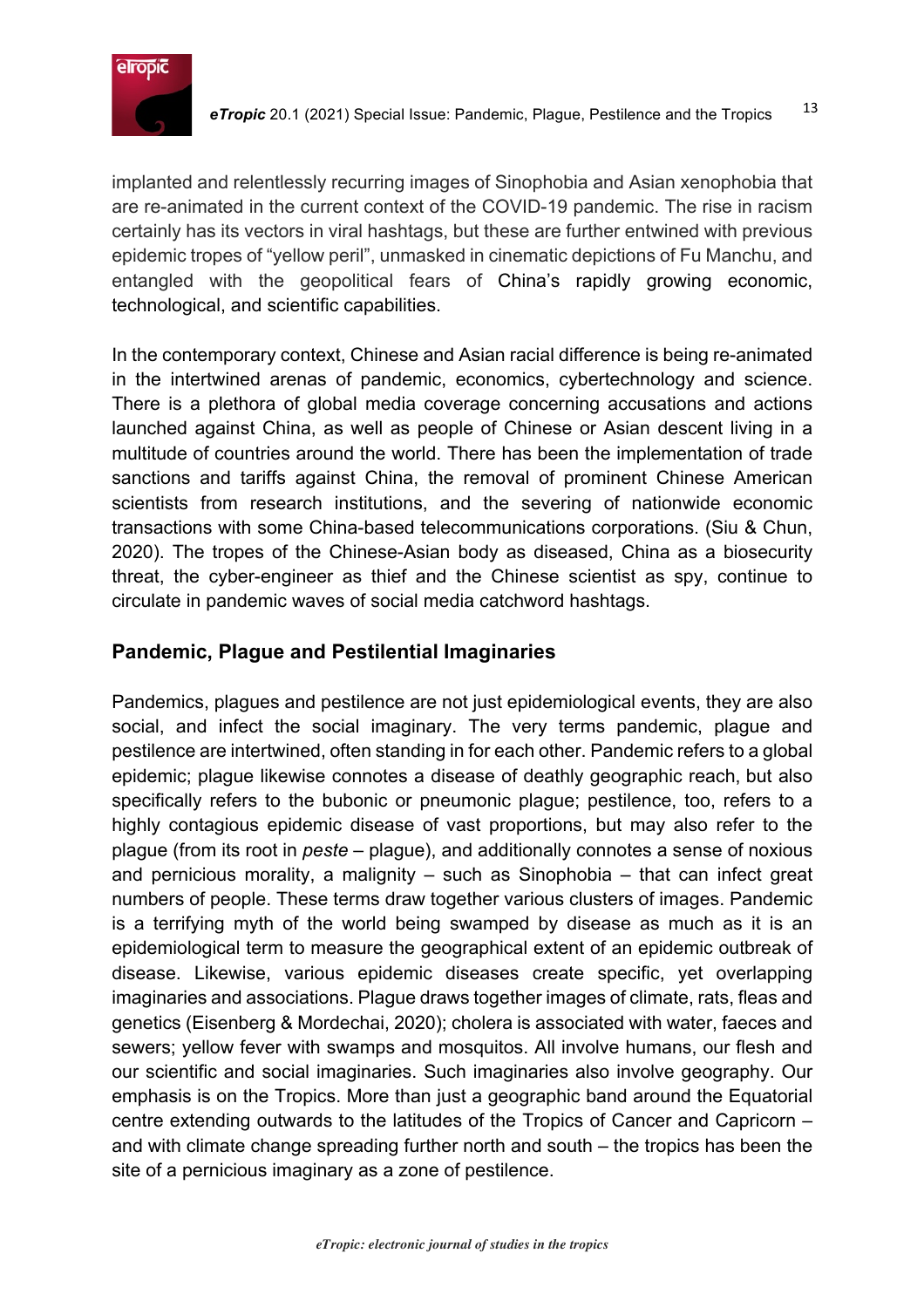

implanted and relentlessly recurring images of Sinophobia and Asian xenophobia that are re-animated in the current context of the COVID-19 pandemic. The rise in racism certainly has its vectors in viral hashtags, but these are further entwined with previous epidemic tropes of "yellow peril", unmasked in cinematic depictions of Fu Manchu, and entangled with the geopolitical fears of China's rapidly growing economic, technological, and scientific capabilities.

In the contemporary context, Chinese and Asian racial difference is being re-animated in the intertwined arenas of pandemic, economics, cybertechnology and science. There is a plethora of global media coverage concerning accusations and actions launched against China, as well as people of Chinese or Asian descent living in a multitude of countries around the world. There has been the implementation of trade sanctions and tariffs against China, the removal of prominent Chinese American scientists from research institutions, and the severing of nationwide economic transactions with some China-based telecommunications corporations. (Siu & Chun, 2020). The tropes of the Chinese-Asian body as diseased, China as a biosecurity threat, the cyber-engineer as thief and the Chinese scientist as spy, continue to circulate in pandemic waves of social media catchword hashtags.

# **Pandemic, Plague and Pestilential Imaginaries**

Pandemics, plagues and pestilence are not just epidemiological events, they are also social, and infect the social imaginary. The very terms pandemic, plague and pestilence are intertwined, often standing in for each other. Pandemic refers to a global epidemic; plague likewise connotes a disease of deathly geographic reach, but also specifically refers to the bubonic or pneumonic plague; pestilence, too, refers to a highly contagious epidemic disease of vast proportions, but may also refer to the plague (from its root in *peste* – plague), and additionally connotes a sense of noxious and pernicious morality, a malignity – such as Sinophobia – that can infect great numbers of people. These terms draw together various clusters of images. Pandemic is a terrifying myth of the world being swamped by disease as much as it is an epidemiological term to measure the geographical extent of an epidemic outbreak of disease. Likewise, various epidemic diseases create specific, yet overlapping imaginaries and associations. Plague draws together images of climate, rats, fleas and genetics (Eisenberg & Mordechai, 2020); cholera is associated with water, faeces and sewers; yellow fever with swamps and mosquitos. All involve humans, our flesh and our scientific and social imaginaries. Such imaginaries also involve geography. Our emphasis is on the Tropics. More than just a geographic band around the Equatorial centre extending outwards to the latitudes of the Tropics of Cancer and Capricorn – and with climate change spreading further north and south – the tropics has been the site of a pernicious imaginary as a zone of pestilence.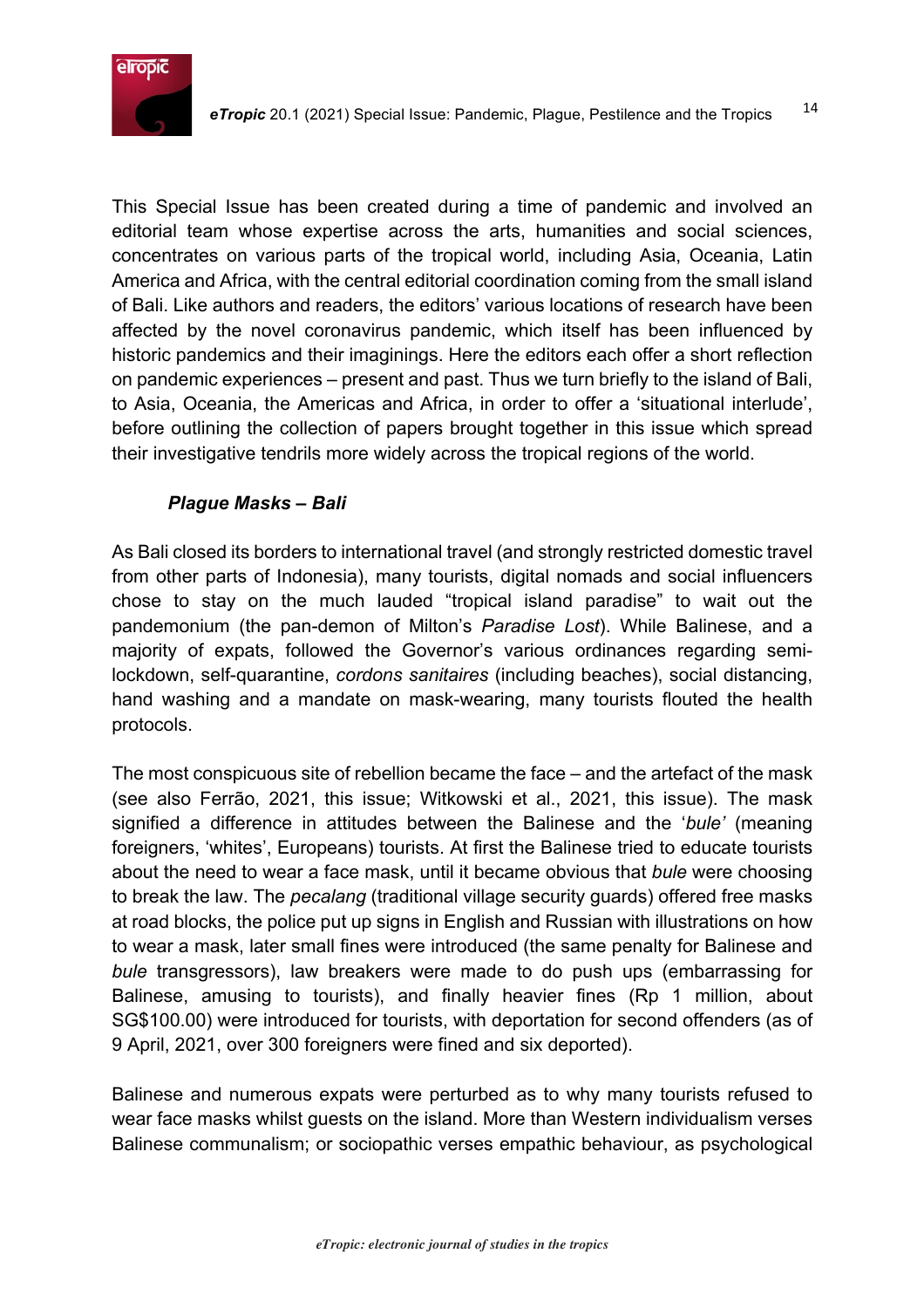

This Special Issue has been created during a time of pandemic and involved an editorial team whose expertise across the arts, humanities and social sciences, concentrates on various parts of the tropical world, including Asia, Oceania, Latin America and Africa, with the central editorial coordination coming from the small island of Bali. Like authors and readers, the editors' various locations of research have been affected by the novel coronavirus pandemic, which itself has been influenced by historic pandemics and their imaginings. Here the editors each offer a short reflection on pandemic experiences – present and past. Thus we turn briefly to the island of Bali, to Asia, Oceania, the Americas and Africa, in order to offer a 'situational interlude', before outlining the collection of papers brought together in this issue which spread their investigative tendrils more widely across the tropical regions of the world.

#### *Plague Masks – Bali*

As Bali closed its borders to international travel (and strongly restricted domestic travel from other parts of Indonesia), many tourists, digital nomads and social influencers chose to stay on the much lauded "tropical island paradise" to wait out the pandemonium (the pan-demon of Milton's *Paradise Lost*). While Balinese, and a majority of expats, followed the Governor's various ordinances regarding semilockdown, self-quarantine, *cordons sanitaires* (including beaches), social distancing, hand washing and a mandate on mask-wearing, many tourists flouted the health protocols.

The most conspicuous site of rebellion became the face – and the artefact of the mask (see also Ferrão, 2021, this issue; Witkowski et al., 2021, this issue). The mask signified a difference in attitudes between the Balinese and the '*bule'* (meaning foreigners, 'whites', Europeans) tourists. At first the Balinese tried to educate tourists about the need to wear a face mask, until it became obvious that *bule* were choosing to break the law. The *pecalang* (traditional village security guards) offered free masks at road blocks, the police put up signs in English and Russian with illustrations on how to wear a mask, later small fines were introduced (the same penalty for Balinese and *bule* transgressors), law breakers were made to do push ups (embarrassing for Balinese, amusing to tourists), and finally heavier fines (Rp 1 million, about SG\$100.00) were introduced for tourists, with deportation for second offenders (as of 9 April, 2021, over 300 foreigners were fined and six deported).

Balinese and numerous expats were perturbed as to why many tourists refused to wear face masks whilst guests on the island. More than Western individualism verses Balinese communalism; or sociopathic verses empathic behaviour, as psychological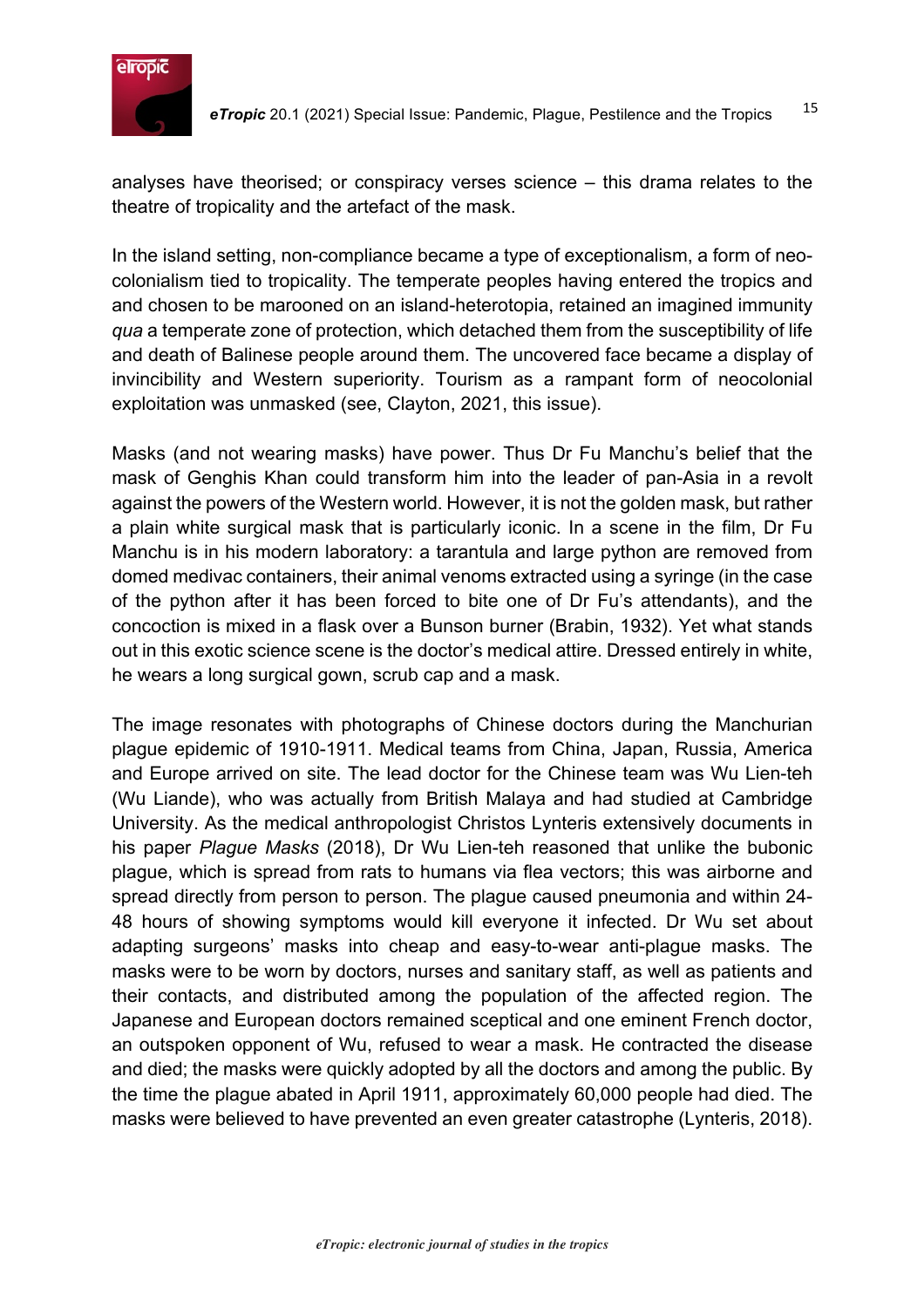

analyses have theorised; or conspiracy verses science – this drama relates to the theatre of tropicality and the artefact of the mask.

In the island setting, non-compliance became a type of exceptionalism, a form of neocolonialism tied to tropicality. The temperate peoples having entered the tropics and and chosen to be marooned on an island-heterotopia, retained an imagined immunity *qua* a temperate zone of protection, which detached them from the susceptibility of life and death of Balinese people around them. The uncovered face became a display of invincibility and Western superiority. Tourism as a rampant form of neocolonial exploitation was unmasked (see, Clayton, 2021, this issue).

Masks (and not wearing masks) have power. Thus Dr Fu Manchu's belief that the mask of Genghis Khan could transform him into the leader of pan-Asia in a revolt against the powers of the Western world. However, it is not the golden mask, but rather a plain white surgical mask that is particularly iconic. In a scene in the film, Dr Fu Manchu is in his modern laboratory: a tarantula and large python are removed from domed medivac containers, their animal venoms extracted using a syringe (in the case of the python after it has been forced to bite one of Dr Fu's attendants), and the concoction is mixed in a flask over a Bunson burner (Brabin, 1932). Yet what stands out in this exotic science scene is the doctor's medical attire. Dressed entirely in white, he wears a long surgical gown, scrub cap and a mask.

The image resonates with photographs of Chinese doctors during the Manchurian plague epidemic of 1910-1911. Medical teams from China, Japan, Russia, America and Europe arrived on site. The lead doctor for the Chinese team was Wu Lien-teh (Wu Liande), who was actually from British Malaya and had studied at Cambridge University. As the medical anthropologist Christos Lynteris extensively documents in his paper *Plague Masks* (2018), Dr Wu Lien-teh reasoned that unlike the bubonic plague, which is spread from rats to humans via flea vectors; this was airborne and spread directly from person to person. The plague caused pneumonia and within 24- 48 hours of showing symptoms would kill everyone it infected. Dr Wu set about adapting surgeons' masks into cheap and easy-to-wear anti-plague masks. The masks were to be worn by doctors, nurses and sanitary staff, as well as patients and their contacts, and distributed among the population of the affected region. The Japanese and European doctors remained sceptical and one eminent French doctor, an outspoken opponent of Wu, refused to wear a mask. He contracted the disease and died; the masks were quickly adopted by all the doctors and among the public. By the time the plague abated in April 1911, approximately 60,000 people had died. The masks were believed to have prevented an even greater catastrophe (Lynteris, 2018).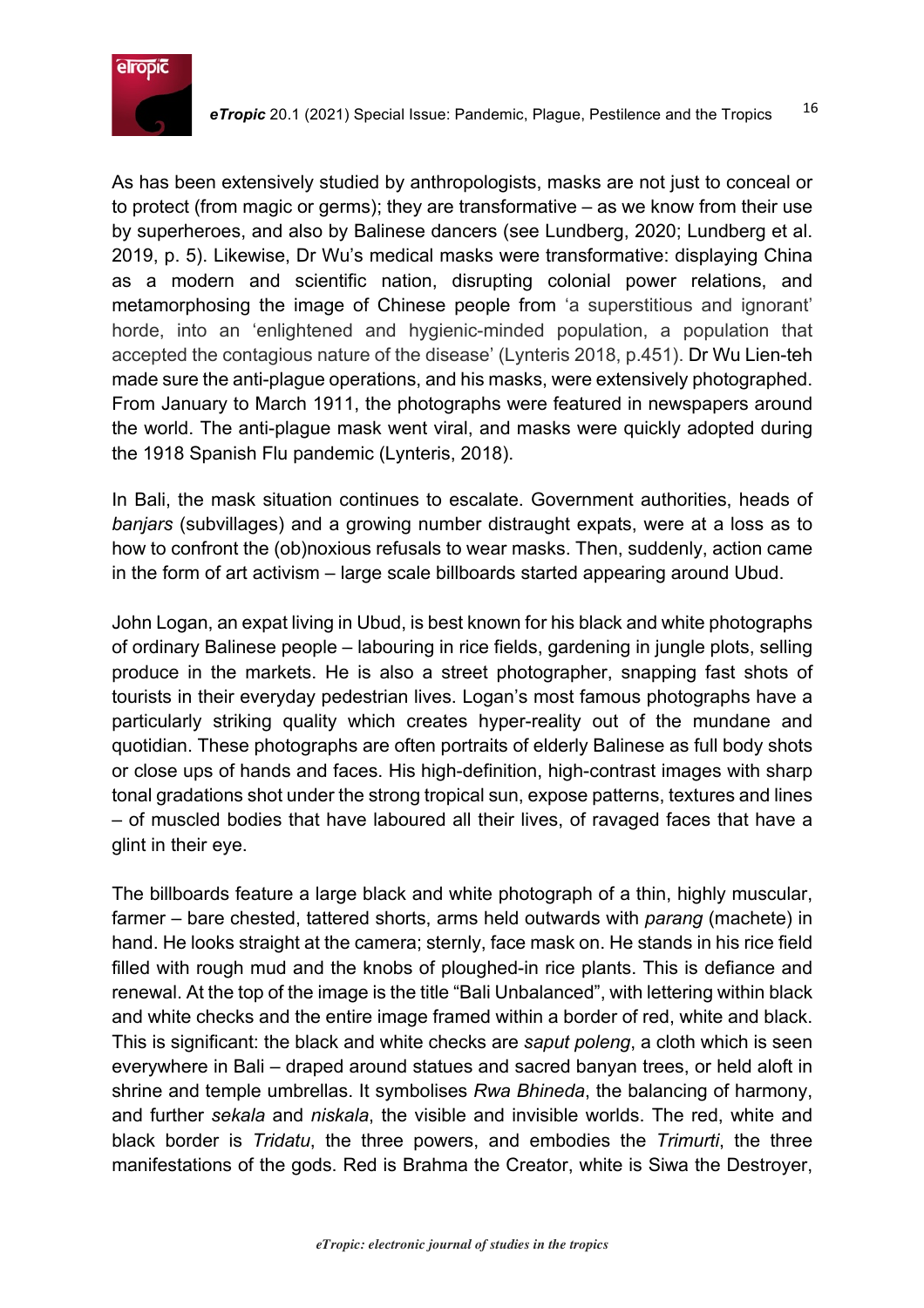

As has been extensively studied by anthropologists, masks are not just to conceal or to protect (from magic or germs); they are transformative – as we know from their use by superheroes, and also by Balinese dancers (see Lundberg, 2020; Lundberg et al. 2019, p. 5). Likewise, Dr Wu's medical masks were transformative: displaying China as a modern and scientific nation, disrupting colonial power relations, and metamorphosing the image of Chinese people from 'a superstitious and ignorant' horde, into an 'enlightened and hygienic-minded population, a population that accepted the contagious nature of the disease' (Lynteris 2018, p.451). Dr Wu Lien-teh made sure the anti-plague operations, and his masks, were extensively photographed. From January to March 1911, the photographs were featured in newspapers around the world. The anti-plague mask went viral, and masks were quickly adopted during the 1918 Spanish Flu pandemic (Lynteris, 2018).

In Bali, the mask situation continues to escalate. Government authorities, heads of *banjars* (subvillages) and a growing number distraught expats, were at a loss as to how to confront the (ob)noxious refusals to wear masks. Then, suddenly, action came in the form of art activism – large scale billboards started appearing around Ubud.

John Logan, an expat living in Ubud, is best known for his black and white photographs of ordinary Balinese people – labouring in rice fields, gardening in jungle plots, selling produce in the markets. He is also a street photographer, snapping fast shots of tourists in their everyday pedestrian lives. Logan's most famous photographs have a particularly striking quality which creates hyper-reality out of the mundane and quotidian. These photographs are often portraits of elderly Balinese as full body shots or close ups of hands and faces. His high-definition, high-contrast images with sharp tonal gradations shot under the strong tropical sun, expose patterns, textures and lines – of muscled bodies that have laboured all their lives, of ravaged faces that have a glint in their eye.

The billboards feature a large black and white photograph of a thin, highly muscular, farmer – bare chested, tattered shorts, arms held outwards with *parang* (machete) in hand. He looks straight at the camera; sternly, face mask on. He stands in his rice field filled with rough mud and the knobs of ploughed-in rice plants. This is defiance and renewal. At the top of the image is the title "Bali Unbalanced", with lettering within black and white checks and the entire image framed within a border of red, white and black. This is significant: the black and white checks are *saput poleng*, a cloth which is seen everywhere in Bali – draped around statues and sacred banyan trees, or held aloft in shrine and temple umbrellas. It symbolises *Rwa Bhineda*, the balancing of harmony, and further *sekala* and *niskala*, the visible and invisible worlds. The red, white and black border is *Tridatu*, the three powers, and embodies the *Trimurti*, the three manifestations of the gods. Red is Brahma the Creator, white is Siwa the Destroyer,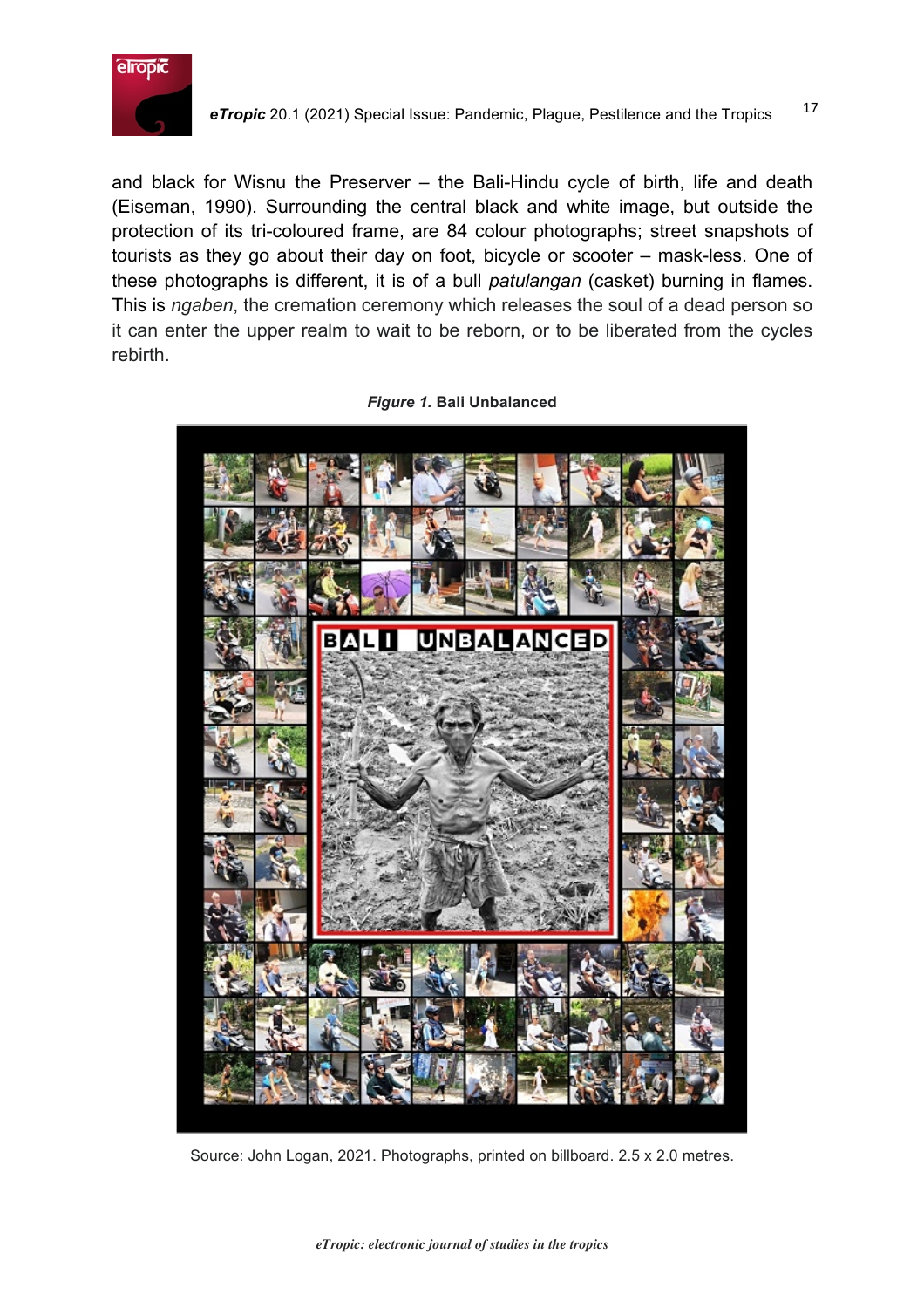

and black for Wisnu the Preserver – the Bali-Hindu cycle of birth, life and death (Eiseman, 1990). Surrounding the central black and white image, but outside the protection of its tri-coloured frame, are 84 colour photographs; street snapshots of tourists as they go about their day on foot, bicycle or scooter – mask-less. One of these photographs is different, it is of a bull *patulangan* (casket) burning in flames. This is *ngaben*, the cremation ceremony which releases the soul of a dead person so it can enter the upper realm to wait to be reborn, or to be liberated from the cycles rebirth.



*Figure 1.* **Bali Unbalanced**

Source: John Logan, 2021. Photographs, printed on billboard. 2.5 x 2.0 metres.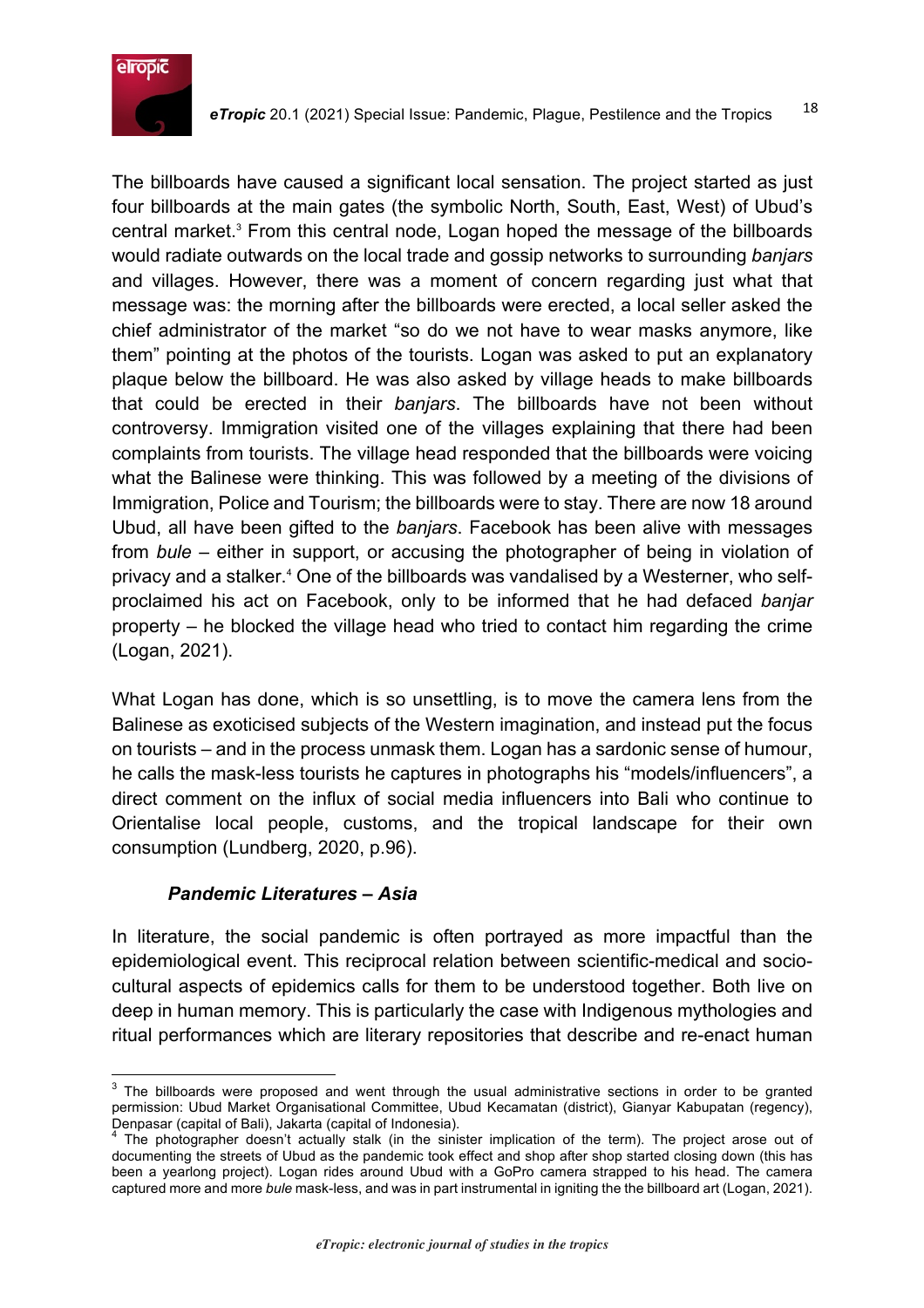

The billboards have caused a significant local sensation. The project started as just four billboards at the main gates (the symbolic North, South, East, West) of Ubud's central market. <sup>3</sup> From this central node, Logan hoped the message of the billboards would radiate outwards on the local trade and gossip networks to surrounding *banjars* and villages. However, there was a moment of concern regarding just what that message was: the morning after the billboards were erected, a local seller asked the chief administrator of the market "so do we not have to wear masks anymore, like them" pointing at the photos of the tourists. Logan was asked to put an explanatory plaque below the billboard. He was also asked by village heads to make billboards that could be erected in their *banjars*. The billboards have not been without controversy. Immigration visited one of the villages explaining that there had been complaints from tourists. The village head responded that the billboards were voicing what the Balinese were thinking. This was followed by a meeting of the divisions of Immigration, Police and Tourism; the billboards were to stay. There are now 18 around Ubud, all have been gifted to the *banjars*. Facebook has been alive with messages from *bule* – either in support, or accusing the photographer of being in violation of privacy and a stalker. <sup>4</sup> One of the billboards was vandalised by a Westerner, who selfproclaimed his act on Facebook, only to be informed that he had defaced *banjar* property – he blocked the village head who tried to contact him regarding the crime (Logan, 2021).

What Logan has done, which is so unsettling, is to move the camera lens from the Balinese as exoticised subjects of the Western imagination, and instead put the focus on tourists – and in the process unmask them. Logan has a sardonic sense of humour, he calls the mask-less tourists he captures in photographs his "models/influencers", a direct comment on the influx of social media influencers into Bali who continue to Orientalise local people, customs, and the tropical landscape for their own consumption (Lundberg, 2020, p.96).

#### *Pandemic Literatures – Asia*

In literature, the social pandemic is often portrayed as more impactful than the epidemiological event. This reciprocal relation between scientific-medical and sociocultural aspects of epidemics calls for them to be understood together. Both live on deep in human memory. This is particularly the case with Indigenous mythologies and ritual performances which are literary repositories that describe and re-enact human

<sup>&</sup>lt;sup>3</sup> The billboards were proposed and went through the usual administrative sections in order to be granted permission: Ubud Market Organisational Committee, Ubud Kecamatan (district), Gianyar Kabupatan (regency), Denpasar (capital of Bali), Jakarta (capital of Indonesia).

<sup>&</sup>lt;sup>4</sup> The photographer doesn't actually stalk (in the sinister implication of the term). The project arose out of documenting the streets of Ubud as the pandemic took effect and shop after shop started closing down (this has been a yearlong project). Logan rides around Ubud with a GoPro camera strapped to his head. The camera captured more and more *bule* mask-less, and was in part instrumental in igniting the the billboard art (Logan, 2021).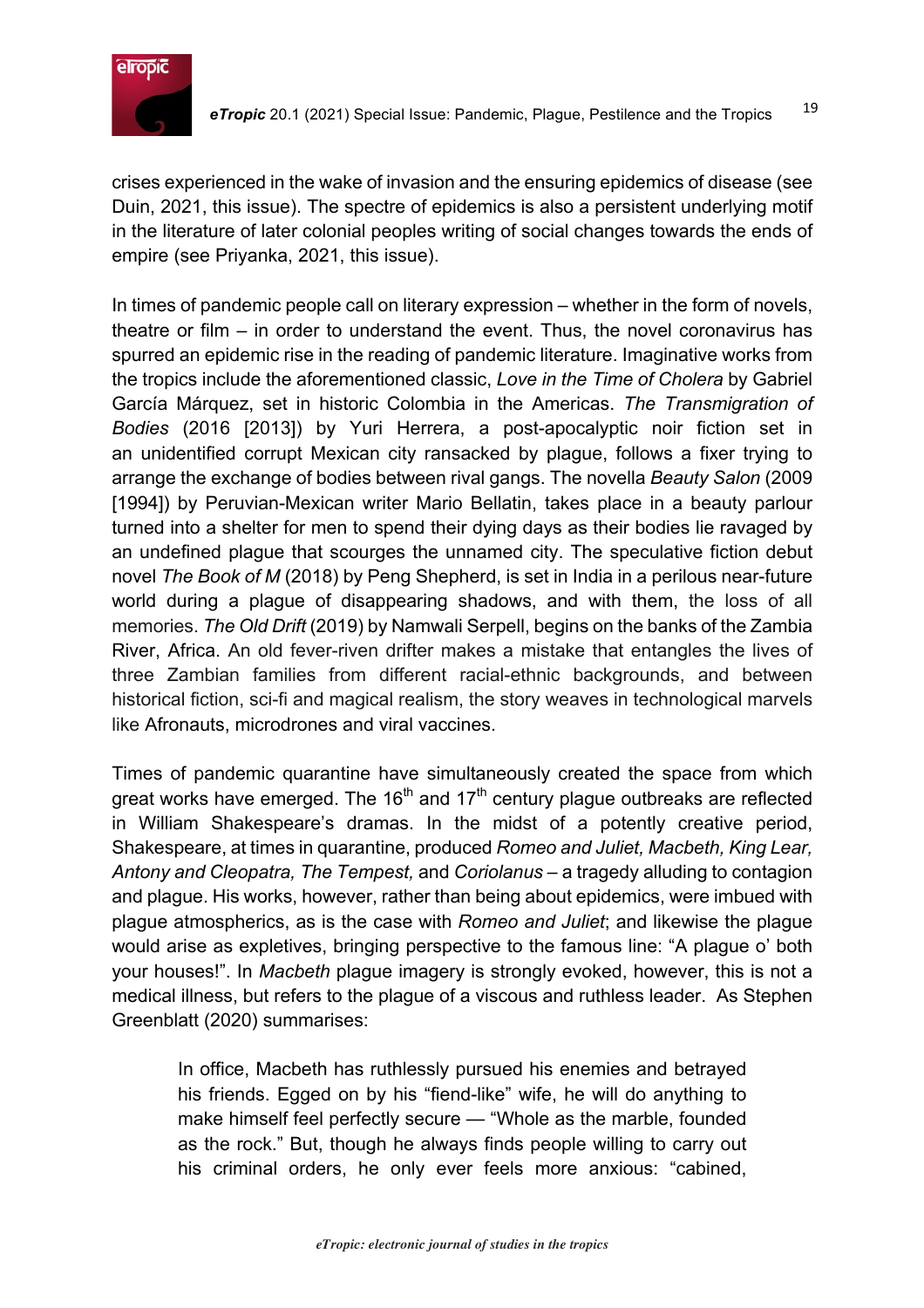

crises experienced in the wake of invasion and the ensuring epidemics of disease (see Duin, 2021, this issue). The spectre of epidemics is also a persistent underlying motif in the literature of later colonial peoples writing of social changes towards the ends of empire (see Priyanka, 2021, this issue).

In times of pandemic people call on literary expression – whether in the form of novels, theatre or film – in order to understand the event. Thus, the novel coronavirus has spurred an epidemic rise in the reading of pandemic literature. Imaginative works from the tropics include the aforementioned classic, *Love in the Time of Cholera* by Gabriel García Márquez, set in historic Colombia in the Americas. *The Transmigration of Bodies* (2016 [2013]) by Yuri Herrera, a post-apocalyptic noir fiction set in an unidentified corrupt Mexican city ransacked by plague, follows a fixer trying to arrange the exchange of bodies between rival gangs. The novella *Beauty Salon* (2009 [1994]) by Peruvian-Mexican writer Mario Bellatin, takes place in a beauty parlour turned into a shelter for men to spend their dying days as their bodies lie ravaged by an undefined plague that scourges the unnamed city. The speculative fiction debut novel *The Book of M* (2018) by Peng Shepherd, is set in India in a perilous near-future world during a plague of disappearing shadows, and with them, the loss of all memories. *The Old Drift* (2019) by Namwali Serpell, begins on the banks of the Zambia River, Africa. An old fever-riven drifter makes a mistake that entangles the lives of three Zambian families from different racial-ethnic backgrounds, and between historical fiction, sci-fi and magical realism, the story weaves in technological marvels like Afronauts, microdrones and viral vaccines.

Times of pandemic quarantine have simultaneously created the space from which great works have emerged. The  $16<sup>th</sup>$  and  $17<sup>th</sup>$  century plague outbreaks are reflected in William Shakespeare's dramas. In the midst of a potently creative period, Shakespeare, at times in quarantine, produced *Romeo and Juliet, Macbeth, King Lear, Antony and Cleopatra, The Tempest,* and *Coriolanus* – a tragedy alluding to contagion and plague. His works, however, rather than being about epidemics, were imbued with plague atmospherics, as is the case with *Romeo and Juliet*; and likewise the plague would arise as expletives, bringing perspective to the famous line: "A plague o' both your houses!". In *Macbeth* plague imagery is strongly evoked, however, this is not a medical illness, but refers to the plague of a viscous and ruthless leader. As Stephen Greenblatt (2020) summarises:

In office, Macbeth has ruthlessly pursued his enemies and betrayed his friends. Egged on by his "fiend-like" wife, he will do anything to make himself feel perfectly secure — "Whole as the marble, founded as the rock." But, though he always finds people willing to carry out his criminal orders, he only ever feels more anxious: "cabined,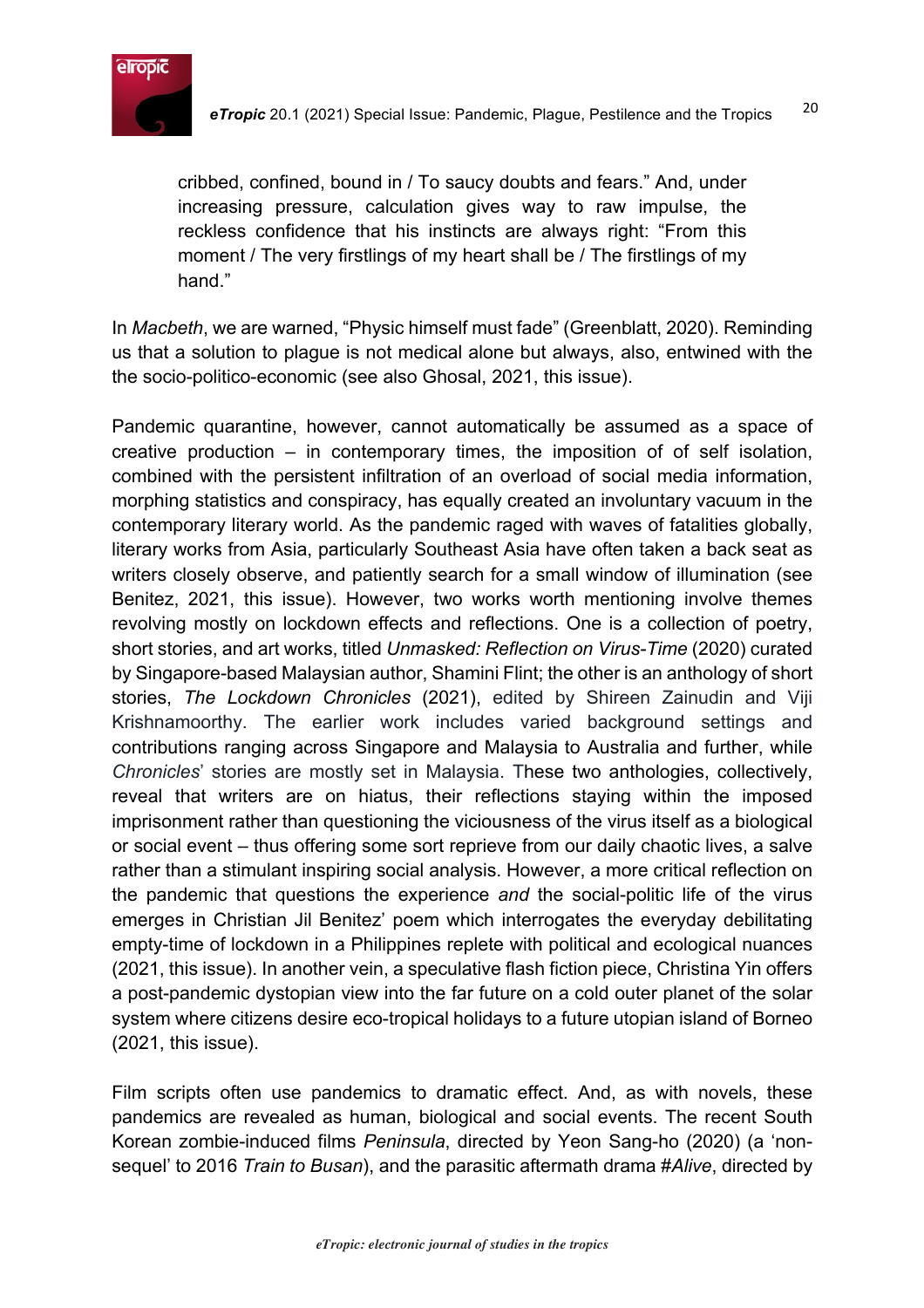

cribbed, confined, bound in / To saucy doubts and fears." And, under increasing pressure, calculation gives way to raw impulse, the reckless confidence that his instincts are always right: "From this moment / The very firstlings of my heart shall be / The firstlings of my hand."

In *Macbeth*, we are warned, "Physic himself must fade" (Greenblatt, 2020). Reminding us that a solution to plague is not medical alone but always, also, entwined with the the socio-politico-economic (see also Ghosal, 2021, this issue).

Pandemic quarantine, however, cannot automatically be assumed as a space of creative production – in contemporary times, the imposition of of self isolation, combined with the persistent infiltration of an overload of social media information, morphing statistics and conspiracy, has equally created an involuntary vacuum in the contemporary literary world. As the pandemic raged with waves of fatalities globally, literary works from Asia, particularly Southeast Asia have often taken a back seat as writers closely observe, and patiently search for a small window of illumination (see Benitez, 2021, this issue). However, two works worth mentioning involve themes revolving mostly on lockdown effects and reflections. One is a collection of poetry, short stories, and art works, titled *Unmasked: Reflection on Virus-Time* (2020) curated by Singapore-based Malaysian author, Shamini Flint; the other is an anthology of short stories, *The Lockdown Chronicles* (2021), edited by Shireen Zainudin and Viji Krishnamoorthy. The earlier work includes varied background settings and contributions ranging across Singapore and Malaysia to Australia and further, while *Chronicles*' stories are mostly set in Malaysia. These two anthologies, collectively, reveal that writers are on hiatus, their reflections staying within the imposed imprisonment rather than questioning the viciousness of the virus itself as a biological or social event – thus offering some sort reprieve from our daily chaotic lives, a salve rather than a stimulant inspiring social analysis. However, a more critical reflection on the pandemic that questions the experience *and* the social-politic life of the virus emerges in Christian Jil Benitez' poem which interrogates the everyday debilitating empty-time of lockdown in a Philippines replete with political and ecological nuances (2021, this issue). In another vein, a speculative flash fiction piece, Christina Yin offers a post-pandemic dystopian view into the far future on a cold outer planet of the solar system where citizens desire eco-tropical holidays to a future utopian island of Borneo (2021, this issue).

Film scripts often use pandemics to dramatic effect. And, as with novels, these pandemics are revealed as human, biological and social events. The recent South Korean zombie-induced films *Peninsula*, directed by Yeon Sang-ho (2020) (a 'nonsequel' to 2016 *Train to Busan*), and the parasitic aftermath drama #*Alive*, directed by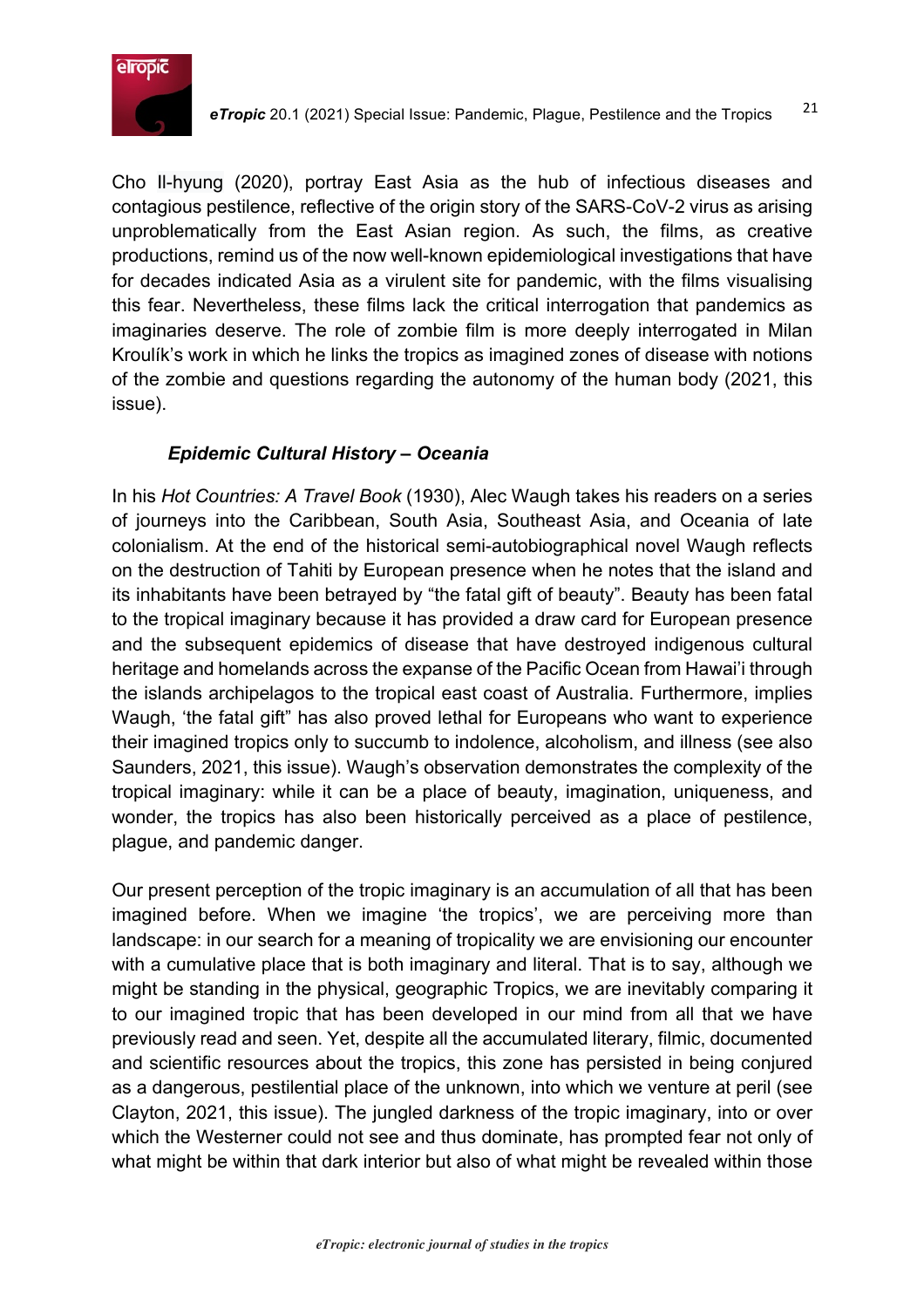

Cho Il-hyung (2020), portray East Asia as the hub of infectious diseases and contagious pestilence, reflective of the origin story of the SARS-CoV-2 virus as arising unproblematically from the East Asian region. As such, the films, as creative productions, remind us of the now well-known epidemiological investigations that have for decades indicated Asia as a virulent site for pandemic, with the films visualising this fear. Nevertheless, these films lack the critical interrogation that pandemics as imaginaries deserve. The role of zombie film is more deeply interrogated in Milan Kroulík's work in which he links the tropics as imagined zones of disease with notions of the zombie and questions regarding the autonomy of the human body (2021, this issue).

#### *Epidemic Cultural History – Oceania*

In his *Hot Countries: A Travel Book* (1930), Alec Waugh takes his readers on a series of journeys into the Caribbean, South Asia, Southeast Asia, and Oceania of late colonialism. At the end of the historical semi-autobiographical novel Waugh reflects on the destruction of Tahiti by European presence when he notes that the island and its inhabitants have been betrayed by "the fatal gift of beauty". Beauty has been fatal to the tropical imaginary because it has provided a draw card for European presence and the subsequent epidemics of disease that have destroyed indigenous cultural heritage and homelands across the expanse of the Pacific Ocean from Hawai'i through the islands archipelagos to the tropical east coast of Australia. Furthermore, implies Waugh, 'the fatal gift" has also proved lethal for Europeans who want to experience their imagined tropics only to succumb to indolence, alcoholism, and illness (see also Saunders, 2021, this issue). Waugh's observation demonstrates the complexity of the tropical imaginary: while it can be a place of beauty, imagination, uniqueness, and wonder, the tropics has also been historically perceived as a place of pestilence, plague, and pandemic danger.

Our present perception of the tropic imaginary is an accumulation of all that has been imagined before. When we imagine 'the tropics', we are perceiving more than landscape: in our search for a meaning of tropicality we are envisioning our encounter with a cumulative place that is both imaginary and literal. That is to say, although we might be standing in the physical, geographic Tropics, we are inevitably comparing it to our imagined tropic that has been developed in our mind from all that we have previously read and seen. Yet, despite all the accumulated literary, filmic, documented and scientific resources about the tropics, this zone has persisted in being conjured as a dangerous, pestilential place of the unknown, into which we venture at peril (see Clayton, 2021, this issue). The jungled darkness of the tropic imaginary, into or over which the Westerner could not see and thus dominate, has prompted fear not only of what might be within that dark interior but also of what might be revealed within those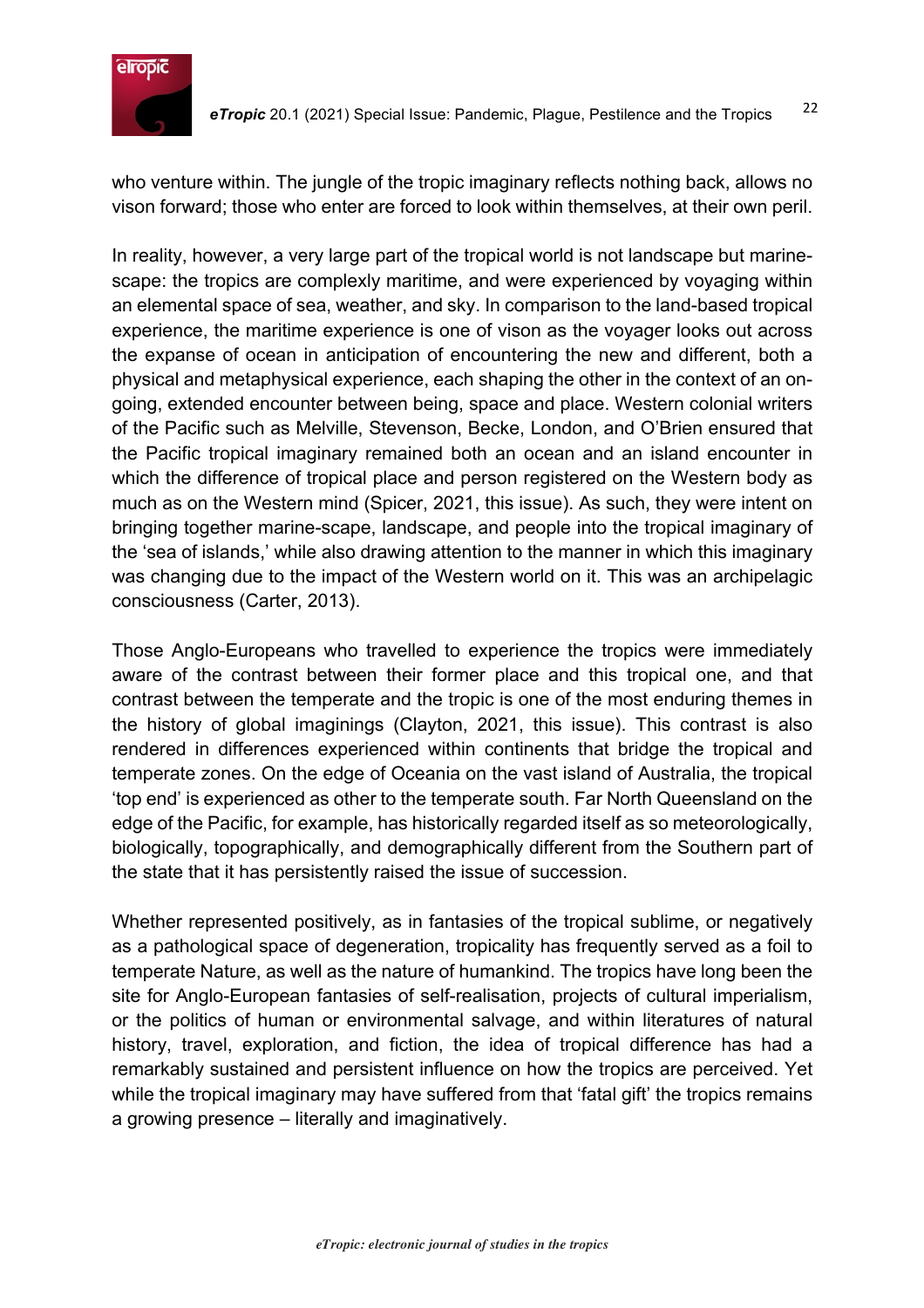

who venture within. The jungle of the tropic imaginary reflects nothing back, allows no vison forward; those who enter are forced to look within themselves, at their own peril.

In reality, however, a very large part of the tropical world is not landscape but marinescape: the tropics are complexly maritime, and were experienced by voyaging within an elemental space of sea, weather, and sky. In comparison to the land-based tropical experience, the maritime experience is one of vison as the voyager looks out across the expanse of ocean in anticipation of encountering the new and different, both a physical and metaphysical experience, each shaping the other in the context of an ongoing, extended encounter between being, space and place. Western colonial writers of the Pacific such as Melville, Stevenson, Becke, London, and O'Brien ensured that the Pacific tropical imaginary remained both an ocean and an island encounter in which the difference of tropical place and person registered on the Western body as much as on the Western mind (Spicer, 2021, this issue). As such, they were intent on bringing together marine-scape, landscape, and people into the tropical imaginary of the 'sea of islands,' while also drawing attention to the manner in which this imaginary was changing due to the impact of the Western world on it. This was an archipelagic consciousness (Carter, 2013).

Those Anglo-Europeans who travelled to experience the tropics were immediately aware of the contrast between their former place and this tropical one, and that contrast between the temperate and the tropic is one of the most enduring themes in the history of global imaginings (Clayton, 2021, this issue). This contrast is also rendered in differences experienced within continents that bridge the tropical and temperate zones. On the edge of Oceania on the vast island of Australia, the tropical 'top end' is experienced as other to the temperate south. Far North Queensland on the edge of the Pacific, for example, has historically regarded itself as so meteorologically, biologically, topographically, and demographically different from the Southern part of the state that it has persistently raised the issue of succession.

Whether represented positively, as in fantasies of the tropical sublime, or negatively as a pathological space of degeneration, tropicality has frequently served as a foil to temperate Nature, as well as the nature of humankind. The tropics have long been the site for Anglo-European fantasies of self-realisation, projects of cultural imperialism, or the politics of human or environmental salvage, and within literatures of natural history, travel, exploration, and fiction, the idea of tropical difference has had a remarkably sustained and persistent influence on how the tropics are perceived. Yet while the tropical imaginary may have suffered from that 'fatal gift' the tropics remains a growing presence – literally and imaginatively.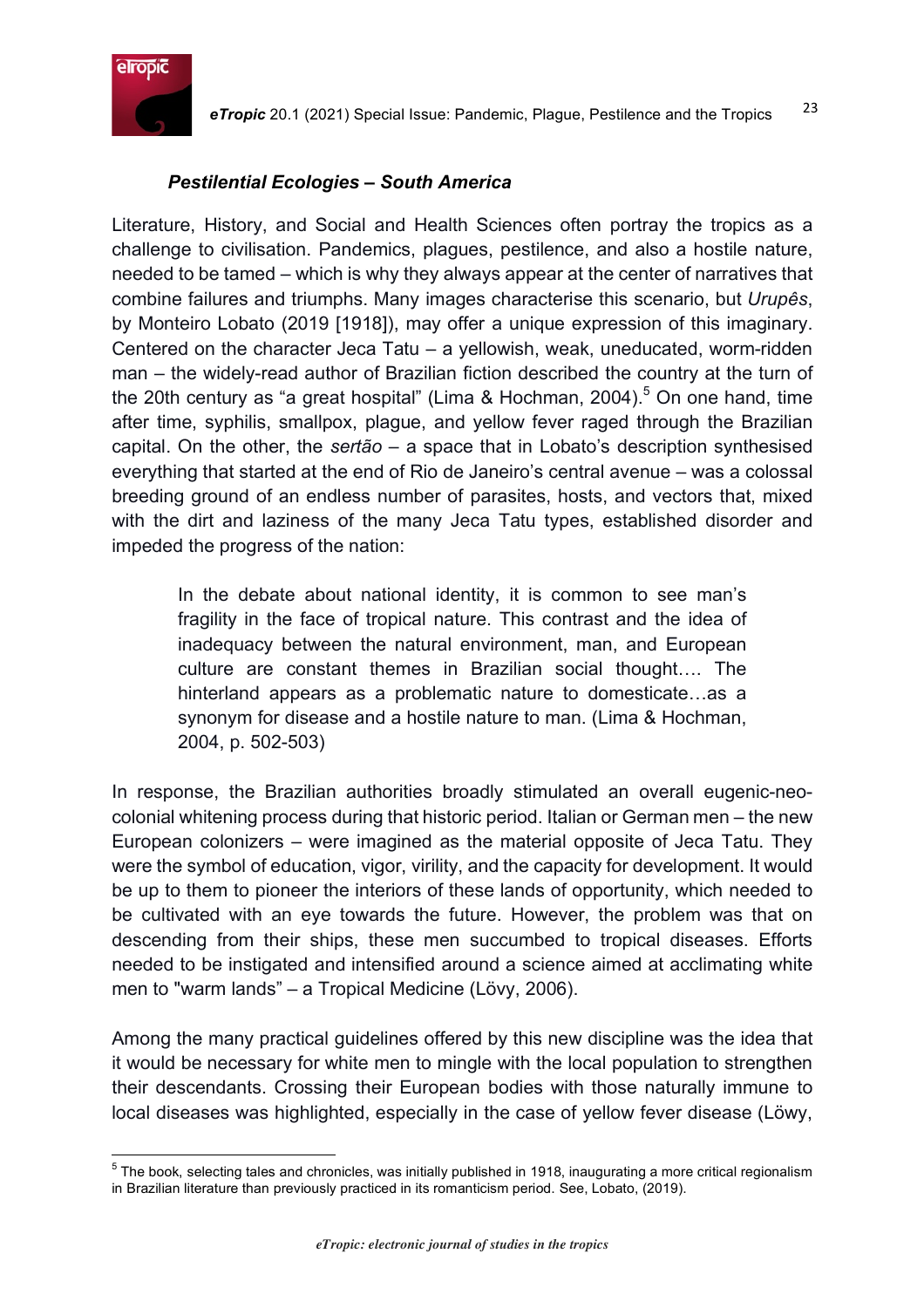

#### *Pestilential Ecologies – South America*

Literature, History, and Social and Health Sciences often portray the tropics as a challenge to civilisation. Pandemics, plagues, pestilence, and also a hostile nature, needed to be tamed – which is why they always appear at the center of narratives that combine failures and triumphs. Many images characterise this scenario, but *Urupês*, by Monteiro Lobato (2019 [1918]), may offer a unique expression of this imaginary. Centered on the character Jeca Tatu – a yellowish, weak, uneducated, worm-ridden man – the widely-read author of Brazilian fiction described the country at the turn of the 20th century as "a great hospital" (Lima & Hochman, 2004).<sup>5</sup> On one hand, time after time, syphilis, smallpox, plague, and yellow fever raged through the Brazilian capital. On the other, the *sertão* – a space that in Lobato's description synthesised everything that started at the end of Rio de Janeiro's central avenue – was a colossal breeding ground of an endless number of parasites, hosts, and vectors that, mixed with the dirt and laziness of the many Jeca Tatu types, established disorder and impeded the progress of the nation:

In the debate about national identity, it is common to see man's fragility in the face of tropical nature. This contrast and the idea of inadequacy between the natural environment, man, and European culture are constant themes in Brazilian social thought…. The hinterland appears as a problematic nature to domesticate…as a synonym for disease and a hostile nature to man. (Lima & Hochman, 2004, p. 502-503)

In response, the Brazilian authorities broadly stimulated an overall eugenic-neocolonial whitening process during that historic period. Italian or German men – the new European colonizers – were imagined as the material opposite of Jeca Tatu. They were the symbol of education, vigor, virility, and the capacity for development. It would be up to them to pioneer the interiors of these lands of opportunity, which needed to be cultivated with an eye towards the future. However, the problem was that on descending from their ships, these men succumbed to tropical diseases. Efforts needed to be instigated and intensified around a science aimed at acclimating white men to "warm lands" – a Tropical Medicine (Lövy, 2006).

Among the many practical guidelines offered by this new discipline was the idea that it would be necessary for white men to mingle with the local population to strengthen their descendants. Crossing their European bodies with those naturally immune to local diseases was highlighted, especially in the case of yellow fever disease (Löwy,

 $5$  The book, selecting tales and chronicles, was initially published in 1918, inaugurating a more critical regionalism in Brazilian literature than previously practiced in its romanticism period. See, Lobato, (2019).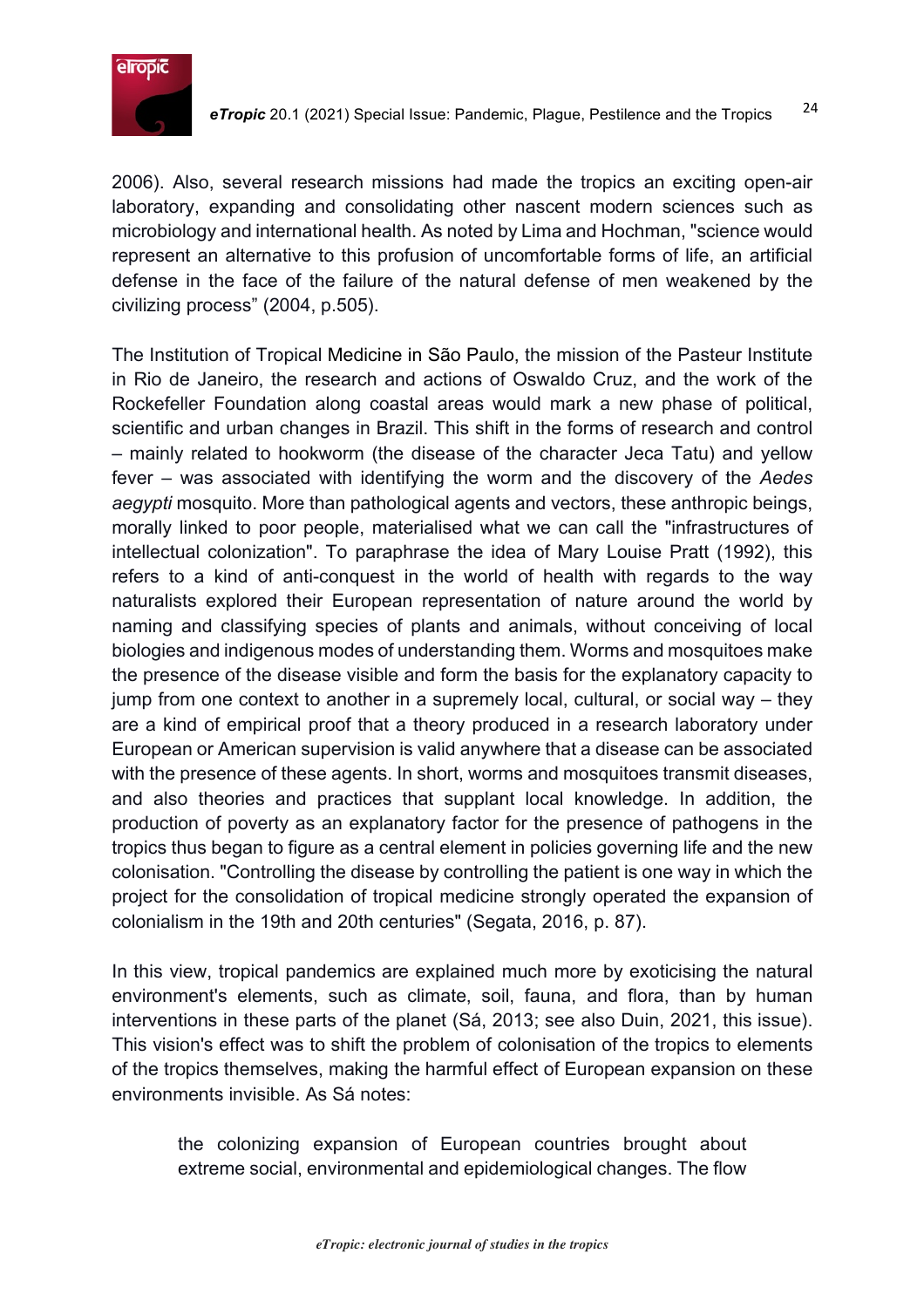

2006). Also, several research missions had made the tropics an exciting open-air laboratory, expanding and consolidating other nascent modern sciences such as microbiology and international health. As noted by Lima and Hochman, "science would represent an alternative to this profusion of uncomfortable forms of life, an artificial defense in the face of the failure of the natural defense of men weakened by the civilizing process" (2004, p.505).

The Institution of Tropical Medicine in São Paulo, the mission of the Pasteur Institute in Rio de Janeiro, the research and actions of Oswaldo Cruz, and the work of the Rockefeller Foundation along coastal areas would mark a new phase of political, scientific and urban changes in Brazil. This shift in the forms of research and control – mainly related to hookworm (the disease of the character Jeca Tatu) and yellow fever – was associated with identifying the worm and the discovery of the *Aedes aegypti* mosquito. More than pathological agents and vectors, these anthropic beings, morally linked to poor people, materialised what we can call the "infrastructures of intellectual colonization". To paraphrase the idea of Mary Louise Pratt (1992), this refers to a kind of anti-conquest in the world of health with regards to the way naturalists explored their European representation of nature around the world by naming and classifying species of plants and animals, without conceiving of local biologies and indigenous modes of understanding them. Worms and mosquitoes make the presence of the disease visible and form the basis for the explanatory capacity to jump from one context to another in a supremely local, cultural, or social way – they are a kind of empirical proof that a theory produced in a research laboratory under European or American supervision is valid anywhere that a disease can be associated with the presence of these agents. In short, worms and mosquitoes transmit diseases, and also theories and practices that supplant local knowledge. In addition, the production of poverty as an explanatory factor for the presence of pathogens in the tropics thus began to figure as a central element in policies governing life and the new colonisation. "Controlling the disease by controlling the patient is one way in which the project for the consolidation of tropical medicine strongly operated the expansion of colonialism in the 19th and 20th centuries" (Segata, 2016, p. 87).

In this view, tropical pandemics are explained much more by exoticising the natural environment's elements, such as climate, soil, fauna, and flora, than by human interventions in these parts of the planet (Sá, 2013; see also Duin, 2021, this issue). This vision's effect was to shift the problem of colonisation of the tropics to elements of the tropics themselves, making the harmful effect of European expansion on these environments invisible. As Sá notes:

the colonizing expansion of European countries brought about extreme social, environmental and epidemiological changes. The flow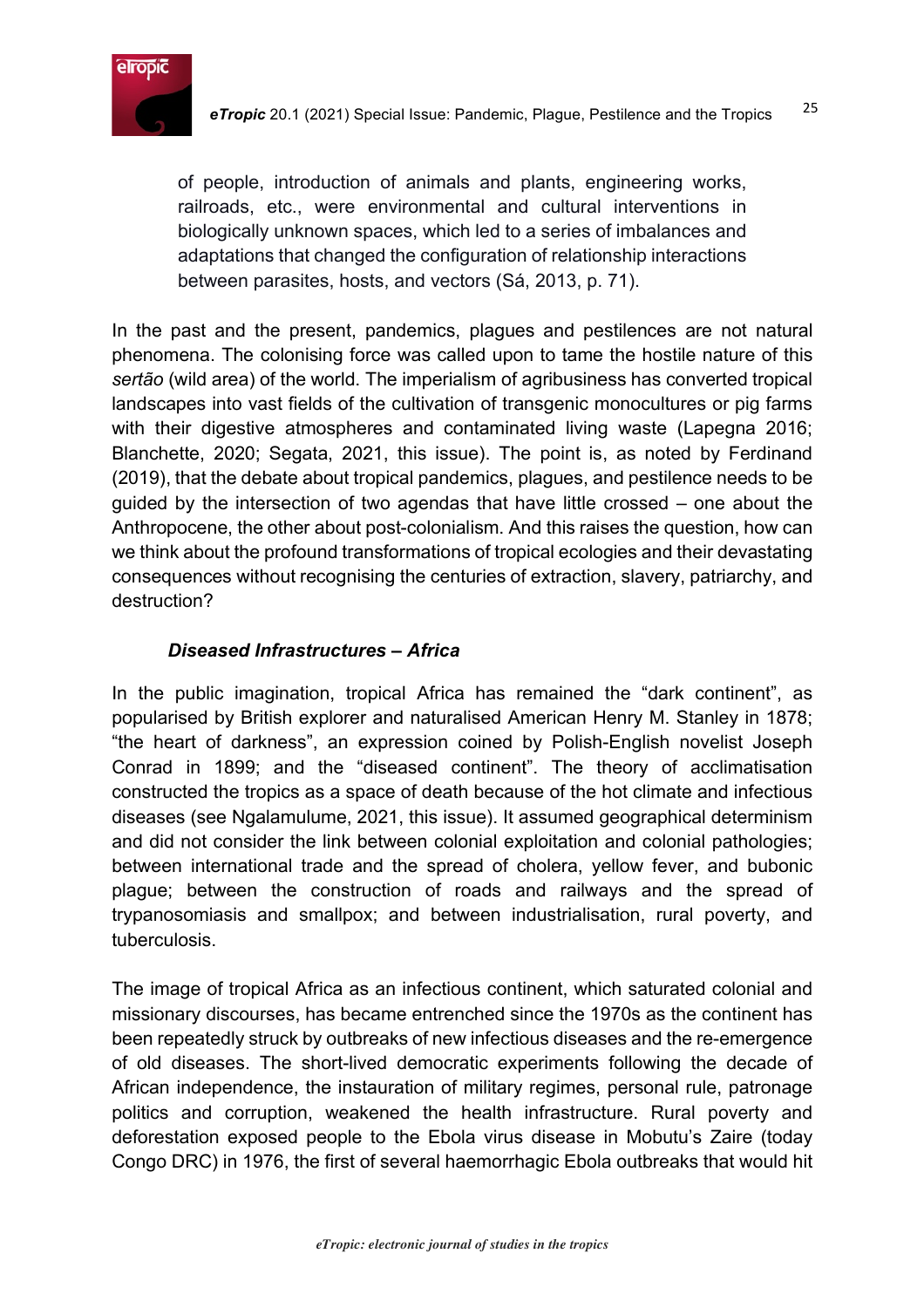

of people, introduction of animals and plants, engineering works, railroads, etc., were environmental and cultural interventions in biologically unknown spaces, which led to a series of imbalances and adaptations that changed the configuration of relationship interactions between parasites, hosts, and vectors (Sá, 2013, p. 71).

In the past and the present, pandemics, plagues and pestilences are not natural phenomena. The colonising force was called upon to tame the hostile nature of this *sertão* (wild area) of the world. The imperialism of agribusiness has converted tropical landscapes into vast fields of the cultivation of transgenic monocultures or pig farms with their digestive atmospheres and contaminated living waste (Lapegna 2016; Blanchette, 2020; Segata, 2021, this issue). The point is, as noted by Ferdinand (2019), that the debate about tropical pandemics, plagues, and pestilence needs to be guided by the intersection of two agendas that have little crossed – one about the Anthropocene, the other about post-colonialism. And this raises the question, how can we think about the profound transformations of tropical ecologies and their devastating consequences without recognising the centuries of extraction, slavery, patriarchy, and destruction?

# *Diseased Infrastructures – Africa*

In the public imagination, tropical Africa has remained the "dark continent", as popularised by British explorer and naturalised American Henry M. Stanley in 1878; "the heart of darkness", an expression coined by Polish-English novelist Joseph Conrad in 1899; and the "diseased continent". The theory of acclimatisation constructed the tropics as a space of death because of the hot climate and infectious diseases (see Ngalamulume, 2021, this issue). It assumed geographical determinism and did not consider the link between colonial exploitation and colonial pathologies; between international trade and the spread of cholera, yellow fever, and bubonic plague; between the construction of roads and railways and the spread of trypanosomiasis and smallpox; and between industrialisation, rural poverty, and tuberculosis.

The image of tropical Africa as an infectious continent, which saturated colonial and missionary discourses, has became entrenched since the 1970s as the continent has been repeatedly struck by outbreaks of new infectious diseases and the re-emergence of old diseases. The short-lived democratic experiments following the decade of African independence, the instauration of military regimes, personal rule, patronage politics and corruption, weakened the health infrastructure. Rural poverty and deforestation exposed people to the Ebola virus disease in Mobutu's Zaire (today Congo DRC) in 1976, the first of several haemorrhagic Ebola outbreaks that would hit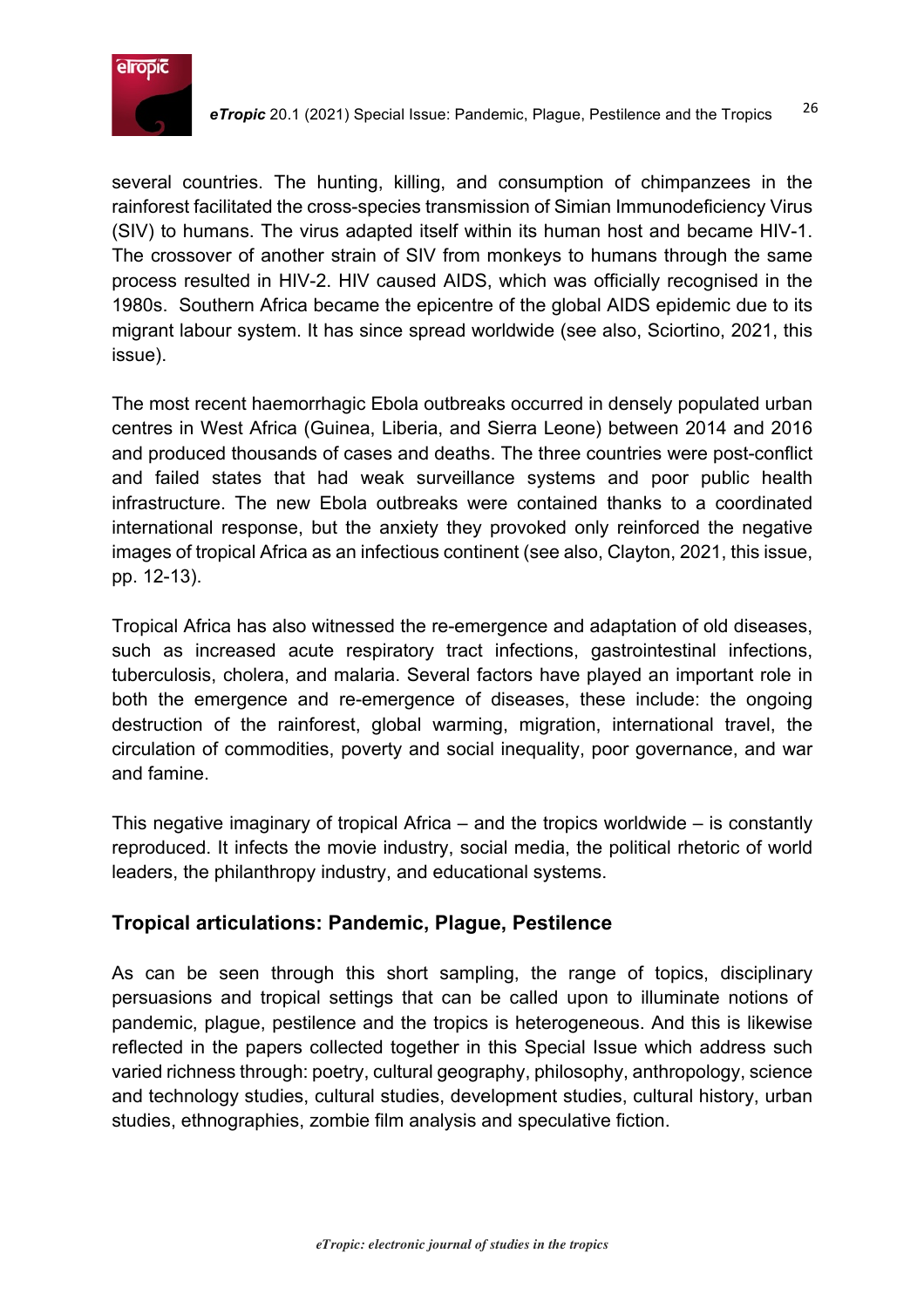

several countries. The hunting, killing, and consumption of chimpanzees in the rainforest facilitated the cross-species transmission of Simian Immunodeficiency Virus (SIV) to humans. The virus adapted itself within its human host and became HIV-1. The crossover of another strain of SIV from monkeys to humans through the same process resulted in HIV-2. HIV caused AIDS, which was officially recognised in the 1980s. Southern Africa became the epicentre of the global AIDS epidemic due to its migrant labour system. It has since spread worldwide (see also, Sciortino, 2021, this issue).

The most recent haemorrhagic Ebola outbreaks occurred in densely populated urban centres in West Africa (Guinea, Liberia, and Sierra Leone) between 2014 and 2016 and produced thousands of cases and deaths. The three countries were post-conflict and failed states that had weak surveillance systems and poor public health infrastructure. The new Ebola outbreaks were contained thanks to a coordinated international response, but the anxiety they provoked only reinforced the negative images of tropical Africa as an infectious continent (see also, Clayton, 2021, this issue, pp. 12-13).

Tropical Africa has also witnessed the re-emergence and adaptation of old diseases, such as increased acute respiratory tract infections, gastrointestinal infections, tuberculosis, cholera, and malaria. Several factors have played an important role in both the emergence and re-emergence of diseases, these include: the ongoing destruction of the rainforest, global warming, migration, international travel, the circulation of commodities, poverty and social inequality, poor governance, and war and famine.

This negative imaginary of tropical Africa – and the tropics worldwide – is constantly reproduced. It infects the movie industry, social media, the political rhetoric of world leaders, the philanthropy industry, and educational systems.

# **Tropical articulations: Pandemic, Plague, Pestilence**

As can be seen through this short sampling, the range of topics, disciplinary persuasions and tropical settings that can be called upon to illuminate notions of pandemic, plague, pestilence and the tropics is heterogeneous. And this is likewise reflected in the papers collected together in this Special Issue which address such varied richness through: poetry, cultural geography, philosophy, anthropology, science and technology studies, cultural studies, development studies, cultural history, urban studies, ethnographies, zombie film analysis and speculative fiction.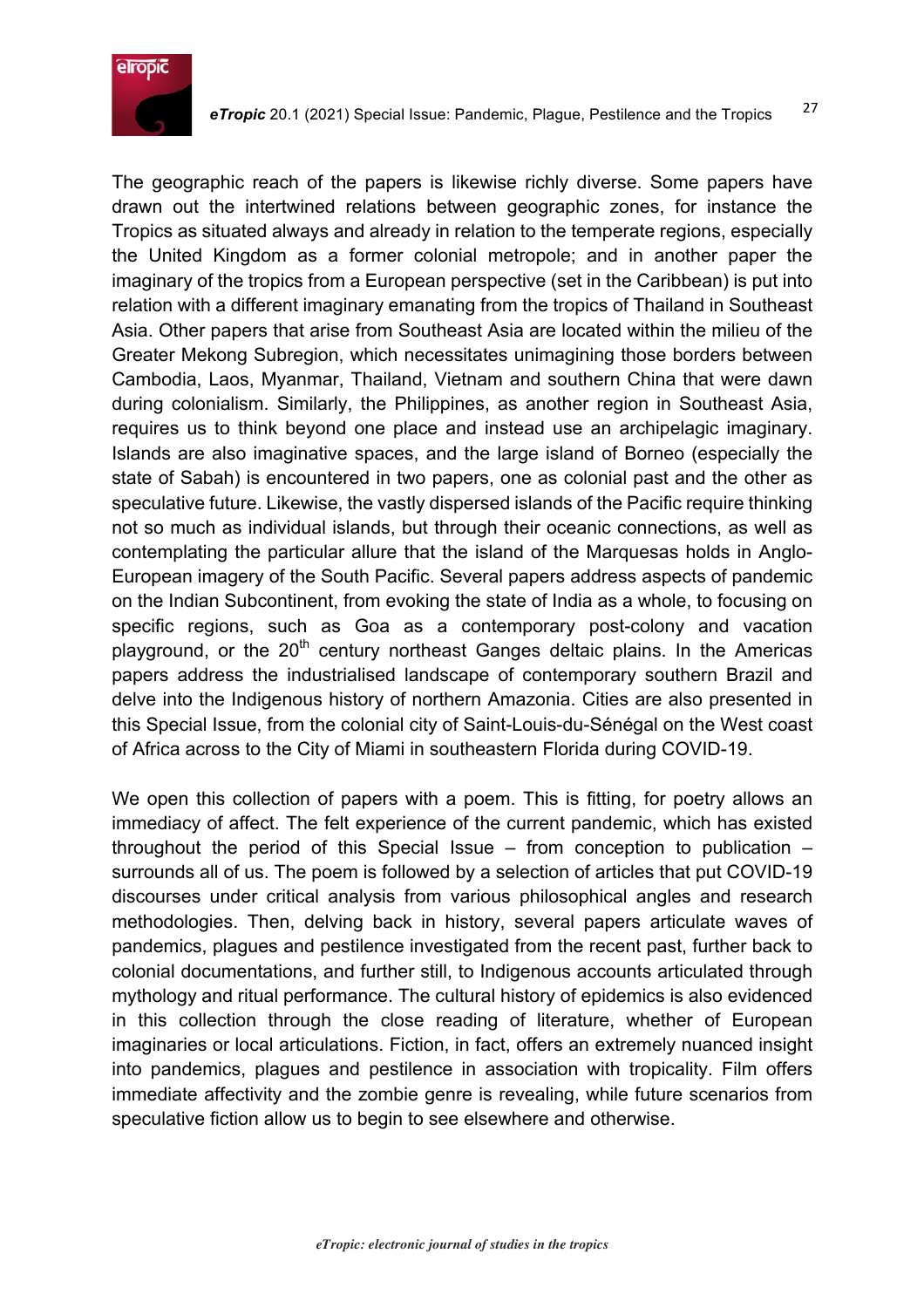

The geographic reach of the papers is likewise richly diverse. Some papers have drawn out the intertwined relations between geographic zones, for instance the Tropics as situated always and already in relation to the temperate regions, especially the United Kingdom as a former colonial metropole; and in another paper the imaginary of the tropics from a European perspective (set in the Caribbean) is put into relation with a different imaginary emanating from the tropics of Thailand in Southeast Asia. Other papers that arise from Southeast Asia are located within the milieu of the Greater Mekong Subregion, which necessitates unimagining those borders between Cambodia, Laos, Myanmar, Thailand, Vietnam and southern China that were dawn during colonialism. Similarly, the Philippines, as another region in Southeast Asia, requires us to think beyond one place and instead use an archipelagic imaginary. Islands are also imaginative spaces, and the large island of Borneo (especially the state of Sabah) is encountered in two papers, one as colonial past and the other as speculative future. Likewise, the vastly dispersed islands of the Pacific require thinking not so much as individual islands, but through their oceanic connections, as well as contemplating the particular allure that the island of the Marquesas holds in Anglo-European imagery of the South Pacific. Several papers address aspects of pandemic on the Indian Subcontinent, from evoking the state of India as a whole, to focusing on specific regions, such as Goa as a contemporary post-colony and vacation playground, or the 20<sup>th</sup> century northeast Ganges deltaic plains. In the Americas papers address the industrialised landscape of contemporary southern Brazil and delve into the Indigenous history of northern Amazonia. Cities are also presented in this Special Issue, from the colonial city of Saint-Louis-du-Sénégal on the West coast of Africa across to the City of Miami in southeastern Florida during COVID-19.

We open this collection of papers with a poem. This is fitting, for poetry allows an immediacy of affect. The felt experience of the current pandemic, which has existed throughout the period of this Special Issue – from conception to publication – surrounds all of us. The poem is followed by a selection of articles that put COVID-19 discourses under critical analysis from various philosophical angles and research methodologies. Then, delving back in history, several papers articulate waves of pandemics, plagues and pestilence investigated from the recent past, further back to colonial documentations, and further still, to Indigenous accounts articulated through mythology and ritual performance. The cultural history of epidemics is also evidenced in this collection through the close reading of literature, whether of European imaginaries or local articulations. Fiction, in fact, offers an extremely nuanced insight into pandemics, plagues and pestilence in association with tropicality. Film offers immediate affectivity and the zombie genre is revealing, while future scenarios from speculative fiction allow us to begin to see elsewhere and otherwise.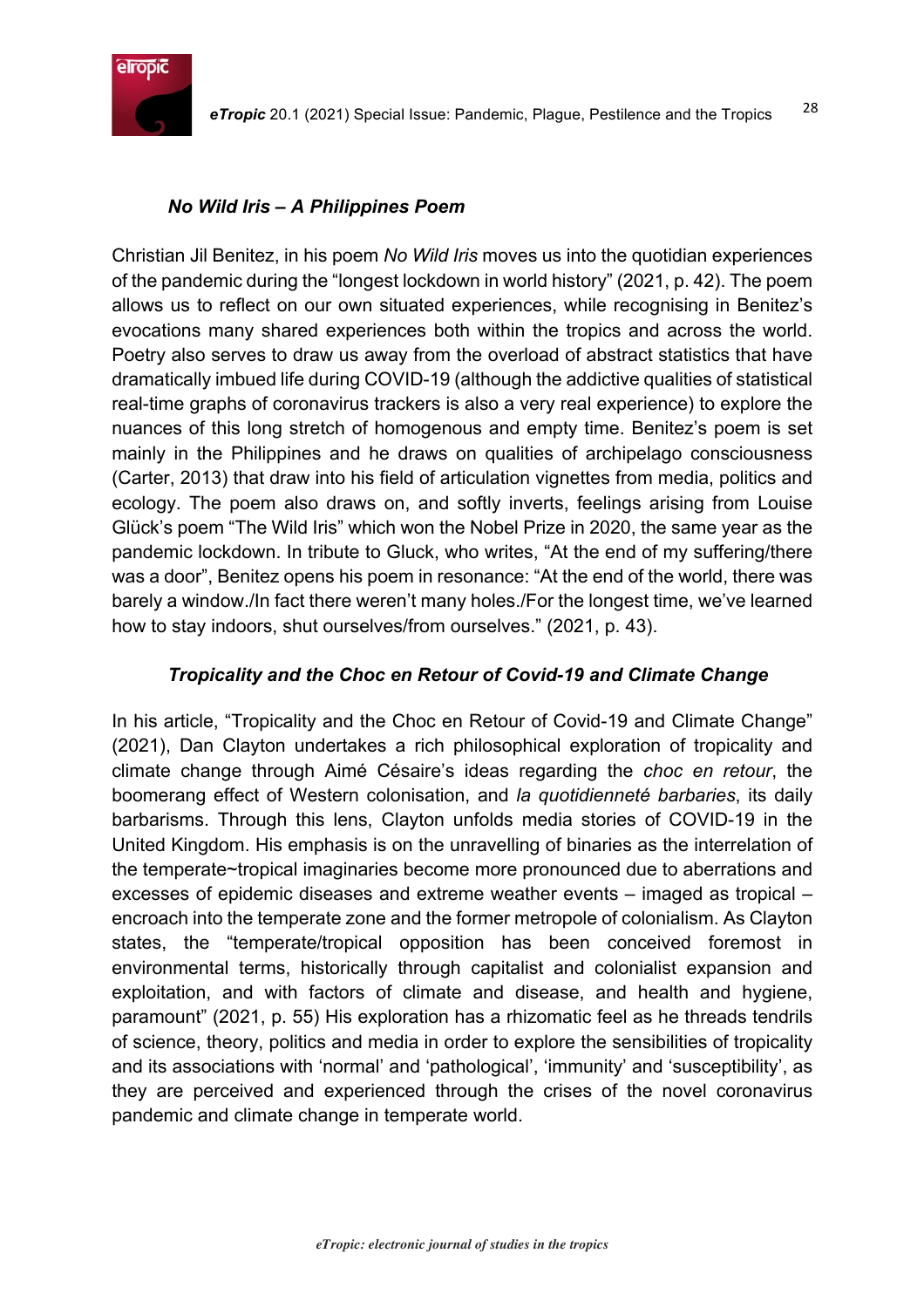

#### *No Wild Iris – A Philippines Poem*

Christian Jil Benitez, in his poem *No Wild Iris* moves us into the quotidian experiences of the pandemic during the "longest lockdown in world history" (2021, p. 42). The poem allows us to reflect on our own situated experiences, while recognising in Benitez's evocations many shared experiences both within the tropics and across the world. Poetry also serves to draw us away from the overload of abstract statistics that have dramatically imbued life during COVID-19 (although the addictive qualities of statistical real-time graphs of coronavirus trackers is also a very real experience) to explore the nuances of this long stretch of homogenous and empty time. Benitez's poem is set mainly in the Philippines and he draws on qualities of archipelago consciousness (Carter, 2013) that draw into his field of articulation vignettes from media, politics and ecology. The poem also draws on, and softly inverts, feelings arising from Louise Glück's poem "The Wild Iris" which won the Nobel Prize in 2020, the same year as the pandemic lockdown. In tribute to Gluck, who writes, "At the end of my suffering/there was a door", Benitez opens his poem in resonance: "At the end of the world, there was barely a window./In fact there weren't many holes./For the longest time, we've learned how to stay indoors, shut ourselves/from ourselves." (2021, p. 43).

#### *Tropicality and the Choc en Retour of Covid-19 and Climate Change*

In his article, "Tropicality and the Choc en Retour of Covid-19 and Climate Change" (2021), Dan Clayton undertakes a rich philosophical exploration of tropicality and climate change through Aimé Césaire's ideas regarding the *choc en retour*, the boomerang effect of Western colonisation, and *la quotidienneté barbaries*, its daily barbarisms. Through this lens, Clayton unfolds media stories of COVID-19 in the United Kingdom. His emphasis is on the unravelling of binaries as the interrelation of the temperate~tropical imaginaries become more pronounced due to aberrations and excesses of epidemic diseases and extreme weather events – imaged as tropical – encroach into the temperate zone and the former metropole of colonialism. As Clayton states, the "temperate/tropical opposition has been conceived foremost in environmental terms, historically through capitalist and colonialist expansion and exploitation, and with factors of climate and disease, and health and hygiene, paramount" (2021, p. 55) His exploration has a rhizomatic feel as he threads tendrils of science, theory, politics and media in order to explore the sensibilities of tropicality and its associations with 'normal' and 'pathological', 'immunity' and 'susceptibility', as they are perceived and experienced through the crises of the novel coronavirus pandemic and climate change in temperate world.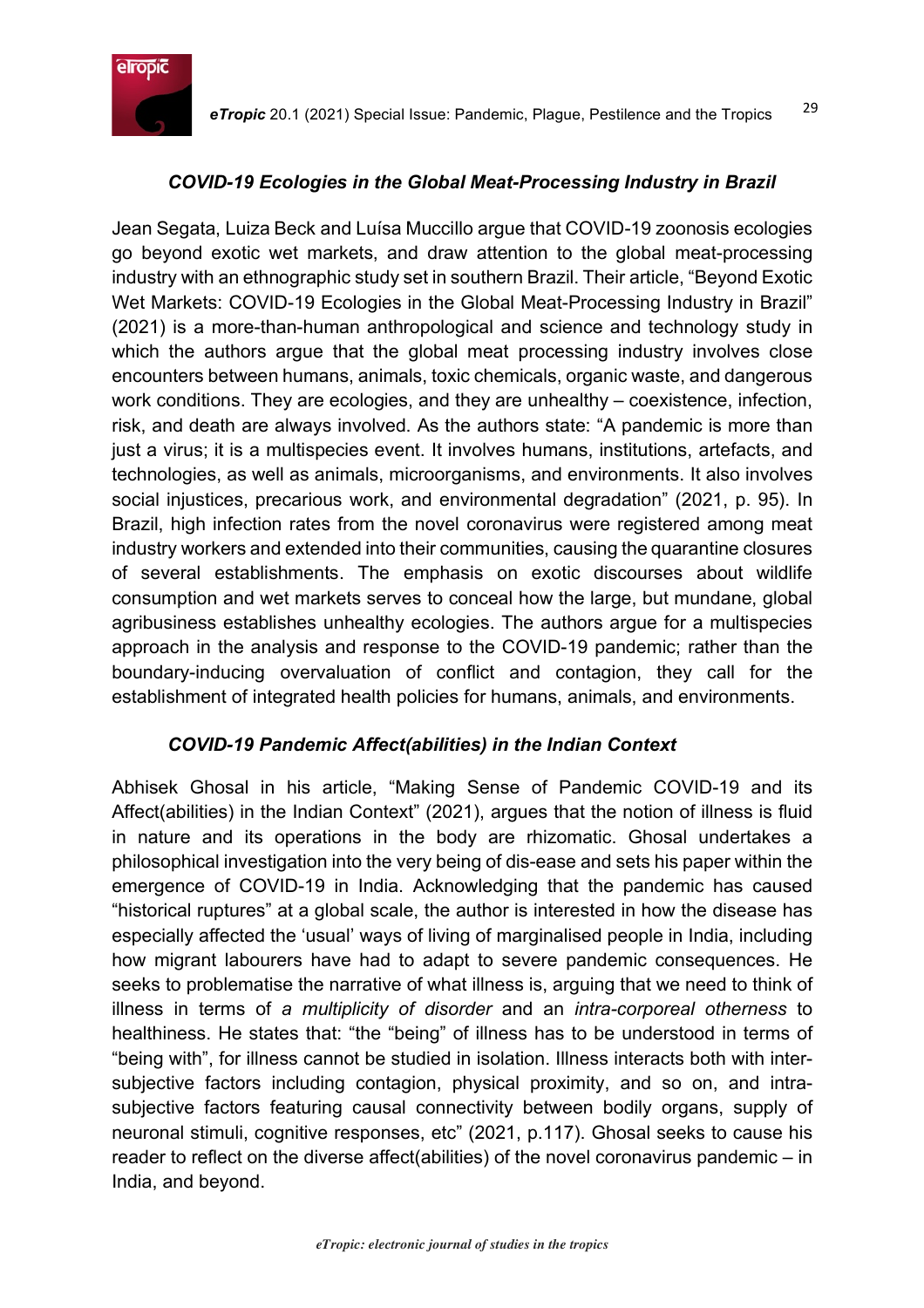

### *COVID-19 Ecologies in the Global Meat-Processing Industry in Brazil*

Jean Segata, Luiza Beck and Luísa Muccillo argue that COVID-19 zoonosis ecologies go beyond exotic wet markets, and draw attention to the global meat-processing industry with an ethnographic study set in southern Brazil. Their article, "Beyond Exotic Wet Markets: COVID-19 Ecologies in the Global Meat-Processing Industry in Brazil" (2021) is a more-than-human anthropological and science and technology study in which the authors arque that the global meat processing industry involves close encounters between humans, animals, toxic chemicals, organic waste, and dangerous work conditions. They are ecologies, and they are unhealthy – coexistence, infection, risk, and death are always involved. As the authors state: "A pandemic is more than just a virus; it is a multispecies event. It involves humans, institutions, artefacts, and technologies, as well as animals, microorganisms, and environments. It also involves social injustices, precarious work, and environmental degradation" (2021, p. 95). In Brazil, high infection rates from the novel coronavirus were registered among meat industry workers and extended into their communities, causing the quarantine closures of several establishments. The emphasis on exotic discourses about wildlife consumption and wet markets serves to conceal how the large, but mundane, global agribusiness establishes unhealthy ecologies. The authors argue for a multispecies approach in the analysis and response to the COVID-19 pandemic; rather than the boundary-inducing overvaluation of conflict and contagion, they call for the establishment of integrated health policies for humans, animals, and environments.

#### *COVID-19 Pandemic Affect(abilities) in the Indian Context*

Abhisek Ghosal in his article, "Making Sense of Pandemic COVID-19 and its Affect(abilities) in the Indian Context" (2021), argues that the notion of illness is fluid in nature and its operations in the body are rhizomatic. Ghosal undertakes a philosophical investigation into the very being of dis-ease and sets his paper within the emergence of COVID-19 in India. Acknowledging that the pandemic has caused "historical ruptures" at a global scale, the author is interested in how the disease has especially affected the 'usual' ways of living of marginalised people in India, including how migrant labourers have had to adapt to severe pandemic consequences. He seeks to problematise the narrative of what illness is, arguing that we need to think of illness in terms of *a multiplicity of disorder* and an *intra-corporeal otherness* to healthiness. He states that: "the "being" of illness has to be understood in terms of "being with", for illness cannot be studied in isolation. Illness interacts both with intersubjective factors including contagion, physical proximity, and so on, and intrasubjective factors featuring causal connectivity between bodily organs, supply of neuronal stimuli, cognitive responses, etc" (2021, p.117). Ghosal seeks to cause his reader to reflect on the diverse affect(abilities) of the novel coronavirus pandemic – in India, and beyond.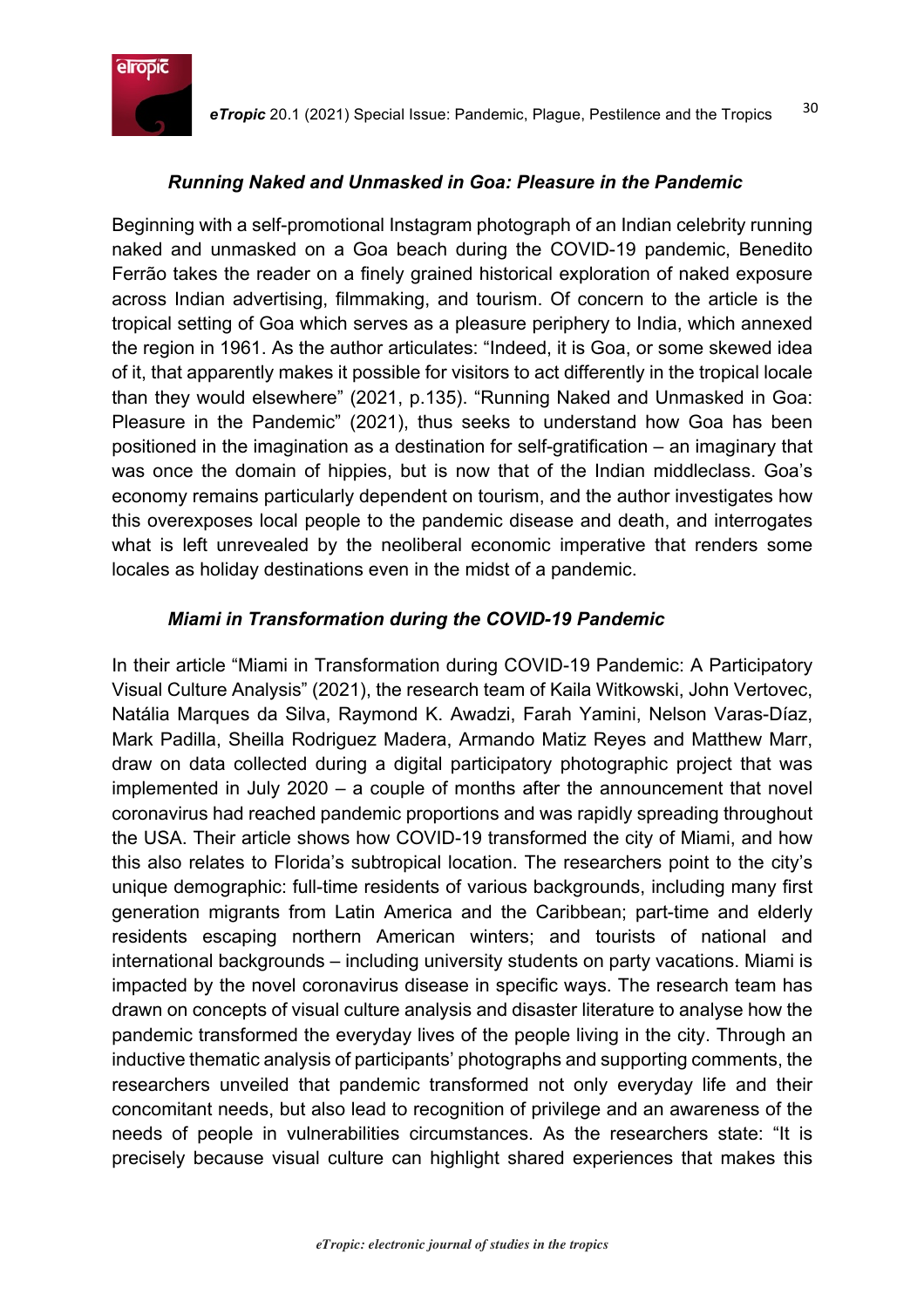

#### *Running Naked and Unmasked in Goa: Pleasure in the Pandemic*

Beginning with a self-promotional Instagram photograph of an Indian celebrity running naked and unmasked on a Goa beach during the COVID-19 pandemic, Benedito Ferrão takes the reader on a finely grained historical exploration of naked exposure across Indian advertising, filmmaking, and tourism. Of concern to the article is the tropical setting of Goa which serves as a pleasure periphery to India, which annexed the region in 1961. As the author articulates: "Indeed, it is Goa, or some skewed idea of it, that apparently makes it possible for visitors to act differently in the tropical locale than they would elsewhere" (2021, p.135). "Running Naked and Unmasked in Goa: Pleasure in the Pandemic" (2021), thus seeks to understand how Goa has been positioned in the imagination as a destination for self-gratification – an imaginary that was once the domain of hippies, but is now that of the Indian middleclass. Goa's economy remains particularly dependent on tourism, and the author investigates how this overexposes local people to the pandemic disease and death, and interrogates what is left unrevealed by the neoliberal economic imperative that renders some locales as holiday destinations even in the midst of a pandemic.

#### *Miami in Transformation during the COVID-19 Pandemic*

In their article "Miami in Transformation during COVID-19 Pandemic: A Participatory Visual Culture Analysis" (2021), the research team of Kaila Witkowski, John Vertovec, Natália Marques da Silva, Raymond K. Awadzi, Farah Yamini, Nelson Varas-Díaz, Mark Padilla, Sheilla Rodriguez Madera, Armando Matiz Reyes and Matthew Marr, draw on data collected during a digital participatory photographic project that was implemented in July 2020 – a couple of months after the announcement that novel coronavirus had reached pandemic proportions and was rapidly spreading throughout the USA. Their article shows how COVID-19 transformed the city of Miami, and how this also relates to Florida's subtropical location. The researchers point to the city's unique demographic: full-time residents of various backgrounds, including many first generation migrants from Latin America and the Caribbean; part-time and elderly residents escaping northern American winters; and tourists of national and international backgrounds – including university students on party vacations. Miami is impacted by the novel coronavirus disease in specific ways. The research team has drawn on concepts of visual culture analysis and disaster literature to analyse how the pandemic transformed the everyday lives of the people living in the city. Through an inductive thematic analysis of participants' photographs and supporting comments, the researchers unveiled that pandemic transformed not only everyday life and their concomitant needs, but also lead to recognition of privilege and an awareness of the needs of people in vulnerabilities circumstances. As the researchers state: "It is precisely because visual culture can highlight shared experiences that makes this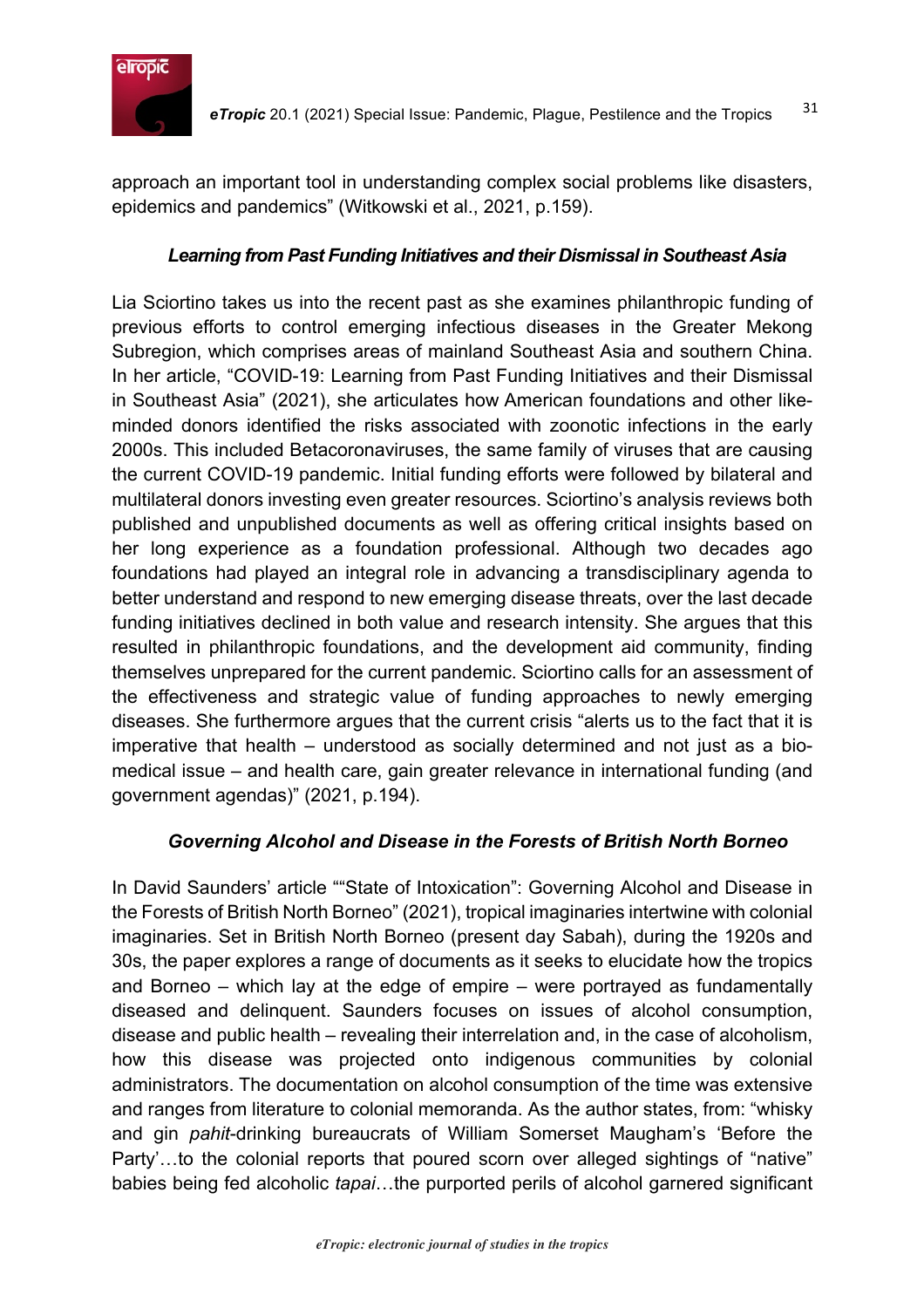

approach an important tool in understanding complex social problems like disasters, epidemics and pandemics" (Witkowski et al., 2021, p.159).

### *Learning from Past Funding Initiatives and their Dismissal in Southeast Asia*

Lia Sciortino takes us into the recent past as she examines philanthropic funding of previous efforts to control emerging infectious diseases in the Greater Mekong Subregion, which comprises areas of mainland Southeast Asia and southern China. In her article, "COVID-19: Learning from Past Funding Initiatives and their Dismissal in Southeast Asia" (2021), she articulates how American foundations and other likeminded donors identified the risks associated with zoonotic infections in the early 2000s. This included Betacoronaviruses, the same family of viruses that are causing the current COVID-19 pandemic. Initial funding efforts were followed by bilateral and multilateral donors investing even greater resources. Sciortino's analysis reviews both published and unpublished documents as well as offering critical insights based on her long experience as a foundation professional. Although two decades ago foundations had played an integral role in advancing a transdisciplinary agenda to better understand and respond to new emerging disease threats, over the last decade funding initiatives declined in both value and research intensity. She argues that this resulted in philanthropic foundations, and the development aid community, finding themselves unprepared for the current pandemic. Sciortino calls for an assessment of the effectiveness and strategic value of funding approaches to newly emerging diseases. She furthermore argues that the current crisis "alerts us to the fact that it is imperative that health – understood as socially determined and not just as a biomedical issue – and health care, gain greater relevance in international funding (and government agendas)" (2021, p.194).

# *Governing Alcohol and Disease in the Forests of British North Borneo*

In David Saunders' article ""State of Intoxication": Governing Alcohol and Disease in the Forests of British North Borneo" (2021), tropical imaginaries intertwine with colonial imaginaries. Set in British North Borneo (present day Sabah), during the 1920s and 30s, the paper explores a range of documents as it seeks to elucidate how the tropics and Borneo – which lay at the edge of empire – were portrayed as fundamentally diseased and delinquent. Saunders focuses on issues of alcohol consumption, disease and public health – revealing their interrelation and, in the case of alcoholism, how this disease was projected onto indigenous communities by colonial administrators. The documentation on alcohol consumption of the time was extensive and ranges from literature to colonial memoranda. As the author states, from: "whisky and gin *pahit*-drinking bureaucrats of William Somerset Maugham's 'Before the Party'…to the colonial reports that poured scorn over alleged sightings of "native" babies being fed alcoholic *tapai*…the purported perils of alcohol garnered significant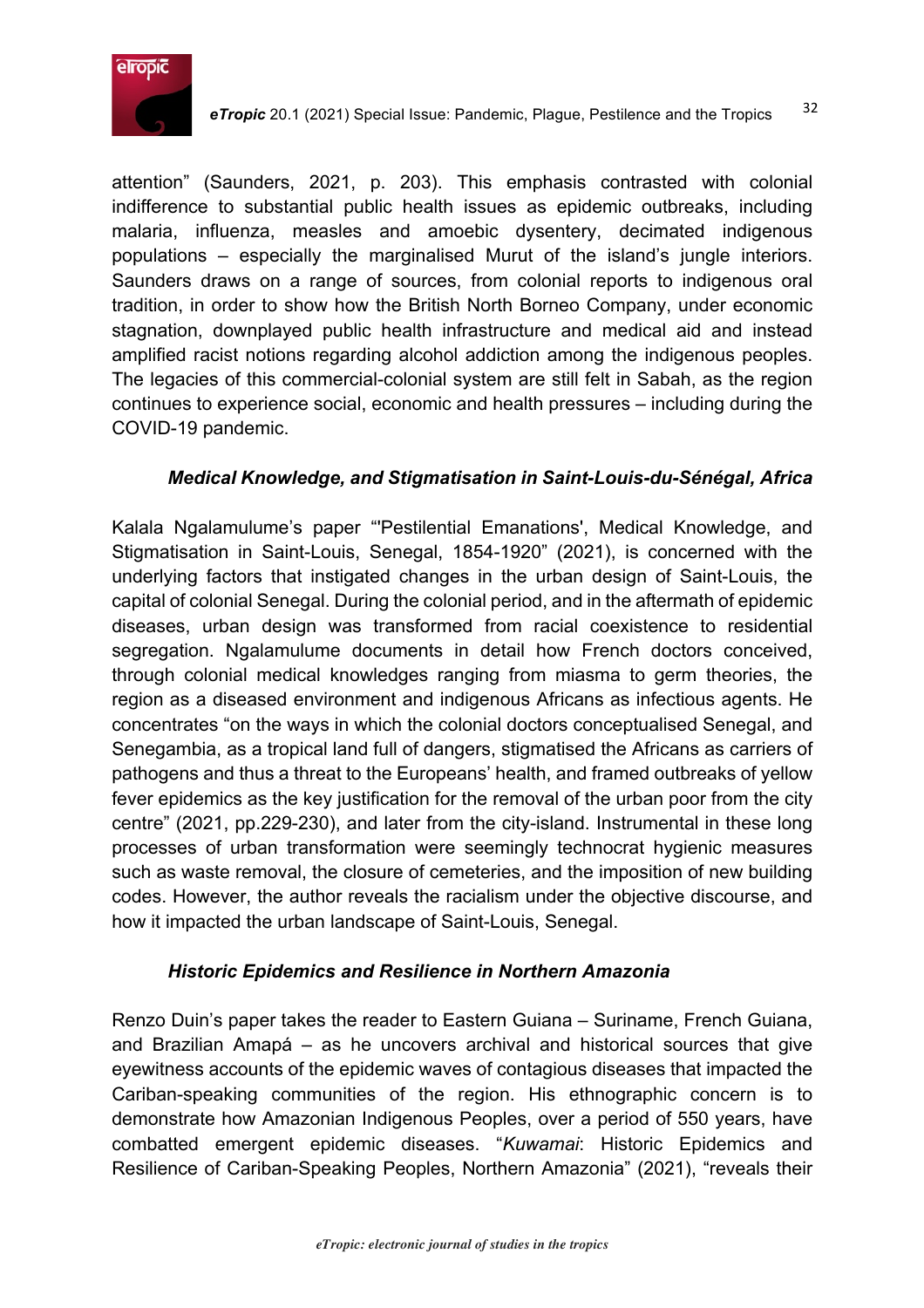

attention" (Saunders, 2021, p. 203). This emphasis contrasted with colonial indifference to substantial public health issues as epidemic outbreaks, including malaria, influenza, measles and amoebic dysentery, decimated indigenous populations – especially the marginalised Murut of the island's jungle interiors. Saunders draws on a range of sources, from colonial reports to indigenous oral tradition, in order to show how the British North Borneo Company, under economic stagnation, downplayed public health infrastructure and medical aid and instead amplified racist notions regarding alcohol addiction among the indigenous peoples. The legacies of this commercial-colonial system are still felt in Sabah, as the region continues to experience social, economic and health pressures – including during the COVID-19 pandemic.

#### *Medical Knowledge, and Stigmatisation in Saint-Louis-du-Sénégal, Africa*

Kalala Ngalamulume's paper "'Pestilential Emanations', Medical Knowledge, and Stigmatisation in Saint-Louis, Senegal, 1854-1920" (2021), is concerned with the underlying factors that instigated changes in the urban design of Saint-Louis, the capital of colonial Senegal. During the colonial period, and in the aftermath of epidemic diseases, urban design was transformed from racial coexistence to residential segregation. Ngalamulume documents in detail how French doctors conceived, through colonial medical knowledges ranging from miasma to germ theories, the region as a diseased environment and indigenous Africans as infectious agents. He concentrates "on the ways in which the colonial doctors conceptualised Senegal, and Senegambia, as a tropical land full of dangers, stigmatised the Africans as carriers of pathogens and thus a threat to the Europeans' health, and framed outbreaks of yellow fever epidemics as the key justification for the removal of the urban poor from the city centre" (2021, pp.229-230), and later from the city-island. Instrumental in these long processes of urban transformation were seemingly technocrat hygienic measures such as waste removal, the closure of cemeteries, and the imposition of new building codes. However, the author reveals the racialism under the objective discourse, and how it impacted the urban landscape of Saint-Louis, Senegal.

#### *Historic Epidemics and Resilience in Northern Amazonia*

Renzo Duin's paper takes the reader to Eastern Guiana – Suriname, French Guiana, and Brazilian Amapá – as he uncovers archival and historical sources that give eyewitness accounts of the epidemic waves of contagious diseases that impacted the Cariban-speaking communities of the region. His ethnographic concern is to demonstrate how Amazonian Indigenous Peoples, over a period of 550 years, have combatted emergent epidemic diseases. "*Kuwamai*: Historic Epidemics and Resilience of Cariban-Speaking Peoples, Northern Amazonia" (2021), "reveals their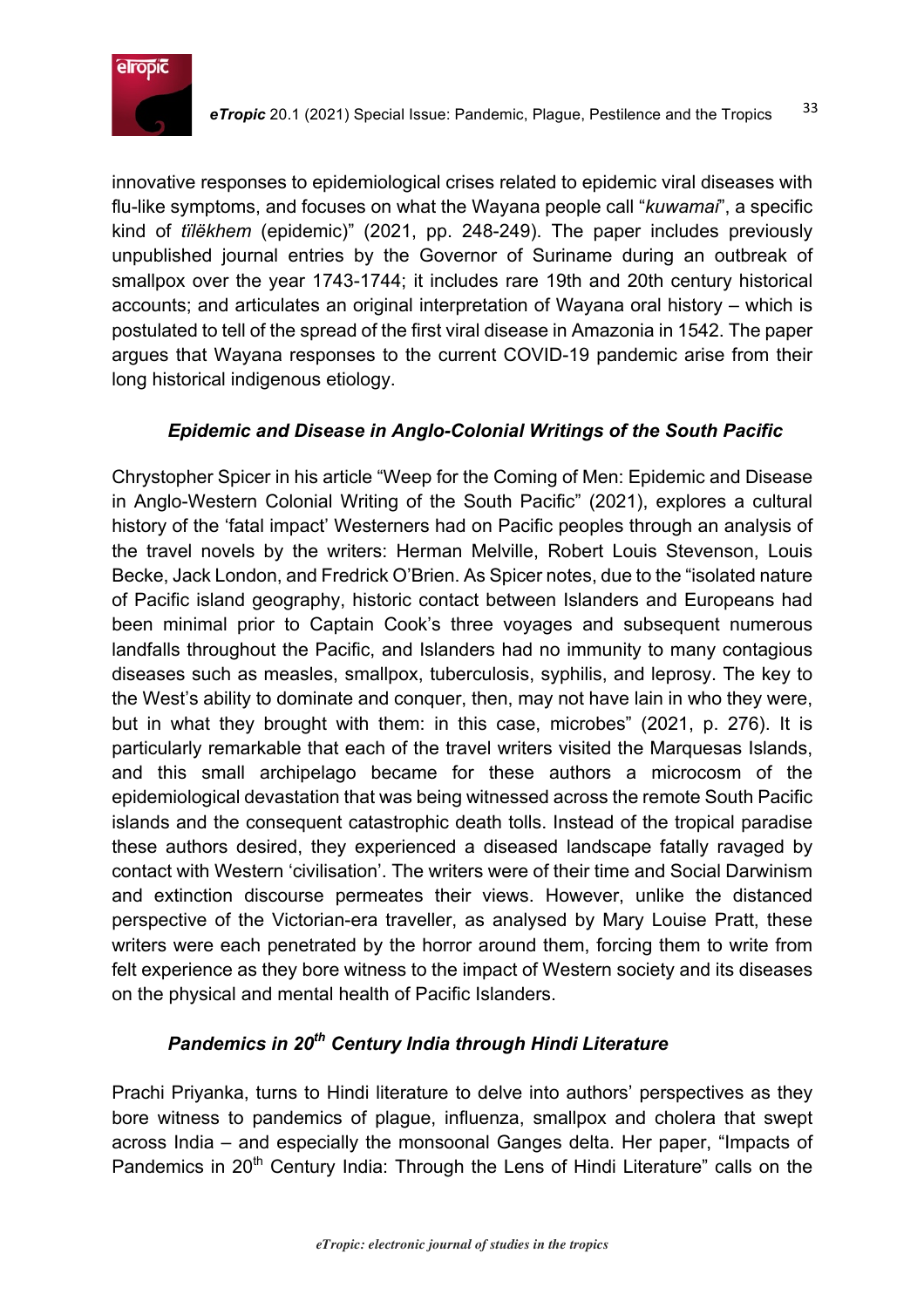

innovative responses to epidemiological crises related to epidemic viral diseases with flu-like symptoms, and focuses on what the Wayana people call "*kuwamai*", a specific kind of *tïlëkhem* (epidemic)" (2021, pp. 248-249). The paper includes previously unpublished journal entries by the Governor of Suriname during an outbreak of smallpox over the year 1743-1744; it includes rare 19th and 20th century historical accounts; and articulates an original interpretation of Wayana oral history – which is postulated to tell of the spread of the first viral disease in Amazonia in 1542. The paper argues that Wayana responses to the current COVID-19 pandemic arise from their long historical indigenous etiology.

#### *Epidemic and Disease in Anglo-Colonial Writings of the South Pacific*

Chrystopher Spicer in his article "Weep for the Coming of Men: Epidemic and Disease in Anglo-Western Colonial Writing of the South Pacific" (2021), explores a cultural history of the 'fatal impact' Westerners had on Pacific peoples through an analysis of the travel novels by the writers: Herman Melville, Robert Louis Stevenson, Louis Becke, Jack London, and Fredrick O'Brien. As Spicer notes, due to the "isolated nature of Pacific island geography, historic contact between Islanders and Europeans had been minimal prior to Captain Cook's three voyages and subsequent numerous landfalls throughout the Pacific, and Islanders had no immunity to many contagious diseases such as measles, smallpox, tuberculosis, syphilis, and leprosy. The key to the West's ability to dominate and conquer, then, may not have lain in who they were, but in what they brought with them: in this case, microbes" (2021, p. 276). It is particularly remarkable that each of the travel writers visited the Marquesas Islands, and this small archipelago became for these authors a microcosm of the epidemiological devastation that was being witnessed across the remote South Pacific islands and the consequent catastrophic death tolls. Instead of the tropical paradise these authors desired, they experienced a diseased landscape fatally ravaged by contact with Western 'civilisation'. The writers were of their time and Social Darwinism and extinction discourse permeates their views. However, unlike the distanced perspective of the Victorian-era traveller, as analysed by Mary Louise Pratt, these writers were each penetrated by the horror around them, forcing them to write from felt experience as they bore witness to the impact of Western society and its diseases on the physical and mental health of Pacific Islanders.

# *Pandemics in 20th Century India through Hindi Literature*

Prachi Priyanka, turns to Hindi literature to delve into authors' perspectives as they bore witness to pandemics of plague, influenza, smallpox and cholera that swept across India – and especially the monsoonal Ganges delta. Her paper, "Impacts of Pandemics in 20<sup>th</sup> Century India: Through the Lens of Hindi Literature" calls on the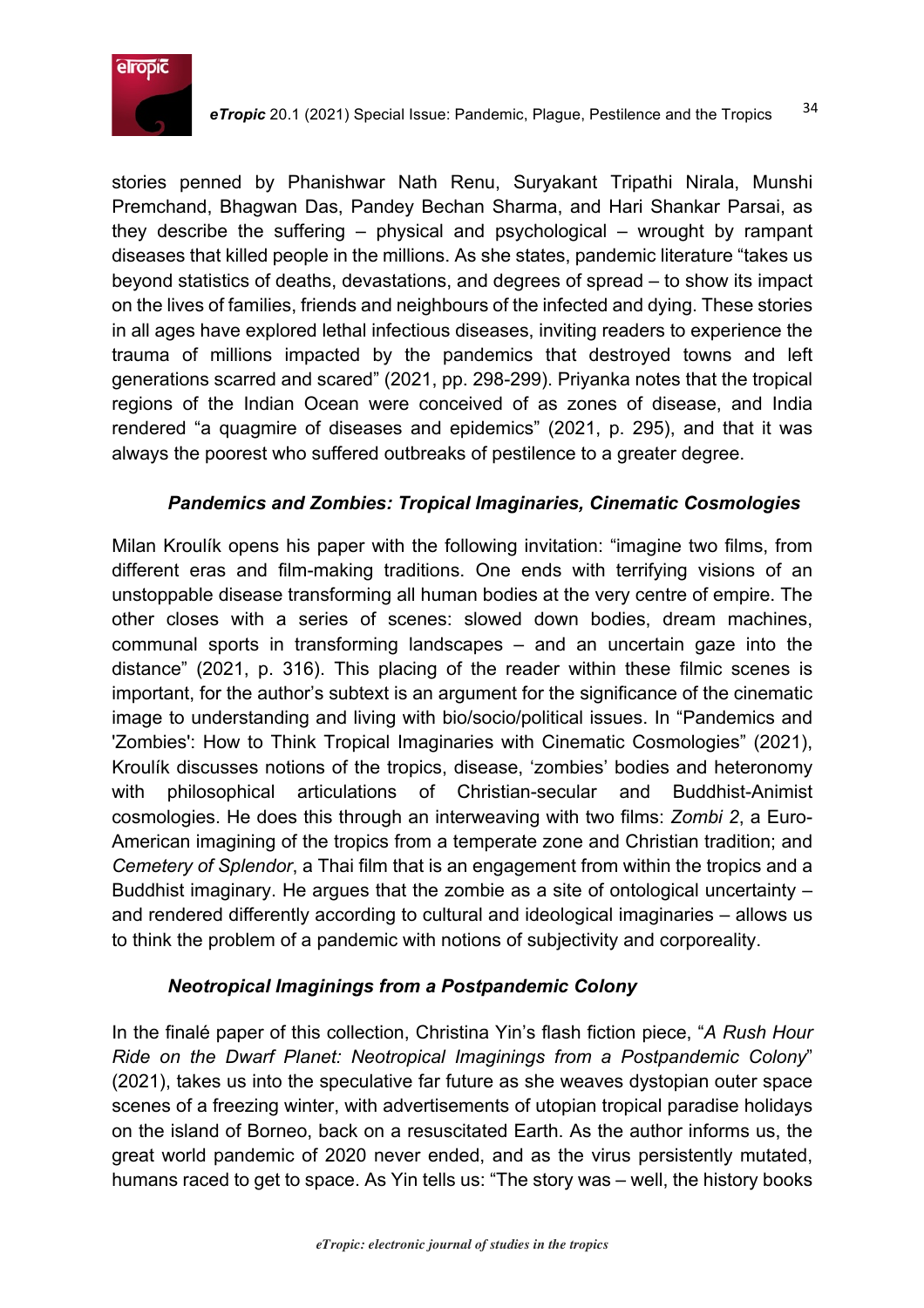

stories penned by Phanishwar Nath Renu, Suryakant Tripathi Nirala, Munshi Premchand, Bhagwan Das, Pandey Bechan Sharma, and Hari Shankar Parsai, as they describe the suffering – physical and psychological – wrought by rampant diseases that killed people in the millions. As she states, pandemic literature "takes us beyond statistics of deaths, devastations, and degrees of spread – to show its impact on the lives of families, friends and neighbours of the infected and dying. These stories in all ages have explored lethal infectious diseases, inviting readers to experience the trauma of millions impacted by the pandemics that destroyed towns and left generations scarred and scared" (2021, pp. 298-299). Priyanka notes that the tropical regions of the Indian Ocean were conceived of as zones of disease, and India rendered "a quagmire of diseases and epidemics" (2021, p. 295), and that it was always the poorest who suffered outbreaks of pestilence to a greater degree.

#### *Pandemics and Zombies: Tropical Imaginaries, Cinematic Cosmologies*

Milan Kroulík opens his paper with the following invitation: "imagine two films, from different eras and film-making traditions. One ends with terrifying visions of an unstoppable disease transforming all human bodies at the very centre of empire. The other closes with a series of scenes: slowed down bodies, dream machines, communal sports in transforming landscapes – and an uncertain gaze into the distance" (2021, p. 316). This placing of the reader within these filmic scenes is important, for the author's subtext is an argument for the significance of the cinematic image to understanding and living with bio/socio/political issues. In "Pandemics and 'Zombies': How to Think Tropical Imaginaries with Cinematic Cosmologies" (2021), Kroulík discusses notions of the tropics, disease, 'zombies' bodies and heteronomy with philosophical articulations of Christian-secular and Buddhist-Animist cosmologies. He does this through an interweaving with two films: *Zombi 2*, a Euro-American imagining of the tropics from a temperate zone and Christian tradition; and *Cemetery of Splendor*, a Thai film that is an engagement from within the tropics and a Buddhist imaginary. He argues that the zombie as a site of ontological uncertainty – and rendered differently according to cultural and ideological imaginaries – allows us to think the problem of a pandemic with notions of subjectivity and corporeality.

#### *Neotropical Imaginings from a Postpandemic Colony*

In the finalé paper of this collection, Christina Yin's flash fiction piece, "*A Rush Hour Ride on the Dwarf Planet: Neotropical Imaginings from a Postpandemic Colony*" (2021), takes us into the speculative far future as she weaves dystopian outer space scenes of a freezing winter, with advertisements of utopian tropical paradise holidays on the island of Borneo, back on a resuscitated Earth. As the author informs us, the great world pandemic of 2020 never ended, and as the virus persistently mutated, humans raced to get to space. As Yin tells us: "The story was – well, the history books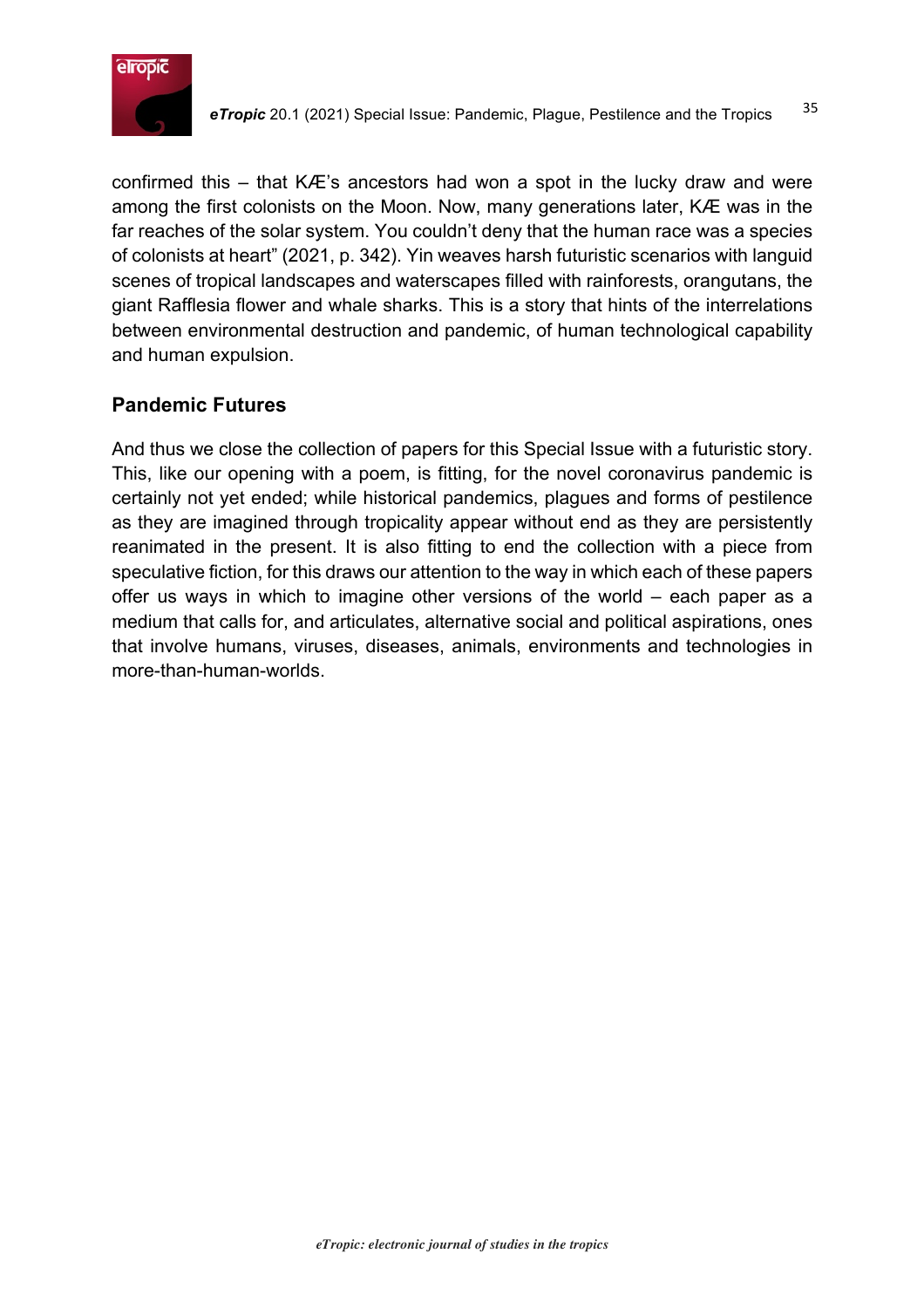

confirmed this – that KÆ's ancestors had won a spot in the lucky draw and were among the first colonists on the Moon. Now, many generations later, KÆ was in the far reaches of the solar system. You couldn't deny that the human race was a species of colonists at heart" (2021, p. 342). Yin weaves harsh futuristic scenarios with languid scenes of tropical landscapes and waterscapes filled with rainforests, orangutans, the giant Rafflesia flower and whale sharks. This is a story that hints of the interrelations between environmental destruction and pandemic, of human technological capability and human expulsion.

# **Pandemic Futures**

And thus we close the collection of papers for this Special Issue with a futuristic story. This, like our opening with a poem, is fitting, for the novel coronavirus pandemic is certainly not yet ended; while historical pandemics, plagues and forms of pestilence as they are imagined through tropicality appear without end as they are persistently reanimated in the present. It is also fitting to end the collection with a piece from speculative fiction, for this draws our attention to the way in which each of these papers offer us ways in which to imagine other versions of the world – each paper as a medium that calls for, and articulates, alternative social and political aspirations, ones that involve humans, viruses, diseases, animals, environments and technologies in more-than-human-worlds.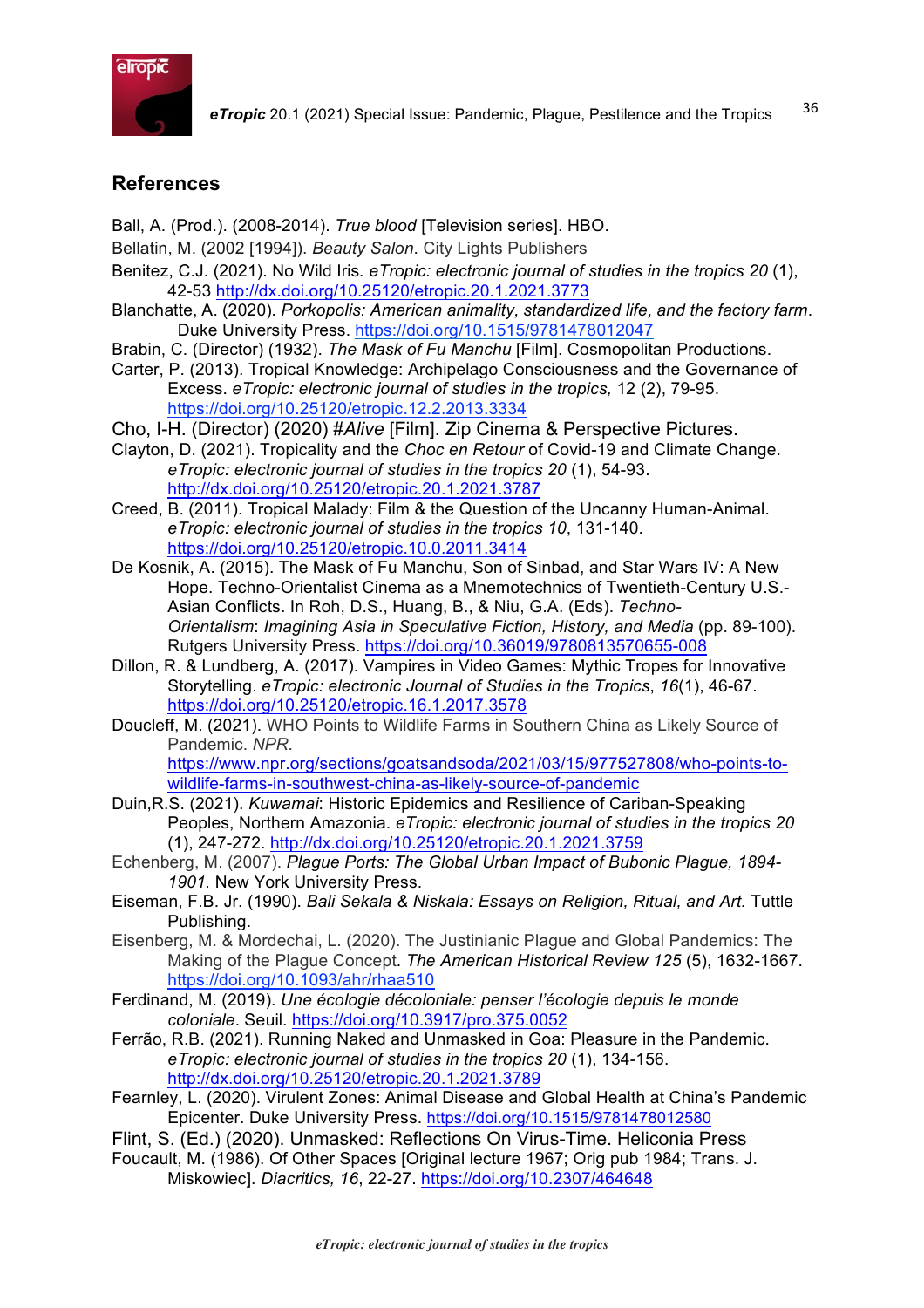

#### **References**

- Ball, A. (Prod.). (2008-2014). *True blood* [Television series]. HBO.
- Bellatin, M. (2002 [1994]). *Beauty Salon*. City Lights Publishers
- Benitez, C.J. (2021). No Wild Iris*. eTropic: electronic journal of studies in the tropics 20* (1), 42-53 http://dx.doi.org/10.25120/etropic.20.1.2021.3773
- Blanchatte, A. (2020). *Porkopolis: American animality, standardized life, and the factory farm*. Duke University Press. https://doi.org/10.1515/9781478012047
- Brabin, C. (Director) (1932). *The Mask of Fu Manchu* [Film]. Cosmopolitan Productions.
- Carter, P. (2013). Tropical Knowledge: Archipelago Consciousness and the Governance of Excess. *eTropic: electronic journal of studies in the tropics,* 12 (2), 79-95. https://doi.org/10.25120/etropic.12.2.2013.3334
- Cho, I-H. (Director) (2020) #*Alive* [Film]. Zip Cinema & Perspective Pictures.
- Clayton, D. (2021). Tropicality and the *Choc en Retour* of Covid-19 and Climate Change. *eTropic: electronic journal of studies in the tropics 20* (1), 54-93. http://dx.doi.org/10.25120/etropic.20.1.2021.3787
- Creed, B. (2011). Tropical Malady: Film & the Question of the Uncanny Human-Animal. *eTropic: electronic journal of studies in the tropics 10*, 131-140. https://doi.org/10.25120/etropic.10.0.2011.3414
- De Kosnik, A. (2015). The Mask of Fu Manchu, Son of Sinbad, and Star Wars IV: A New Hope. Techno-Orientalist Cinema as a Mnemotechnics of Twentieth-Century U.S.- Asian Conflicts. In Roh, D.S., Huang, B., & Niu, G.A. (Eds). *Techno-Orientalism*: *Imagining Asia in Speculative Fiction, History, and Media* (pp. 89-100). Rutgers University Press. https://doi.org/10.36019/9780813570655-008
- Dillon, R. & Lundberg, A. (2017). Vampires in Video Games: Mythic Tropes for Innovative Storytelling. *eTropic: electronic Journal of Studies in the Tropics*, *16*(1), 46-67. https://doi.org/10.25120/etropic.16.1.2017.3578
- Doucleff, M. (2021). WHO Points to Wildlife Farms in Southern China as Likely Source of Pandemic. *NPR*.

https://www.npr.org/sections/goatsandsoda/2021/03/15/977527808/who-points-towildlife-farms-in-southwest-china-as-likely-source-of-pandemic

- Duin,R.S. (2021). *Kuwamai*: Historic Epidemics and Resilience of Cariban-Speaking Peoples, Northern Amazonia. *eTropic: electronic journal of studies in the tropics 20* (1), 247-272. http://dx.doi.org/10.25120/etropic.20.1.2021.3759
- Echenberg, M. (2007). *Plague Ports: The Global Urban Impact of Bubonic Plague, 1894- 1901.* New York University Press.
- Eiseman, F.B. Jr. (1990). *Bali Sekala & Niskala: Essays on Religion, Ritual, and Art.* Tuttle Publishing.
- Eisenberg, M. & Mordechai, L. (2020). The Justinianic Plague and Global Pandemics: The Making of the Plague Concept. *The American Historical Review 125* (5), 1632-1667. https://doi.org/10.1093/ahr/rhaa510
- Ferdinand, M. (2019). *Une écologie décoloniale: penser l'écologie depuis le monde coloniale*. Seuil. https://doi.org/10.3917/pro.375.0052
- Ferrão, R.B. (2021). Running Naked and Unmasked in Goa: Pleasure in the Pandemic. *eTropic: electronic journal of studies in the tropics 20* (1), 134-156. http://dx.doi.org/10.25120/etropic.20.1.2021.3789
- Fearnley, L. (2020). Virulent Zones: Animal Disease and Global Health at China's Pandemic Epicenter. Duke University Press. https://doi.org/10.1515/9781478012580
- Flint, S. (Ed.) (2020). Unmasked: Reflections On Virus-Time. Heliconia Press
- Foucault, M. (1986). Of Other Spaces [Original lecture 1967; Orig pub 1984; Trans. J. Miskowiec]. *Diacritics, 16*, 22-27. https://doi.org/10.2307/464648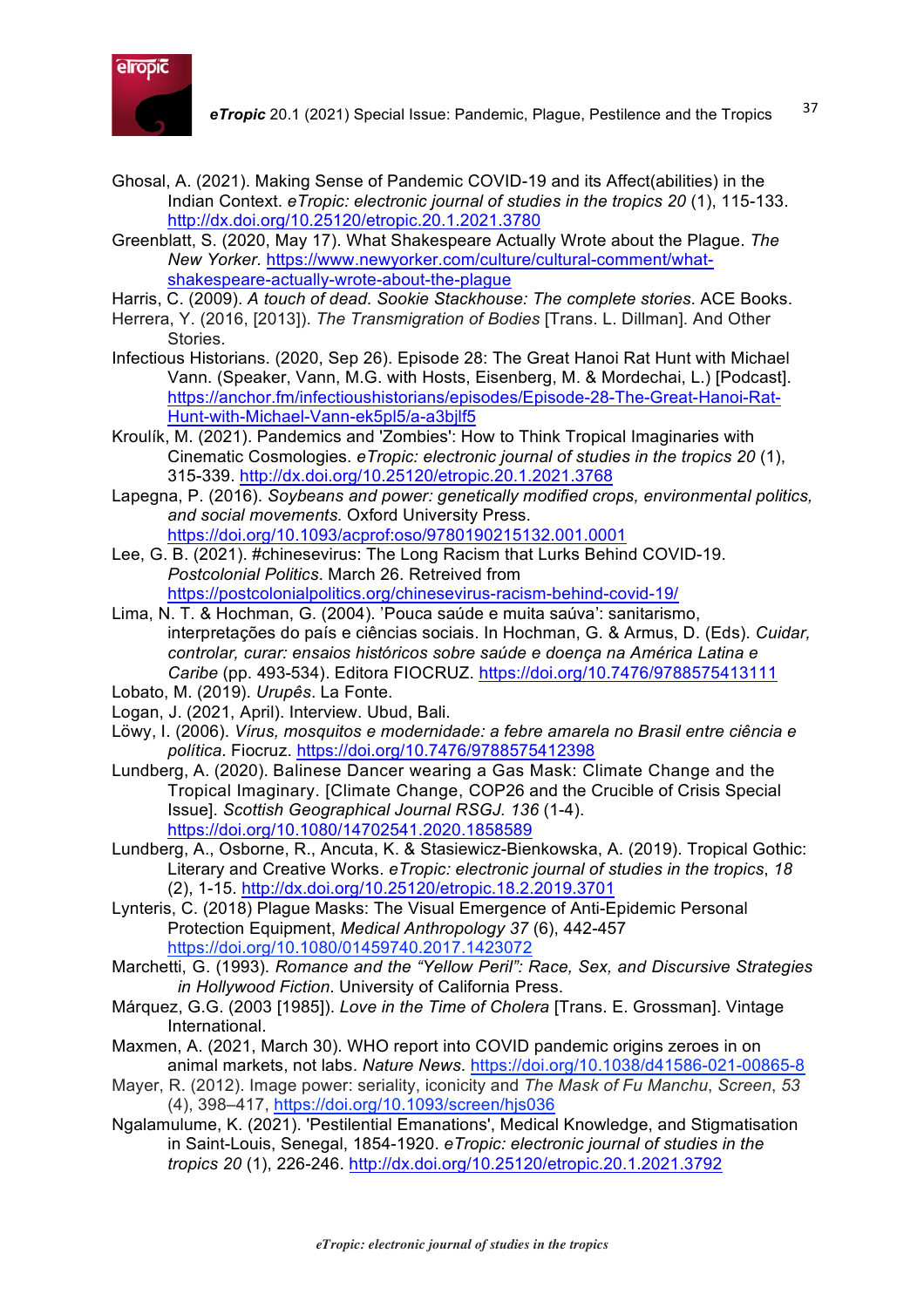

- Ghosal, A. (2021). Making Sense of Pandemic COVID-19 and its Affect(abilities) in the Indian Context. *eTropic: electronic journal of studies in the tropics 20* (1), 115-133. http://dx.doi.org/10.25120/etropic.20.1.2021.3780
- Greenblatt, S. (2020, May 17). What Shakespeare Actually Wrote about the Plague. *The New Yorker.* https://www.newyorker.com/culture/cultural-comment/whatshakespeare-actually-wrote-about-the-plague
- Harris, C. (2009). *A touch of dead. Sookie Stackhouse: The complete stories*. ACE Books.
- Herrera, Y. (2016, [2013]). *The Transmigration of Bodies* [Trans. L. Dillman]. And Other Stories.
- Infectious Historians. (2020, Sep 26). Episode 28: The Great Hanoi Rat Hunt with Michael Vann. (Speaker, Vann, M.G. with Hosts, Eisenberg, M. & Mordechai, L.) [Podcast]. https://anchor.fm/infectioushistorians/episodes/Episode-28-The-Great-Hanoi-Rat-Hunt-with-Michael-Vann-ek5pl5/a-a3bjlf5
- Kroulík, M. (2021). Pandemics and 'Zombies': How to Think Tropical Imaginaries with Cinematic Cosmologies. *eTropic: electronic journal of studies in the tropics 20* (1), 315-339. http://dx.doi.org/10.25120/etropic.20.1.2021.3768
- Lapegna, P. (2016). *Soybeans and power: genetically modified crops, environmental politics, and social movements.* Oxford University Press. https://doi.org/10.1093/acprof:oso/9780190215132.001.0001
- Lee, G. B. (2021). #chinesevirus: The Long Racism that Lurks Behind COVID-19. *Postcolonial Politics*. March 26. Retreived from https://postcolonialpolitics.org/chinesevirus-racism-behind-covid-19/
- Lima, N. T. & Hochman, G. (2004). 'Pouca saúde e muita saúva': sanitarismo, interpretações do país e ciências sociais. In Hochman, G. & Armus, D. (Eds). *Cuidar, controlar, curar: ensaios históricos sobre saúde e doença na América Latina e Caribe* (pp. 493-534). Editora FIOCRUZ. https://doi.org/10.7476/9788575413111
- Lobato, M. (2019). *Urupês*. La Fonte.
- Logan, J. (2021, April). Interview. Ubud, Bali.
- Löwy, I. (2006). *Vírus, mosquitos e modernidade: a febre amarela no Brasil entre ciência e política*. Fiocruz. https://doi.org/10.7476/9788575412398
- Lundberg, A. (2020). Balinese Dancer wearing a Gas Mask: Climate Change and the Tropical Imaginary. [Climate Change, COP26 and the Crucible of Crisis Special Issue]. *Scottish Geographical Journal RSGJ. 136* (1-4). https://doi.org/10.1080/14702541.2020.1858589
- Lundberg, A., Osborne, R., Ancuta, K. & Stasiewicz-Bienkowska, A. (2019). Tropical Gothic: Literary and Creative Works. *eTropic: electronic journal of studies in the tropics*, *18* (2), 1-15. http://dx.doi.org/10.25120/etropic.18.2.2019.3701
- Lynteris, C. (2018) Plague Masks: The Visual Emergence of Anti-Epidemic Personal Protection Equipment, *Medical Anthropology 37* (6), 442-457 https://doi.org/10.1080/01459740.2017.1423072
- Marchetti, G. (1993). *Romance and the "Yellow Peril": Race, Sex, and Discursive Strategies in Hollywood Fiction*. University of California Press.
- Márquez, G.G. (2003 [1985]). *Love in the Time of Cholera* [Trans. E. Grossman]. Vintage International.
- Maxmen, A. (2021, March 30). WHO report into COVID pandemic origins zeroes in on animal markets, not labs. *Nature News*. https://doi.org/10.1038/d41586-021-00865-8
- Mayer, R. (2012). Image power: seriality, iconicity and *The Mask of Fu Manchu*, *Screen*, *53*  (4), 398–417, https://doi.org/10.1093/screen/hjs036
- Ngalamulume, K. (2021). 'Pestilential Emanations', Medical Knowledge, and Stigmatisation in Saint-Louis, Senegal, 1854-1920. *eTropic: electronic journal of studies in the tropics 20* (1), 226-246. http://dx.doi.org/10.25120/etropic.20.1.2021.3792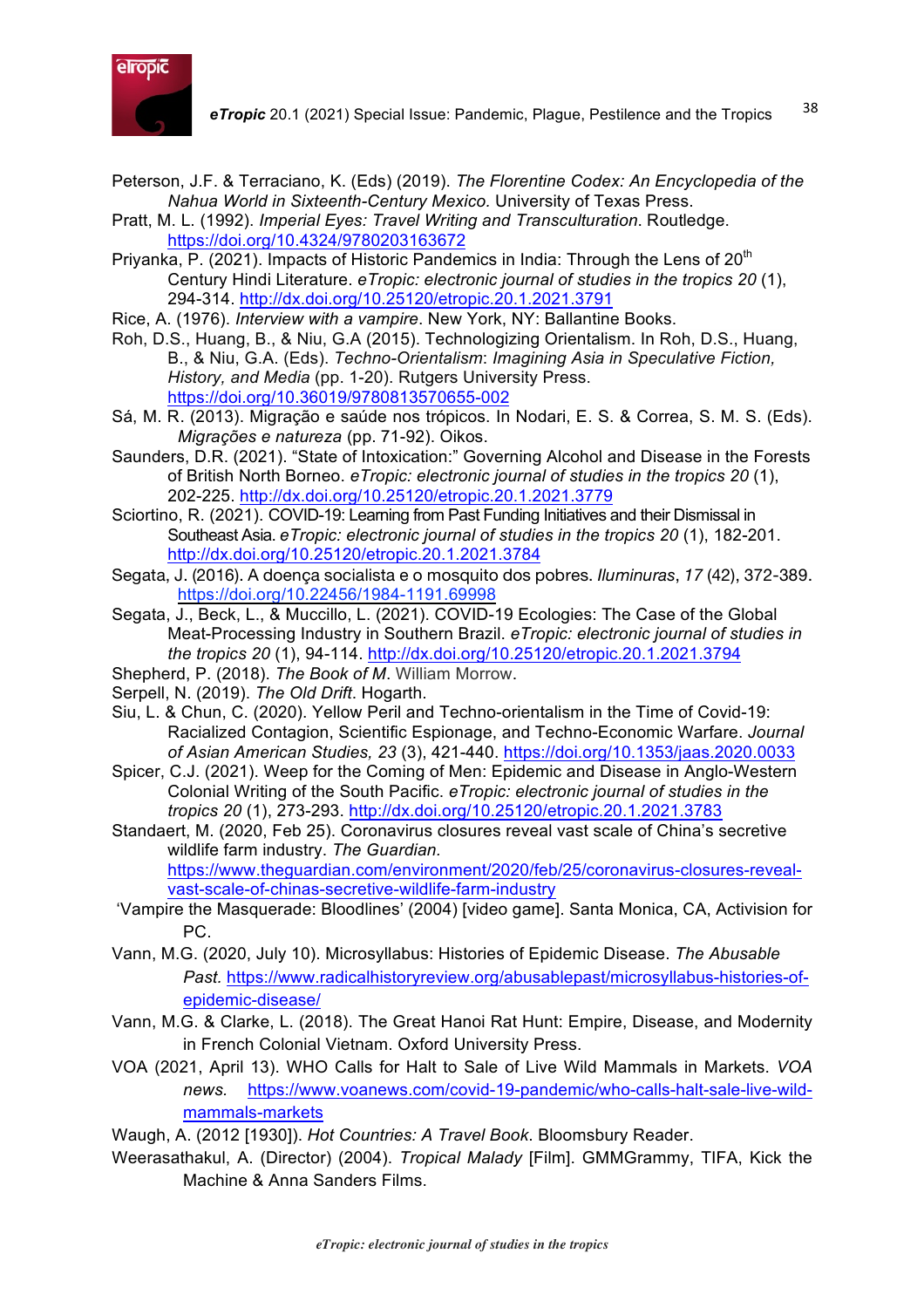

- Peterson, J.F. & Terraciano, K. (Eds) (2019). *The Florentine Codex: An Encyclopedia of the Nahua World in Sixteenth-Century Mexico.* University of Texas Press.
- Pratt, M. L. (1992). *Imperial Eyes: Travel Writing and Transculturation*. Routledge. https://doi.org/10.4324/9780203163672
- Priyanka, P. (2021). Impacts of Historic Pandemics in India: Through the Lens of  $20<sup>th</sup>$ Century Hindi Literature. *eTropic: electronic journal of studies in the tropics 20* (1), 294-314. http://dx.doi.org/10.25120/etropic.20.1.2021.3791
- Rice, A. (1976). *Interview with a vampire*. New York, NY: Ballantine Books.
- Roh, D.S., Huang, B., & Niu, G.A (2015). Technologizing Orientalism. In Roh, D.S., Huang, B., & Niu, G.A. (Eds). *Techno-Orientalism*: *Imagining Asia in Speculative Fiction, History, and Media* (pp. 1-20). Rutgers University Press. https://doi.org/10.36019/9780813570655-002
- Sá, M. R. (2013). Migração e saúde nos trópicos. In Nodari, E. S. & Correa, S. M. S. (Eds). *Migrações e natureza* (pp. 71-92). Oikos.
- Saunders, D.R. (2021). "State of Intoxication:" Governing Alcohol and Disease in the Forests of British North Borneo. *eTropic: electronic journal of studies in the tropics 20* (1), 202-225. http://dx.doi.org/10.25120/etropic.20.1.2021.3779
- Sciortino, R. (2021). COVID-19: Learning from Past Funding Initiatives and their Dismissal in Southeast Asia. *eTropic: electronic journal of studies in the tropics 20* (1), 182-201. http://dx.doi.org/10.25120/etropic.20.1.2021.3784
- Segata, J. (2016). A doença socialista e o mosquito dos pobres. *Iluminuras*, *17* (42), 372-389. https://doi.org/10.22456/1984-1191.69998
- Segata, J., Beck, L., & Muccillo, L. (2021). COVID-19 Ecologies: The Case of the Global Meat-Processing Industry in Southern Brazil. *eTropic: electronic journal of studies in the tropics 20* (1), 94-114. http://dx.doi.org/10.25120/etropic.20.1.2021.3794
- Shepherd, P. (2018). *The Book of M*. William Morrow.
- Serpell, N. (2019). *The Old Drift*. Hogarth.
- Siu, L. & Chun, C. (2020). Yellow Peril and Techno-orientalism in the Time of Covid-19: Racialized Contagion, Scientific Espionage, and Techno-Economic Warfare. *Journal of Asian American Studies, 23* (3), 421-440. https://doi.org/10.1353/jaas.2020.0033
- Spicer, C.J. (2021). Weep for the Coming of Men: Epidemic and Disease in Anglo-Western Colonial Writing of the South Pacific. *eTropic: electronic journal of studies in the tropics 20* (1), 273-293. http://dx.doi.org/10.25120/etropic.20.1.2021.3783
- Standaert, M. (2020, Feb 25). Coronavirus closures reveal vast scale of China's secretive wildlife farm industry. *The Guardian.*  https://www.theguardian.com/environment/2020/feb/25/coronavirus-closures-revealvast-scale-of-chinas-secretive-wildlife-farm-industry
- 'Vampire the Masquerade: Bloodlines' (2004) [video game]. Santa Monica, CA, Activision for PC.
- Vann, M.G. (2020, July 10). Microsyllabus: Histories of Epidemic Disease. *The Abusable Past.* https://www.radicalhistoryreview.org/abusablepast/microsyllabus-histories-ofepidemic-disease/
- Vann, M.G. & Clarke, L. (2018). The Great Hanoi Rat Hunt: Empire, Disease, and Modernity in French Colonial Vietnam. Oxford University Press.
- VOA (2021, April 13). WHO Calls for Halt to Sale of Live Wild Mammals in Markets. *VOA news.* https://www.voanews.com/covid-19-pandemic/who-calls-halt-sale-live-wildmammals-markets
- Waugh, A. (2012 [1930]). *Hot Countries: A Travel Book*. Bloomsbury Reader.
- Weerasathakul, A. (Director) (2004). *Tropical Malady* [Film]. GMMGrammy, TIFA, Kick the Machine & Anna Sanders Films.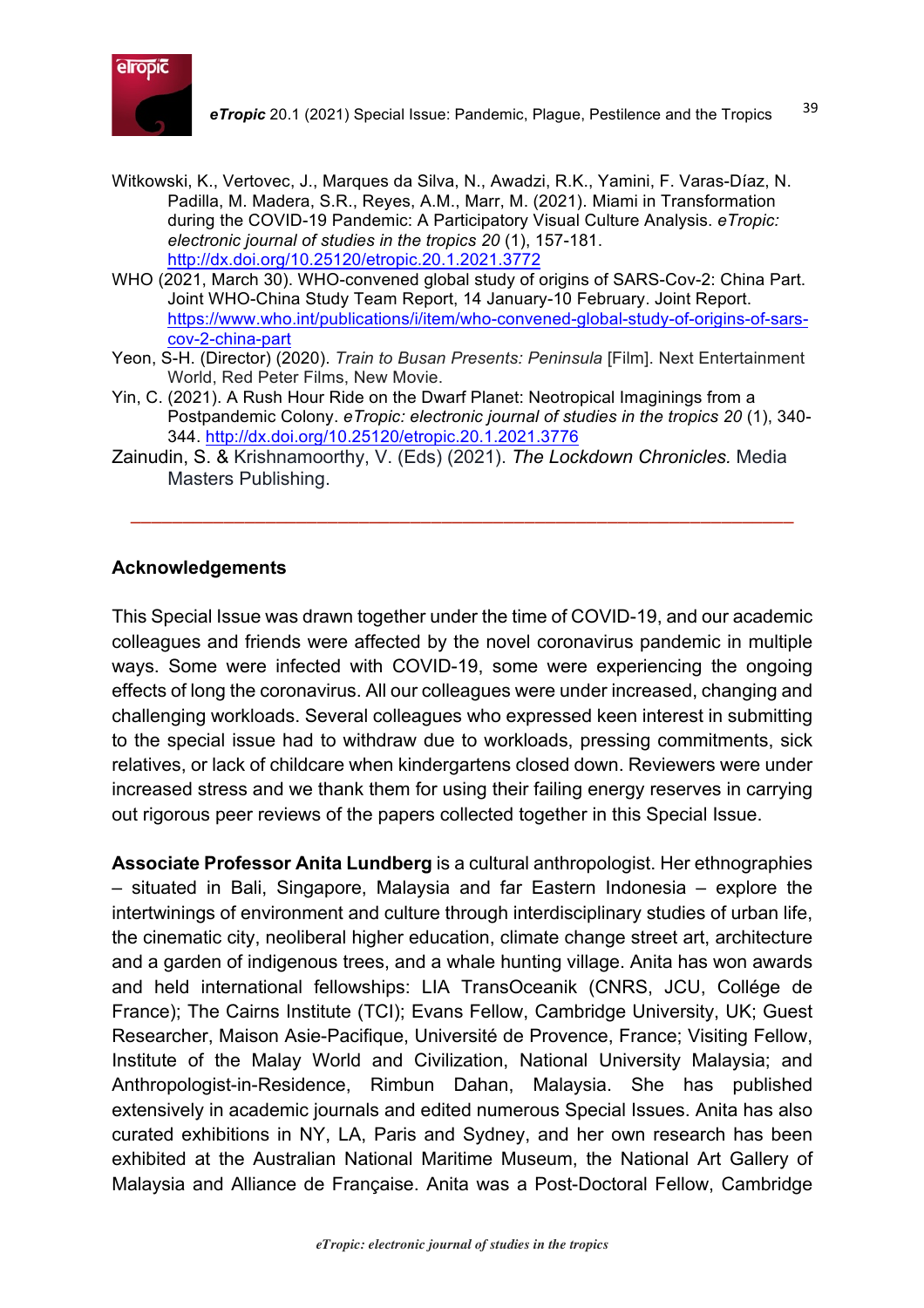

- Witkowski, K., Vertovec, J., Marques da Silva, N., Awadzi, R.K., Yamini, F. Varas-Díaz, N. Padilla, M. Madera, S.R., Reyes, A.M., Marr, M. (2021). Miami in Transformation during the COVID-19 Pandemic: A Participatory Visual Culture Analysis. *eTropic: electronic journal of studies in the tropics 20* (1), 157-181. http://dx.doi.org/10.25120/etropic.20.1.2021.3772
- WHO (2021, March 30). WHO-convened global study of origins of SARS-Cov-2: China Part. Joint WHO-China Study Team Report, 14 January-10 February. Joint Report. https://www.who.int/publications/i/item/who-convened-global-study-of-origins-of-sarscov-2-china-part
- Yeon, S-H. (Director) (2020). *Train to Busan Presents: Peninsula* [Film]. Next Entertainment World, Red Peter Films, New Movie.
- Yin, C. (2021). A Rush Hour Ride on the Dwarf Planet: Neotropical Imaginings from a Postpandemic Colony. *eTropic: electronic journal of studies in the tropics 20* (1), 340- 344. http://dx.doi.org/10.25120/etropic.20.1.2021.3776

––––––––––––––––––––––––––––––––––––––––––––––––––––––––––––––––

Zainudin, S. & Krishnamoorthy, V. (Eds) (2021). *The Lockdown Chronicles.* Media Masters Publishing.

#### **Acknowledgements**

This Special Issue was drawn together under the time of COVID-19, and our academic colleagues and friends were affected by the novel coronavirus pandemic in multiple ways. Some were infected with COVID-19, some were experiencing the ongoing effects of long the coronavirus. All our colleagues were under increased, changing and challenging workloads. Several colleagues who expressed keen interest in submitting to the special issue had to withdraw due to workloads, pressing commitments, sick relatives, or lack of childcare when kindergartens closed down. Reviewers were under increased stress and we thank them for using their failing energy reserves in carrying out rigorous peer reviews of the papers collected together in this Special Issue.

**Associate Professor Anita Lundberg** is a cultural anthropologist. Her ethnographies – situated in Bali, Singapore, Malaysia and far Eastern Indonesia – explore the intertwinings of environment and culture through interdisciplinary studies of urban life, the cinematic city, neoliberal higher education, climate change street art, architecture and a garden of indigenous trees, and a whale hunting village. Anita has won awards and held international fellowships: LIA TransOceanik (CNRS, JCU, Collége de France); The Cairns Institute (TCI); Evans Fellow, Cambridge University, UK; Guest Researcher, Maison Asie-Pacifique, Université de Provence, France; Visiting Fellow, Institute of the Malay World and Civilization, National University Malaysia; and Anthropologist-in-Residence, Rimbun Dahan, Malaysia. She has published extensively in academic journals and edited numerous Special Issues. Anita has also curated exhibitions in NY, LA, Paris and Sydney, and her own research has been exhibited at the Australian National Maritime Museum, the National Art Gallery of Malaysia and Alliance de Française. Anita was a Post-Doctoral Fellow, Cambridge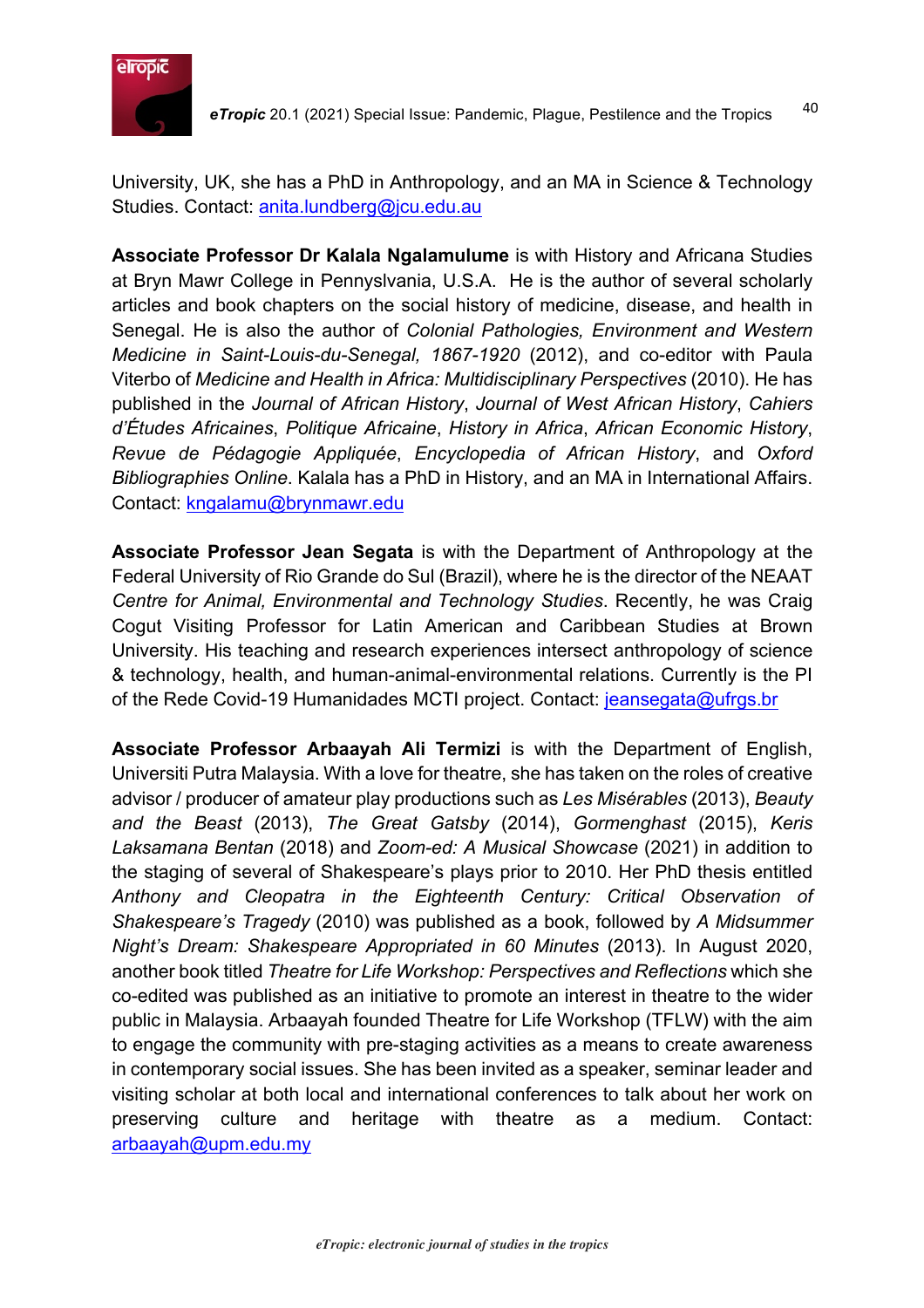

University, UK, she has a PhD in Anthropology, and an MA in Science & Technology Studies. Contact: anita.lundberg@jcu.edu.au

**Associate Professor Dr Kalala Ngalamulume** is with History and Africana Studies at Bryn Mawr College in Pennyslvania, U.S.A. He is the author of several scholarly articles and book chapters on the social history of medicine, disease, and health in Senegal. He is also the author of *Colonial Pathologies, Environment and Western Medicine in Saint-Louis-du-Senegal, 1867-1920* (2012), and co-editor with Paula Viterbo of *Medicine and Health in Africa: Multidisciplinary Perspectives* (2010). He has published in the *Journal of African History*, *Journal of West African History*, *Cahiers d'Études Africaines*, *Politique Africaine*, *History in Africa*, *African Economic History*, *Revue de Pédagogie Appliquée*, *Encyclopedia of African History*, and *Oxford Bibliographies Online*. Kalala has a PhD in History, and an MA in International Affairs. Contact: kngalamu@brynmawr.edu

**Associate Professor Jean Segata** is with the Department of Anthropology at the Federal University of Rio Grande do Sul (Brazil), where he is the director of the NEAAT *Centre for Animal, Environmental and Technology Studies*. Recently, he was Craig Cogut Visiting Professor for Latin American and Caribbean Studies at Brown University. His teaching and research experiences intersect anthropology of science & technology, health, and human-animal-environmental relations. Currently is the PI of the Rede Covid-19 Humanidades MCTI project. Contact: jeansegata@ufrgs.br

**Associate Professor Arbaayah Ali Termizi** is with the Department of English, Universiti Putra Malaysia. With a love for theatre, she has taken on the roles of creative advisor / producer of amateur play productions such as *Les Misérables* (2013), *Beauty and the Beast* (2013), *The Great Gatsby* (2014), *Gormenghast* (2015), *Keris Laksamana Bentan* (2018) and *Zoom-ed: A Musical Showcase* (2021) in addition to the staging of several of Shakespeare's plays prior to 2010. Her PhD thesis entitled *Anthony and Cleopatra in the Eighteenth Century: Critical Observation of Shakespeare's Tragedy* (2010) was published as a book, followed by *A Midsummer Night's Dream: Shakespeare Appropriated in 60 Minutes* (2013). In August 2020, another book titled *Theatre for Life Workshop: Perspectives and Reflections* which she co-edited was published as an initiative to promote an interest in theatre to the wider public in Malaysia. Arbaayah founded Theatre for Life Workshop (TFLW) with the aim to engage the community with pre-staging activities as a means to create awareness in contemporary social issues. She has been invited as a speaker, seminar leader and visiting scholar at both local and international conferences to talk about her work on preserving culture and heritage with theatre as a medium. Contact: arbaayah@upm.edu.my